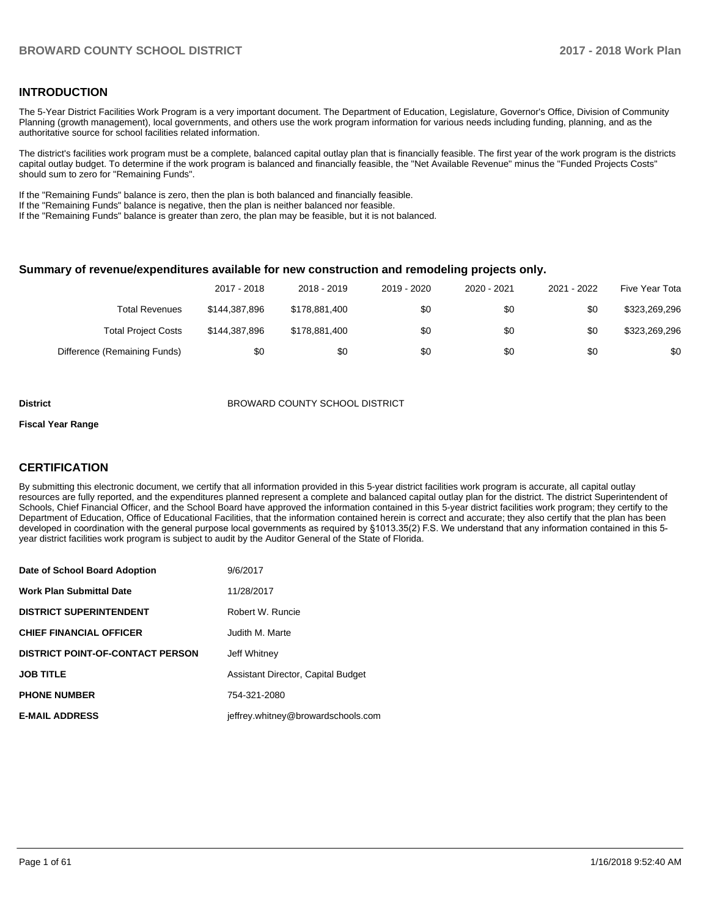#### **INTRODUCTION**

The 5-Year District Facilities Work Program is a very important document. The Department of Education, Legislature, Governor's Office, Division of Community Planning (growth management), local governments, and others use the work program information for various needs including funding, planning, and as the authoritative source for school facilities related information.

The district's facilities work program must be a complete, balanced capital outlay plan that is financially feasible. The first year of the work program is the districts capital outlay budget. To determine if the work program is balanced and financially feasible, the "Net Available Revenue" minus the "Funded Projects Costs" should sum to zero for "Remaining Funds".

If the "Remaining Funds" balance is zero, then the plan is both balanced and financially feasible.

If the "Remaining Funds" balance is negative, then the plan is neither balanced nor feasible.

If the "Remaining Funds" balance is greater than zero, the plan may be feasible, but it is not balanced.

#### **Summary of revenue/expenditures available for new construction and remodeling projects only.**

|                              | 2017 - 2018   | 2018 - 2019   | 2019 - 2020 | 2020 - 2021 | 2021 - 2022 | Five Year Tota |
|------------------------------|---------------|---------------|-------------|-------------|-------------|----------------|
| <b>Total Revenues</b>        | \$144.387.896 | \$178,881,400 | \$0         | \$0         | \$0         | \$323,269,296  |
| <b>Total Project Costs</b>   | \$144.387.896 | \$178,881,400 | \$0         | \$0         | \$0         | \$323,269,296  |
| Difference (Remaining Funds) | \$0           | \$0           | \$0         | \$0         | \$0         | \$0            |

#### **District** BROWARD COUNTY SCHOOL DISTRICT

#### **Fiscal Year Range**

#### **CERTIFICATION**

By submitting this electronic document, we certify that all information provided in this 5-year district facilities work program is accurate, all capital outlay resources are fully reported, and the expenditures planned represent a complete and balanced capital outlay plan for the district. The district Superintendent of Schools, Chief Financial Officer, and the School Board have approved the information contained in this 5-year district facilities work program; they certify to the Department of Education, Office of Educational Facilities, that the information contained herein is correct and accurate; they also certify that the plan has been developed in coordination with the general purpose local governments as required by §1013.35(2) F.S. We understand that any information contained in this 5year district facilities work program is subject to audit by the Auditor General of the State of Florida.

| Date of School Board Adoption           | 9/6/2017                           |
|-----------------------------------------|------------------------------------|
| <b>Work Plan Submittal Date</b>         | 11/28/2017                         |
| <b>DISTRICT SUPERINTENDENT</b>          | Robert W. Runcie                   |
| <b>CHIEF FINANCIAL OFFICER</b>          | Judith M. Marte                    |
| <b>DISTRICT POINT-OF-CONTACT PERSON</b> | Jeff Whitney                       |
| <b>JOB TITLE</b>                        | Assistant Director, Capital Budget |
| <b>PHONE NUMBER</b>                     | 754-321-2080                       |
| <b>E-MAIL ADDRESS</b>                   | jeffrey.whitney@browardschools.com |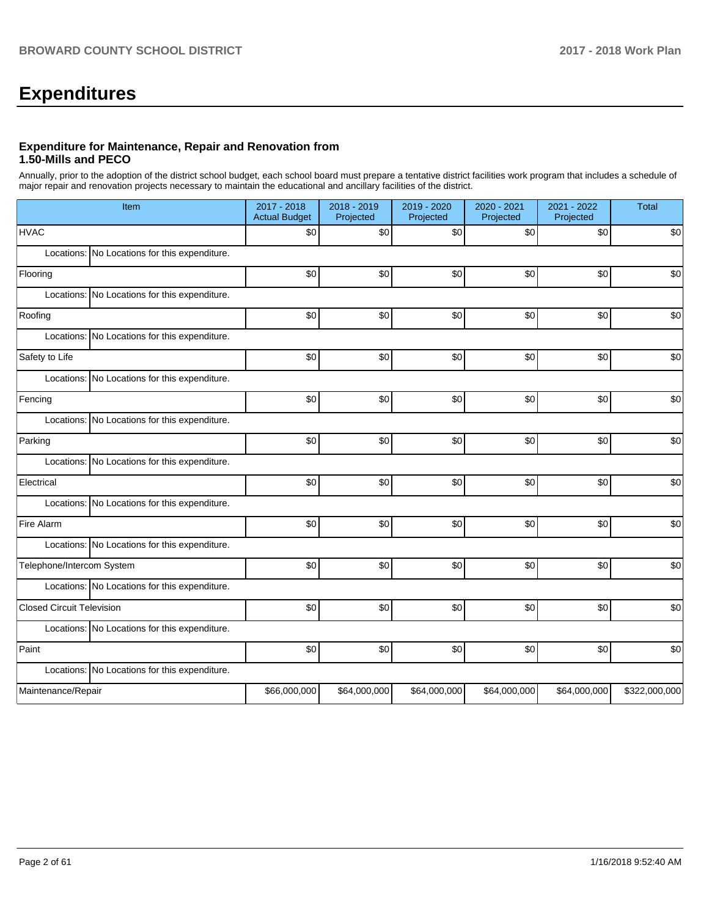# **Expenditures**

#### **Expenditure for Maintenance, Repair and Renovation from 1.50-Mills and PECO**

Annually, prior to the adoption of the district school budget, each school board must prepare a tentative district facilities work program that includes a schedule of major repair and renovation projects necessary to maintain the educational and ancillary facilities of the district.

| Item                                          | 2017 - 2018<br><b>Actual Budget</b> | 2018 - 2019<br>Projected | 2019 - 2020<br>Projected | 2020 - 2021<br>Projected | 2021 - 2022<br>Projected | Total         |
|-----------------------------------------------|-------------------------------------|--------------------------|--------------------------|--------------------------|--------------------------|---------------|
| <b>HVAC</b>                                   | \$0                                 | \$0                      | \$0                      | \$0                      | \$0                      | \$0           |
| Locations: No Locations for this expenditure. |                                     |                          |                          |                          |                          |               |
| Flooring                                      | \$0                                 | \$0                      | \$0                      | \$0                      | \$0                      | \$0           |
| Locations: No Locations for this expenditure. |                                     |                          |                          |                          |                          |               |
| Roofing                                       | \$0                                 | \$0                      | \$0                      | \$0                      | \$0                      | \$0           |
| Locations: No Locations for this expenditure. |                                     |                          |                          |                          |                          |               |
| Safety to Life                                | \$0                                 | \$0                      | \$0                      | \$0                      | \$0                      | \$0           |
| Locations: No Locations for this expenditure. |                                     |                          |                          |                          |                          |               |
| Fencing                                       | \$0                                 | \$0                      | \$0                      | \$0                      | \$0                      | \$0           |
| Locations: No Locations for this expenditure. |                                     |                          |                          |                          |                          |               |
| Parking                                       | \$0                                 | \$0                      | \$0                      | \$0                      | \$0                      | \$0           |
| Locations: No Locations for this expenditure. |                                     |                          |                          |                          |                          |               |
| Electrical                                    | \$0                                 | \$0                      | \$0                      | \$0                      | \$0                      | \$0           |
| Locations: No Locations for this expenditure. |                                     |                          |                          |                          |                          |               |
| Fire Alarm                                    | \$0                                 | \$0                      | \$0                      | \$0                      | \$0                      | \$0           |
| Locations: No Locations for this expenditure. |                                     |                          |                          |                          |                          |               |
| Telephone/Intercom System                     | \$0                                 | \$0                      | \$0                      | \$0                      | \$0                      | \$0           |
| Locations: No Locations for this expenditure. |                                     |                          |                          |                          |                          |               |
| <b>Closed Circuit Television</b>              | \$0                                 | \$0                      | \$0                      | \$0                      | \$0                      | \$0           |
| Locations: No Locations for this expenditure. |                                     |                          |                          |                          |                          |               |
| Paint                                         | \$0                                 | \$0                      | \$0                      | \$0                      | \$0                      | \$0           |
| Locations: No Locations for this expenditure. |                                     |                          |                          |                          |                          |               |
| Maintenance/Repair                            | \$66,000,000                        | \$64,000,000             | \$64,000,000             | \$64,000,000             | \$64,000,000             | \$322,000,000 |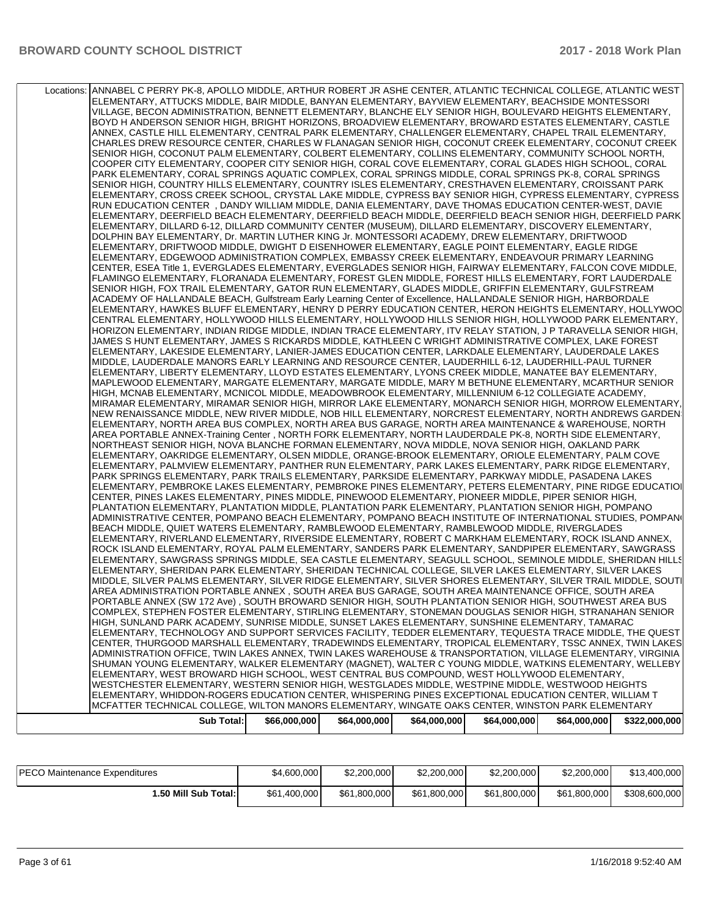| Locations: ANNABEL C PERRY PK-8, APOLLO MIDDLE, ARTHUR ROBERT JR ASHE CENTER, ATLANTIC TECHNICAL COLLEGE, ATLANTIC WEST |
|-------------------------------------------------------------------------------------------------------------------------|
| ELEMENTARY, ATTUCKS MIDDLE, BAIR MIDDLE, BANYAN ELEMENTARY, BAYVIEW ELEMENTARY, BEACHSIDE MONTESSORI                    |
| VILLAGE, BECON ADMINISTRATION, BENNETT ELEMENTARY, BLANCHE ELY SENIOR HIGH, BOULEVARD HEIGHTS ELEMENTARY,               |
|                                                                                                                         |
| BOYD H ANDERSON SENIOR HIGH, BRIGHT HORIZONS, BROADVIEW ELEMENTARY, BROWARD ESTATES ELEMENTARY, CASTLE                  |
| ANNEX, CASTLE HILL ELEMENTARY, CENTRAL PARK ELEMENTARY, CHALLENGER ELEMENTARY, CHAPEL TRAIL ELEMENTARY,                 |
| CHARLES DREW RESOURCE CENTER, CHARLES W FLANAGAN SENIOR HIGH, COCONUT CREEK ELEMENTARY, COCONUT CREEK                   |
| SENIOR HIGH, COCONUT PALM ELEMENTARY, COLBERT ELEMENTARY, COLLINS ELEMENTARY, COMMUNITY SCHOOL NORTH,                   |
| COOPER CITY ELEMENTARY, COOPER CITY SENIOR HIGH, CORAL COVE ELEMENTARY, CORAL GLADES HIGH SCHOOL, CORAL                 |
| PARK ELEMENTARY, CORAL SPRINGS AQUATIC COMPLEX, CORAL SPRINGS MIDDLE, CORAL SPRINGS PK-8, CORAL SPRINGS                 |
|                                                                                                                         |
| SENIOR HIGH, COUNTRY HILLS ELEMENTARY, COUNTRY ISLES ELEMENTARY, CRESTHAVEN ELEMENTARY, CROISSANT PARK                  |
| ELEMENTARY, CROSS CREEK SCHOOL, CRYSTAL LAKE MIDDLE, CYPRESS BAY SENIOR HIGH, CYPRESS ELEMENTARY, CYPRESS               |
| RUN EDUCATION CENTER, DANDY WILLIAM MIDDLE, DANIA ELEMENTARY, DAVE THOMAS EDUCATION CENTER-WEST, DAVIE                  |
| ELEMENTARY, DEERFIELD BEACH ELEMENTARY, DEERFIELD BEACH MIDDLE, DEERFIELD BEACH SENIOR HIGH, DEERFIELD PARK             |
| ELEMENTARY, DILLARD 6-12, DILLARD COMMUNITY CENTER (MUSEUM), DILLARD ELEMENTARY, DISCOVERY ELEMENTARY,                  |
| DOLPHIN BAY ELEMENTARY, Dr. MARTIN LUTHER KING Jr. MONTESSORI ACADEMY, DREW ELEMENTARY, DRIFTWOOD                       |
| ELEMENTARY, DRIFTWOOD MIDDLE, DWIGHT D EISENHOWER ELEMENTARY, EAGLE POINT ELEMENTARY, EAGLE RIDGE                       |
| ELEMENTARY, EDGEWOOD ADMINISTRATION COMPLEX, EMBASSY CREEK ELEMENTARY, ENDEAVOUR PRIMARY LEARNING                       |
|                                                                                                                         |
| CENTER, ESEA Title 1, EVERGLADES ELEMENTARY, EVERGLADES SENIOR HIGH, FAIRWAY ELEMENTARY, FALCON COVE MIDDLE,            |
| FLAMINGO ELEMENTARY, FLORANADA ELEMENTARY, FOREST GLEN MIDDLE, FOREST HILLS ELEMENTARY, FORT LAUDERDALE                 |
| SENIOR HIGH, FOX TRAIL ELEMENTARY, GATOR RUN ELEMENTARY, GLADES MIDDLE, GRIFFIN ELEMENTARY, GULFSTREAM                  |
| ACADEMY OF HALLANDALE BEACH, Gulfstream Early Learning Center of Excellence, HALLANDALE SENIOR HIGH, HARBORDALE         |
| ELEMENTARY, HAWKES BLUFF ELEMENTARY, HENRY D PERRY EDUCATION CENTER, HERON HEIGHTS ELEMENTARY, HOLLYWOO                 |
| CENTRAL ELEMENTARY, HOLLYWOOD HILLS ELEMENTARY, HOLLYWOOD HILLS SENIOR HIGH, HOLLYWOOD PARK ELEMENTARY,                 |
| HORIZON ELEMENTARY, INDIAN RIDGE MIDDLE, INDIAN TRACE ELEMENTARY, ITV RELAY STATION, J P TARAVELLA SENIOR HIGH,         |
| JAMES S HUNT ELEMENTARY, JAMES S RICKARDS MIDDLE, KATHLEEN C WRIGHT ADMINISTRATIVE COMPLEX, LAKE FOREST                 |
|                                                                                                                         |
| ELEMENTARY, LAKESIDE ELEMENTARY, LANIER-JAMES EDUCATION CENTER, LARKDALE ELEMENTARY, LAUDERDALE LAKES                   |
| MIDDLE, LAUDERDALE MANORS EARLY LEARNING AND RESOURCE CENTER, LAUDERHILL 6-12, LAUDERHILL-PAUL TURNER                   |
| ELEMENTARY, LIBERTY ELEMENTARY, LLOYD ESTATES ELEMENTARY, LYONS CREEK MIDDLE, MANATEE BAY ELEMENTARY,                   |
| MAPLEWOOD ELEMENTARY, MARGATE ELEMENTARY, MARGATE MIDDLE, MARY M BETHUNE ELEMENTARY, MCARTHUR SENIOR                    |
| HIGH, MCNAB ELEMENTARY, MCNICOL MIDDLE, MEADOWBROOK ELEMENTARY, MILLENNIUM 6-12 COLLEGIATE ACADEMY,                     |
| MIRAMAR ELEMENTARY. MIRAMAR SENIOR HIGH. MIRROR LAKE ELEMENTARY. MONARCH SENIOR HIGH. MORROW ELEMENTARY.                |
| NEW RENAISSANCE MIDDLE, NEW RIVER MIDDLE, NOB HILL ELEMENTARY, NORCREST ELEMENTARY, NORTH ANDREWS GARDEN:               |
| ELEMENTARY, NORTH AREA BUS COMPLEX, NORTH AREA BUS GARAGE, NORTH AREA MAINTENANCE & WAREHOUSE, NORTH                    |
| AREA PORTABLE ANNEX-Training Center, NORTH FORK ELEMENTARY, NORTH LAUDERDALE PK-8, NORTH SIDE ELEMENTARY,               |
|                                                                                                                         |
| NORTHEAST SENIOR HIGH, NOVA BLANCHE FORMAN ELEMENTARY, NOVA MIDDLE, NOVA SENIOR HIGH, OAKLAND PARK                      |
| ELEMENTARY, OAKRIDGE ELEMENTARY, OLSEN MIDDLE, ORANGE-BROOK ELEMENTARY, ORIOLE ELEMENTARY, PALM COVE                    |
| ELEMENTARY, PALMVIEW ELEMENTARY, PANTHER RUN ELEMENTARY, PARK LAKES ELEMENTARY, PARK RIDGE ELEMENTARY,                  |
| PARK SPRINGS ELEMENTARY, PARK TRAILS ELEMENTARY, PARKSIDE ELEMENTARY, PARKWAY MIDDLE, PASADENA LAKES                    |
| ELEMENTARY, PEMBROKE LAKES ELEMENTARY, PEMBROKE PINES ELEMENTARY, PETERS ELEMENTARY, PINE RIDGE EDUCATIOI               |
| CENTER, PINES LAKES ELEMENTARY, PINES MIDDLE, PINEWOOD ELEMENTARY, PIONEER MIDDLE, PIPER SENIOR HIGH,                   |
| PLANTATION ELEMENTARY, PLANTATION MIDDLE, PLANTATION PARK ELEMENTARY, PLANTATION SENIOR HIGH, POMPANO                   |
| ADMINISTRATIVE CENTER, POMPANO BEACH ELEMENTARY, POMPANO BEACH INSTITUTE OF INTERNATIONAL STUDIES, POMPANO              |
| BEACH MIDDLE, QUIET WATERS ELEMENTARY, RAMBLEWOOD ELEMENTARY, RAMBLEWOOD MIDDLE, RIVERGLADES                            |
| ELEMENTARY, RIVERLAND ELEMENTARY, RIVERSIDE ELEMENTARY, ROBERT C MARKHAM ELEMENTARY, ROCK ISLAND ANNEX,                 |
| ROCK ISLAND ELEMENTARY, ROYAL PALM ELEMENTARY, SANDERS PARK ELEMENTARY, SANDPIPER ELEMENTARY, SAWGRASS                  |
|                                                                                                                         |
| ELEMENTARY, SAWGRASS SPRINGS MIDDLE, SEA CASTLE ELEMENTARY, SEAGULL SCHOOL, SEMINOLE MIDDLE, SHERIDAN HILLS             |
| ELEMENTARY, SHERIDAN PARK ELEMENTARY, SHERIDAN TECHNICAL COLLEGE, SILVER LAKES ELEMENTARY, SILVER LAKES                 |
| MIDDLE, SILVER PALMS ELEMENTARY, SILVER RIDGE ELEMENTARY, SILVER SHORES ELEMENTARY, SILVER TRAIL MIDDLE, SOUTI          |
| AREA ADMINISTRATION PORTABLE ANNEX, SOUTH AREA BUS GARAGE, SOUTH AREA MAINTENANCE OFFICE, SOUTH AREA                    |
| PORTABLE ANNEX (SW 172 Ave), SOUTH BROWARD SENIOR HIGH, SOUTH PLANTATION SENIOR HIGH, SOUTHWEST AREA BUS                |
| COMPLEX, STEPHEN FOSTER ELEMENTARY, STIRLING ELEMENTARY, STONEMAN DOUGLAS SENIOR HIGH, STRANAHAN SENIOR                 |
| HIGH, SUNLAND PARK ACADEMY, SUNRISE MIDDLE, SUNSET LAKES ELEMENTARY, SUNSHINE ELEMENTARY, TAMARAC                       |
| ELEMENTARY, TECHNOLOGY AND SUPPORT SERVICES FACILITY, TEDDER ELEMENTARY, TEQUESTA TRACE MIDDLE, THE QUEST               |
| CENTER, THURGOOD MARSHALL ELEMENTARY, TRADEWINDS ELEMENTARY, TROPICAL ELEMENTARY, TSSC ANNEX, TWIN LAKES                |
|                                                                                                                         |
| ADMINISTRATION OFFICE, TWIN LAKES ANNEX, TWIN LAKES WAREHOUSE & TRANSPORTATION, VILLAGE ELEMENTARY, VIRGINIA            |
| SHUMAN YOUNG ELEMENTARY, WALKER ELEMENTARY (MAGNET), WALTER C YOUNG MIDDLE, WATKINS ELEMENTARY, WELLEBY                 |
| ELEMENTARY, WEST BROWARD HIGH SCHOOL, WEST CENTRAL BUS COMPOUND, WEST HOLLYWOOD ELEMENTARY,                             |
| WESTCHESTER ELEMENTARY, WESTERN SENIOR HIGH, WESTGLADES MIDDLE, WESTPINE MIDDLE, WESTWOOD HEIGHTS                       |
| ELEMENTARY, WHIDDON-ROGERS EDUCATION CENTER, WHISPERING PINES EXCEPTIONAL EDUCATION CENTER, WILLIAM T                   |
| MCFATTER TECHNICAL COLLEGE, WILTON MANORS ELEMENTARY, WINGATE OAKS CENTER, WINSTON PARK ELEMENTARY                      |
| <b>Sub Total:</b><br>\$66,000,000<br>\$64,000,000<br>\$64,000,000<br>\$64,000,000<br>\$64,000,000<br>\$322,000,000      |
|                                                                                                                         |

| <b>PECO Maintenance Expenditures</b> | \$4,600,000  | \$2,200,000  | \$2,200,000  | \$2,200,000  | \$2,200,000  | \$13,400,000  |
|--------------------------------------|--------------|--------------|--------------|--------------|--------------|---------------|
| 1.50 Mill Sub Total:                 | \$61,400,000 | \$61,800,000 | \$61.800.000 | \$61,800,000 | \$61,800,000 | \$308,600,000 |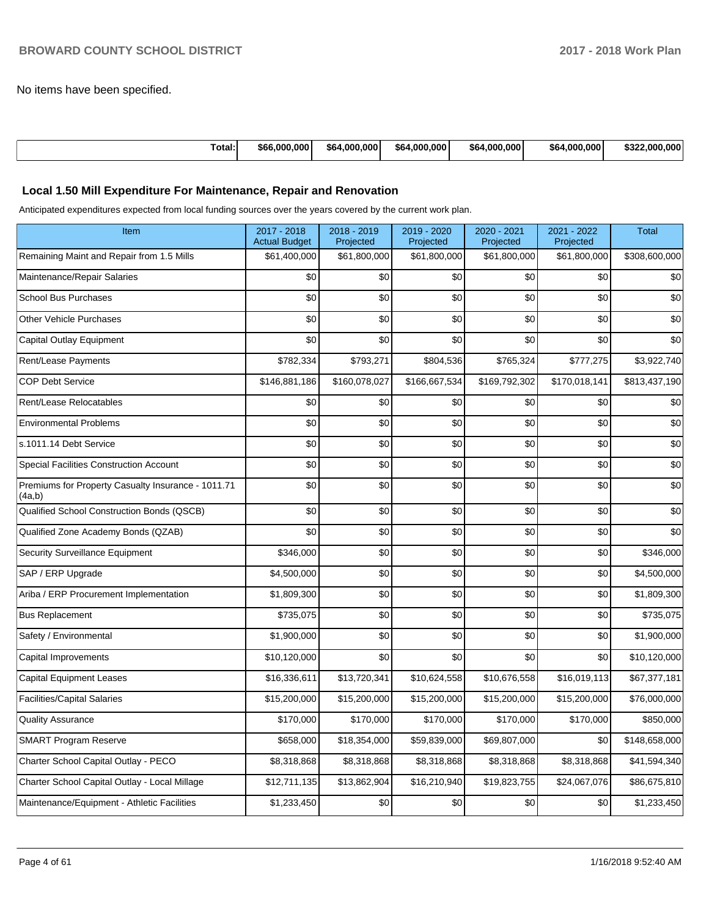No items have been specified.

| <b>Fotal:</b> | '000.000. ز<br>\$66 | 1.000.000<br>\$64 | 4.000.000<br>\$64. | 1.000.000<br>\$64 | 4.000.000<br>\$64 | .000<br>.000<br>トヘヘイ<br>D.JZ |
|---------------|---------------------|-------------------|--------------------|-------------------|-------------------|------------------------------|
|---------------|---------------------|-------------------|--------------------|-------------------|-------------------|------------------------------|

#### **Local 1.50 Mill Expenditure For Maintenance, Repair and Renovation**

Anticipated expenditures expected from local funding sources over the years covered by the current work plan.

| Item                                                         | 2017 - 2018<br><b>Actual Budget</b> | 2018 - 2019<br>Projected | 2019 - 2020<br>Projected | 2020 - 2021<br>Projected | 2021 - 2022<br>Projected | <b>Total</b>  |
|--------------------------------------------------------------|-------------------------------------|--------------------------|--------------------------|--------------------------|--------------------------|---------------|
| Remaining Maint and Repair from 1.5 Mills                    | \$61,400,000                        | \$61,800,000             | \$61,800,000             | \$61,800,000             | \$61,800,000             | \$308,600,000 |
| Maintenance/Repair Salaries                                  | \$0                                 | \$0                      | \$0                      | \$0                      | \$0                      | \$0           |
| <b>School Bus Purchases</b>                                  | \$0                                 | \$0                      | \$0                      | \$0                      | \$0                      | \$0           |
| <b>Other Vehicle Purchases</b>                               | \$0                                 | \$0                      | \$0                      | \$0                      | \$0                      | \$0           |
| Capital Outlay Equipment                                     | \$0                                 | \$0                      | \$0                      | \$0                      | \$0                      | \$0           |
| Rent/Lease Payments                                          | \$782,334                           | \$793,271                | \$804,536                | \$765,324                | \$777,275                | \$3,922,740   |
| <b>COP Debt Service</b>                                      | \$146,881,186                       | \$160,078,027            | \$166,667,534            | \$169,792,302            | \$170,018,141            | \$813,437,190 |
| Rent/Lease Relocatables                                      | \$0                                 | \$0                      | \$0                      | \$0                      | \$0                      | \$0           |
| <b>Environmental Problems</b>                                | \$0                                 | \$0                      | \$0                      | \$0                      | \$0                      | \$0           |
| s.1011.14 Debt Service                                       | \$0                                 | \$0                      | \$0                      | \$0                      | \$0                      | \$0           |
| Special Facilities Construction Account                      | \$0                                 | \$0                      | \$0                      | \$0                      | \$0                      | \$0           |
| Premiums for Property Casualty Insurance - 1011.71<br>(4a,b) | \$0                                 | \$0                      | \$0                      | \$0                      | \$0                      | \$0           |
| Qualified School Construction Bonds (QSCB)                   | \$0                                 | \$0                      | \$0                      | \$0                      | \$0                      | \$0           |
| Qualified Zone Academy Bonds (QZAB)                          | \$0                                 | \$0                      | \$0                      | \$0                      | \$0                      | \$0           |
| <b>Security Surveillance Equipment</b>                       | \$346,000                           | \$0                      | \$0                      | \$0                      | \$0                      | \$346,000     |
| SAP / ERP Upgrade                                            | \$4,500,000                         | \$0                      | \$0                      | \$0                      | \$0                      | \$4,500,000   |
| Ariba / ERP Procurement Implementation                       | \$1,809,300                         | \$0                      | \$0                      | \$0                      | \$0                      | \$1,809,300   |
| <b>Bus Replacement</b>                                       | \$735,075                           | \$0                      | \$0                      | \$0                      | \$0                      | \$735,075     |
| Safety / Environmental                                       | \$1,900,000                         | \$0                      | \$0                      | \$0                      | \$0                      | \$1,900,000   |
| Capital Improvements                                         | \$10,120,000                        | \$0                      | \$0                      | \$0                      | \$0                      | \$10,120,000  |
| <b>Capital Equipment Leases</b>                              | \$16,336,611                        | \$13,720,341             | \$10,624,558             | \$10,676,558             | \$16,019,113             | \$67,377,181  |
| <b>Facilities/Capital Salaries</b>                           | \$15,200,000                        | \$15,200,000             | \$15,200,000             | \$15,200,000             | \$15,200,000             | \$76,000,000  |
| <b>Quality Assurance</b>                                     | \$170,000                           | \$170,000                | \$170,000                | \$170,000                | \$170,000                | \$850,000     |
| <b>SMART Program Reserve</b>                                 | \$658,000                           | \$18,354,000             | \$59,839,000             | \$69,807,000             | \$0                      | \$148,658,000 |
| Charter School Capital Outlay - PECO                         | \$8,318,868                         | \$8,318,868              | \$8,318,868              | \$8,318,868              | \$8,318,868              | \$41,594,340  |
| Charter School Capital Outlay - Local Millage                | \$12,711,135                        | \$13,862,904             | \$16,210,940             | \$19,823,755             | \$24,067,076             | \$86,675,810  |
| Maintenance/Equipment - Athletic Facilities                  | \$1,233,450                         | \$0                      | \$0                      | \$0                      | \$0                      | \$1,233,450   |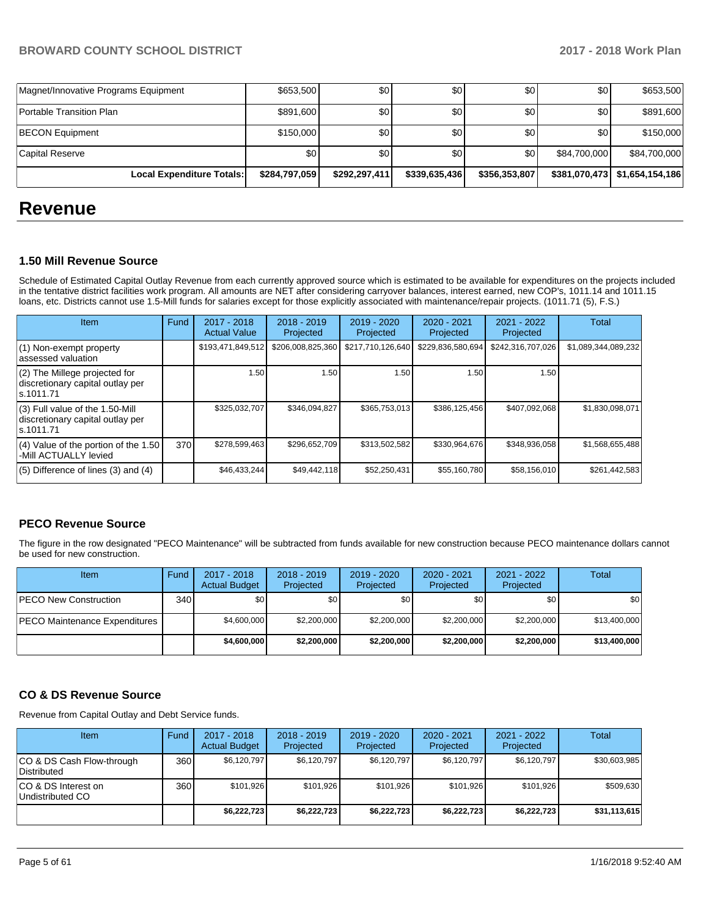| Magnet/Innovative Programs Equipment | \$653,500     | \$0           | \$0           | \$0           | \$0              | \$653,500                       |
|--------------------------------------|---------------|---------------|---------------|---------------|------------------|---------------------------------|
| Portable Transition Plan             | \$891,600     | \$0           | \$0           | \$0           | \$0 <sub>1</sub> | \$891,600                       |
| <b>BECON Equipment</b>               | \$150,000     | \$0           | \$0           | \$0           | \$0              | \$150,000                       |
| Capital Reserve                      | \$0           | \$0           | \$0           | <b>\$01</b>   | \$84.700.000     | \$84,700,000                    |
| <b>Local Expenditure Totals:</b>     | \$284,797,059 | \$292,297,411 | \$339,635,436 | \$356,353,807 |                  | \$381,070,473   \$1,654,154,186 |

# **Revenue**

#### **1.50 Mill Revenue Source**

Schedule of Estimated Capital Outlay Revenue from each currently approved source which is estimated to be available for expenditures on the projects included in the tentative district facilities work program. All amounts are NET after considering carryover balances, interest earned, new COP's, 1011.14 and 1011.15 loans, etc. Districts cannot use 1.5-Mill funds for salaries except for those explicitly associated with maintenance/repair projects. (1011.71 (5), F.S.)

| Item                                                                                | Fund | 2017 - 2018<br><b>Actual Value</b> | $2018 - 2019$<br>Projected | $2019 - 2020$<br>Projected | $2020 - 2021$<br>Projected | $2021 - 2022$<br>Projected | <b>Total</b>        |
|-------------------------------------------------------------------------------------|------|------------------------------------|----------------------------|----------------------------|----------------------------|----------------------------|---------------------|
| (1) Non-exempt property<br>lassessed valuation                                      |      | \$193,471,849,512                  | \$206,008,825,360          | \$217,710,126,640          | \$229,836,580,694          | \$242,316,707,026          | \$1,089,344,089,232 |
| $(2)$ The Millege projected for<br>discretionary capital outlay per<br>ls.1011.71   |      | 1.50                               | 1.50                       | 1.50                       | 1.50                       | 1.50                       |                     |
| $(3)$ Full value of the 1.50-Mill<br>discretionary capital outlay per<br>ls.1011.71 |      | \$325,032,707                      | \$346,094,827              | \$365,753,013              | \$386,125,456              | \$407,092,068              | \$1,830,098,071     |
| $(4)$ Value of the portion of the 1.50<br>-Mill ACTUALLY levied                     | 370  | \$278,599,463                      | \$296,652,709              | \$313,502,582              | \$330,964,676              | \$348,936,058              | \$1,568,655,488     |
| $(5)$ Difference of lines $(3)$ and $(4)$                                           |      | \$46,433,244                       | \$49,442,118               | \$52,250,431               | \$55,160,780               | \$58,156,010               | \$261,442,583       |

#### **PECO Revenue Source**

The figure in the row designated "PECO Maintenance" will be subtracted from funds available for new construction because PECO maintenance dollars cannot be used for new construction.

| Item                          | Fund             | $2017 - 2018$<br><b>Actual Budget</b> | $2018 - 2019$<br>Projected | 2019 - 2020<br>Projected | $2020 - 2021$<br>Projected | 2021 - 2022<br>Projected | <b>Total</b> |
|-------------------------------|------------------|---------------------------------------|----------------------------|--------------------------|----------------------------|--------------------------|--------------|
| <b>PECO New Construction</b>  | 340 <sup>1</sup> | \$0                                   | \$0                        | \$0                      | \$0                        | \$0                      | \$0          |
| PECO Maintenance Expenditures |                  | \$4,600,000                           | \$2,200,000                | \$2,200,000              | \$2,200,000                | \$2,200,000              | \$13,400,000 |
|                               |                  | \$4,600,000                           | \$2,200,000                | \$2,200,000              | \$2,200,000                | \$2,200,000              | \$13,400,000 |

#### **CO & DS Revenue Source**

Revenue from Capital Outlay and Debt Service funds.

| <b>Item</b>                              | Fund | $2017 - 2018$<br><b>Actual Budget</b> | $2018 - 2019$<br>Projected | $2019 - 2020$<br>Projected | $2020 - 2021$<br>Projected | $2021 - 2022$<br>Projected | Total        |
|------------------------------------------|------|---------------------------------------|----------------------------|----------------------------|----------------------------|----------------------------|--------------|
| CO & DS Cash Flow-through<br>Distributed | 360  | \$6.120.797                           | \$6,120,797                | \$6,120,797                | \$6,120,797                | \$6,120,797                | \$30,603,985 |
| CO & DS Interest on<br>Undistributed CO  | 360  | \$101,926                             | \$101.926                  | \$101.926                  | \$101.926                  | \$101,926                  | \$509,630    |
|                                          |      | \$6,222,723                           | \$6,222,723                | \$6,222,723                | \$6,222,723                | \$6,222,723                | \$31,113,615 |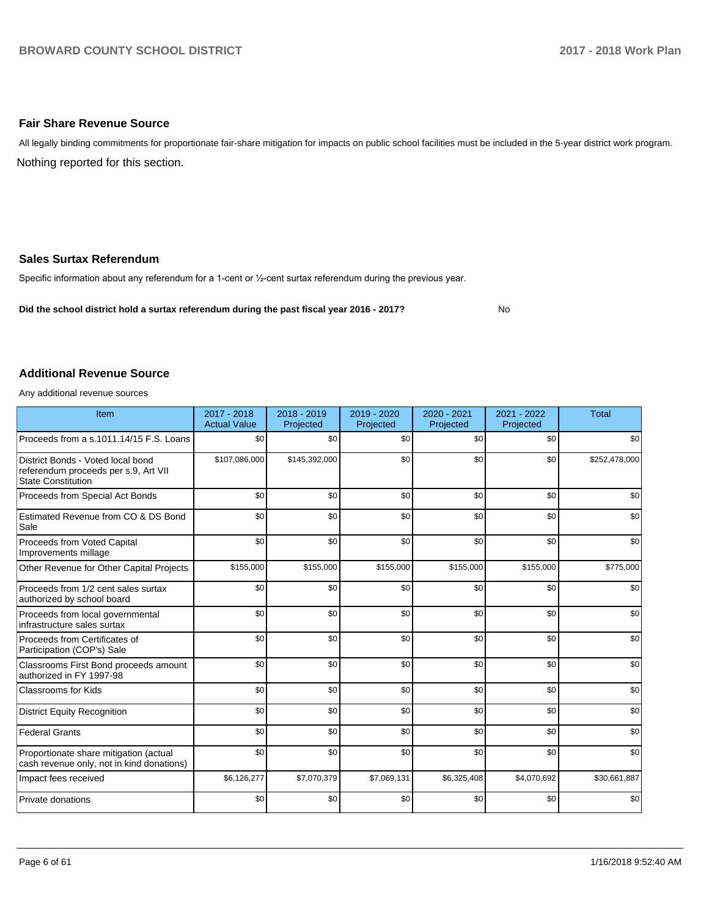#### **Fair Share Revenue Source**

Nothing reported for this section. All legally binding commitments for proportionate fair-share mitigation for impacts on public school facilities must be included in the 5-year district work program.

#### **Sales Surtax Referendum**

Specific information about any referendum for a 1-cent or 1/2-cent surtax referendum during the previous year.

**Did the school district hold a surtax referendum during the past fiscal year 2016 - 2017?**

No

#### **Additional Revenue Source**

Any additional revenue sources

| Item                                                                                                   | 2017 - 2018<br><b>Actual Value</b> | 2018 - 2019<br>Projected | 2019 - 2020<br>Projected | 2020 - 2021<br>Projected | 2021 - 2022<br>Projected | <b>Total</b>  |
|--------------------------------------------------------------------------------------------------------|------------------------------------|--------------------------|--------------------------|--------------------------|--------------------------|---------------|
| Proceeds from a s.1011.14/15 F.S. Loans                                                                | \$0                                | \$0                      | \$0                      | \$0                      | \$0                      | \$0           |
| District Bonds - Voted local bond<br>referendum proceeds per s.9, Art VII<br><b>State Constitution</b> | \$107,086,000                      | \$145,392,000            | \$0                      | \$0                      | \$0                      | \$252,478,000 |
| Proceeds from Special Act Bonds                                                                        | \$0                                | \$0                      | \$0                      | \$0                      | \$0                      | \$0           |
| Estimated Revenue from CO & DS Bond<br>Sale                                                            | \$0                                | \$0                      | \$0                      | \$0                      | \$0                      | \$0           |
| Proceeds from Voted Capital<br>Improvements millage                                                    | \$0                                | \$0                      | \$0                      | \$0                      | \$0                      | \$0           |
| Other Revenue for Other Capital Projects                                                               | \$155,000                          | \$155,000                | \$155,000                | \$155,000                | \$155,000                | \$775,000     |
| Proceeds from 1/2 cent sales surtax<br>authorized by school board                                      | \$0                                | \$0                      | \$0                      | \$0                      | \$0                      | \$0           |
| Proceeds from local governmental<br>infrastructure sales surtax                                        | \$0                                | \$0                      | \$0                      | \$0                      | \$0                      | \$0           |
| Proceeds from Certificates of<br>Participation (COP's) Sale                                            | \$0                                | \$0                      | \$0                      | \$0                      | \$0                      | \$0           |
| Classrooms First Bond proceeds amount<br>authorized in FY 1997-98                                      | \$0                                | \$0                      | \$0                      | \$0                      | \$0                      | \$0           |
| <b>Classrooms for Kids</b>                                                                             | \$0                                | \$0                      | \$0                      | \$0                      | \$0                      | \$0           |
| <b>District Equity Recognition</b>                                                                     | \$0                                | \$0                      | \$0                      | \$0                      | \$0                      | \$0           |
| <b>Federal Grants</b>                                                                                  | \$0                                | \$0                      | \$0                      | \$0                      | \$0                      | \$0           |
| Proportionate share mitigation (actual<br>cash revenue only, not in kind donations)                    | \$0                                | \$0                      | \$0                      | \$0                      | \$0                      | \$0           |
| Impact fees received                                                                                   | \$6,126,277                        | \$7,070,379              | \$7,069,131              | \$6,325,408              | \$4,070,692              | \$30,661,887  |
| Private donations                                                                                      | \$0                                | \$0                      | \$0                      | \$0                      | \$0                      | \$0           |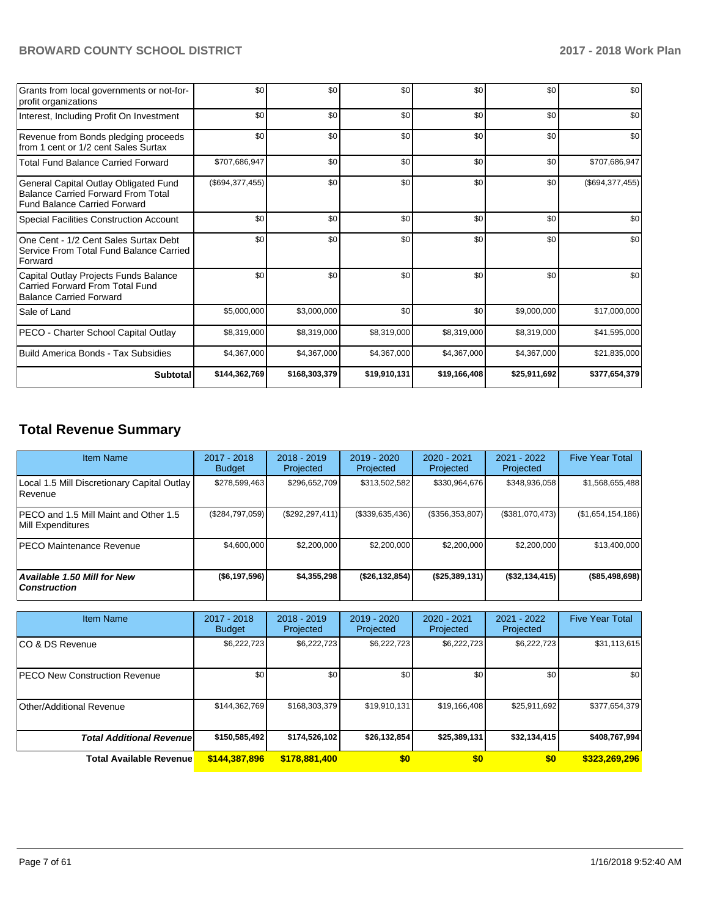| Grants from local governments or not-for-<br>profit organizations                                                         | \$0             | \$0           | \$0          | \$0          | \$0          | \$0               |
|---------------------------------------------------------------------------------------------------------------------------|-----------------|---------------|--------------|--------------|--------------|-------------------|
| Interest, Including Profit On Investment                                                                                  | \$0             | \$0           | \$0          | \$0          | \$0          | \$0               |
| Revenue from Bonds pledging proceeds<br>from 1 cent or 1/2 cent Sales Surtax                                              | \$0             | \$0           | \$0          | \$0          | \$0          | \$0               |
| <b>Total Fund Balance Carried Forward</b>                                                                                 | \$707,686,947   | \$0           | \$0          | \$0          | \$0          | \$707,686,947     |
| General Capital Outlay Obligated Fund<br><b>Balance Carried Forward From Total</b><br><b>Fund Balance Carried Forward</b> | (\$694,377,455) | \$0           | \$0          | \$0          | \$0          | (\$694, 377, 455) |
| Special Facilities Construction Account                                                                                   | \$0             | \$0           | \$0          | \$0          | \$0          | \$0               |
| One Cent - 1/2 Cent Sales Surtax Debt<br>Service From Total Fund Balance Carried<br>Forward                               | \$0             | \$0           | \$0          | \$0          | \$0          | \$0               |
| Capital Outlay Projects Funds Balance<br>Carried Forward From Total Fund<br><b>Balance Carried Forward</b>                | \$0             | \$0           | \$0          | \$0          | \$0          | \$0               |
| Sale of Land                                                                                                              | \$5,000,000     | \$3,000,000   | \$0          | \$0          | \$9,000,000  | \$17,000,000      |
| PECO - Charter School Capital Outlay                                                                                      | \$8,319,000     | \$8,319,000   | \$8,319,000  | \$8,319,000  | \$8,319,000  | \$41,595,000      |
| Build America Bonds - Tax Subsidies                                                                                       | \$4,367,000     | \$4,367,000   | \$4,367,000  | \$4,367,000  | \$4,367,000  | \$21,835,000      |
| <b>Subtotal</b>                                                                                                           | \$144,362,769   | \$168,303,379 | \$19,910,131 | \$19,166,408 | \$25,911,692 | \$377,654,379     |

# **Total Revenue Summary**

| <b>Item Name</b>                                           | $2017 - 2018$<br><b>Budget</b> | $2018 - 2019$<br>Projected | 2019 - 2020<br>Projected | $2020 - 2021$<br>Projected | 2021 - 2022<br>Projected | <b>Five Year Total</b> |
|------------------------------------------------------------|--------------------------------|----------------------------|--------------------------|----------------------------|--------------------------|------------------------|
| Local 1.5 Mill Discretionary Capital Outlay<br>l Revenue   | \$278,599,463                  | \$296,652,709              | \$313,502,582            | \$330,964,676              | \$348,936,058            | \$1,568,655,488        |
| PECO and 1.5 Mill Maint and Other 1.5<br>Mill Expenditures | (\$284,797,059)                | (\$292, 297, 411)          | (\$339,635,436)          | (\$356,353,807)            | (\$381,070,473)          | (\$1,654,154,186)      |
| <b>IPECO Maintenance Revenue</b>                           | \$4,600,000                    | \$2,200,000                | \$2,200,000              | \$2,200,000                | \$2,200,000              | \$13,400,000           |
| <b>Available 1.50 Mill for New</b><br><b>Construction</b>  | ( \$6,197,596)                 | \$4,355,298                | (\$26,132,854)           | (\$25,389,131)             | $($ \$32,134,415)        | (\$85,498,698)         |

| Item Name                             | 2017 - 2018<br><b>Budget</b> | $2018 - 2019$<br>Projected | $2019 - 2020$<br>Projected | $2020 - 2021$<br>Projected | 2021 - 2022<br>Projected | <b>Five Year Total</b> |
|---------------------------------------|------------------------------|----------------------------|----------------------------|----------------------------|--------------------------|------------------------|
| ICO & DS Revenue                      | \$6,222,723                  | \$6,222,723                | \$6,222,723                | \$6,222,723                | \$6,222,723              | \$31,113,615           |
| <b>IPECO New Construction Revenue</b> | \$0                          | \$0                        | \$0                        | \$0                        | \$0 <sub>1</sub>         | \$0                    |
| Other/Additional Revenue              | \$144,362,769                | \$168,303,379              | \$19,910,131               | \$19.166.408               | \$25,911,692             | \$377,654,379          |
| <b>Total Additional Revenuel</b>      | \$150,585,492                | \$174,526,102              | \$26,132,854               | \$25,389,131               | \$32,134,415             | \$408,767,994          |
| <b>Total Available Revenue</b>        | \$144,387,896                | \$178,881,400              | \$0                        | \$0                        | \$0                      | \$323,269,296          |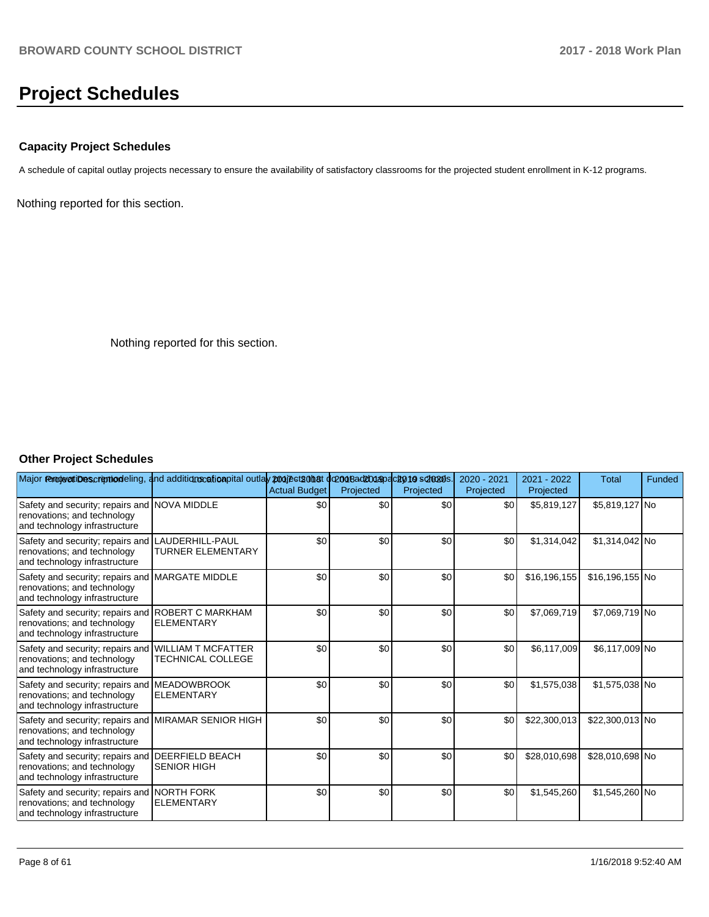# **Project Schedules**

#### **Capacity Project Schedules**

A schedule of capital outlay projects necessary to ensure the availability of satisfactory classrooms for the projected student enrollment in K-12 programs.

Nothing reported for this section.

Nothing reported for this section.

#### **Other Project Schedules**

| Major removertibuscription deling, and additions cation pital outlay projects on at docor backboap acknowls. |                                                | <b>Actual Budget</b> | Projected | Projected | 2020 - 2021<br>Projected | 2021 - 2022<br>Projected | <b>Total</b>    | Funded |
|--------------------------------------------------------------------------------------------------------------|------------------------------------------------|----------------------|-----------|-----------|--------------------------|--------------------------|-----------------|--------|
| Safety and security; repairs and NOVA MIDDLE<br>renovations; and technology<br>and technology infrastructure |                                                | \$0                  | \$0       | \$0       | \$0                      | \$5,819,127              | \$5,819,127 No  |        |
| Safety and security; repairs and<br>renovations; and technology<br>and technology infrastructure             | LAUDERHILL-PAUL<br><b>TURNER ELEMENTARY</b>    | \$0                  | \$0       | \$0       | \$0                      | \$1,314,042              | \$1,314,042 No  |        |
| Safety and security; repairs and<br>renovations; and technology<br>and technology infrastructure             | <b>MARGATE MIDDLE</b>                          | \$0                  | \$0       | \$0       | \$0                      | \$16,196,155             | \$16,196,155 No |        |
| Safety and security; repairs and<br>renovations; and technology<br>and technology infrastructure             | <b>ROBERT C MARKHAM</b><br><b>ELEMENTARY</b>   | \$0                  | \$0       | \$0       | \$0                      | \$7,069,719              | \$7,069,719 No  |        |
| Safety and security; repairs and<br>renovations; and technology<br>and technology infrastructure             | <b>WILLIAM T MCFATTER</b><br>TECHNICAL COLLEGE | \$0                  | \$0       | \$0       | \$0                      | \$6,117,009              | \$6,117,009 No  |        |
| Safety and security; repairs and<br>renovations; and technology<br>and technology infrastructure             | <b>MEADOWBROOK</b><br><b>ELEMENTARY</b>        | \$0                  | \$0       | \$0       | \$0                      | \$1,575,038              | \$1,575,038 No  |        |
| Safety and security; repairs and<br>renovations; and technology<br>and technology infrastructure             | <b>MIRAMAR SENIOR HIGH</b>                     | \$0                  | \$0       | \$0       | \$0                      | \$22,300,013             | \$22,300,013 No |        |
| Safety and security; repairs and<br>renovations; and technology<br>and technology infrastructure             | <b>DEERFIELD BEACH</b><br><b>SENIOR HIGH</b>   | \$0                  | \$0       | \$0       | \$0                      | \$28,010,698             | \$28,010,698 No |        |
| Safety and security; repairs and NORTH FORK<br>renovations; and technology<br>and technology infrastructure  | <b>ELEMENTARY</b>                              | \$0                  | \$0       | \$0       | \$0                      | \$1,545,260              | \$1,545,260 No  |        |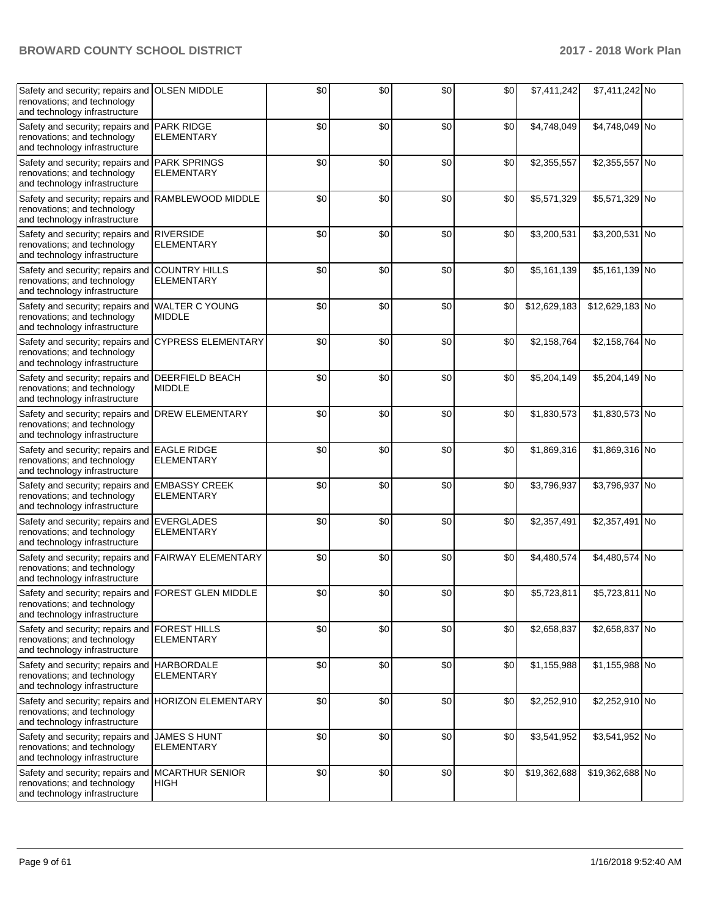| Safety and security; repairs and<br>renovations; and technology<br>and technology infrastructure                    | <b>OLSEN MIDDLE</b>                       | \$0 | \$0 | \$0 | \$0 | \$7,411,242  | \$7,411,242 No  |  |
|---------------------------------------------------------------------------------------------------------------------|-------------------------------------------|-----|-----|-----|-----|--------------|-----------------|--|
| Safety and security; repairs and<br>renovations; and technology<br>and technology infrastructure                    | <b>PARK RIDGE</b><br><b>ELEMENTARY</b>    | \$0 | \$0 | \$0 | \$0 | \$4,748,049  | \$4,748,049 No  |  |
| Safety and security; repairs and<br>renovations; and technology<br>and technology infrastructure                    | <b>PARK SPRINGS</b><br>ELEMENTARY         | \$0 | \$0 | \$0 | \$0 | \$2,355,557  | \$2,355,557 No  |  |
| Safety and security; repairs and<br>renovations; and technology<br>and technology infrastructure                    | RAMBLEWOOD MIDDLE                         | \$0 | \$0 | \$0 | \$0 | \$5,571,329  | \$5,571,329 No  |  |
| Safety and security; repairs and RIVERSIDE<br>renovations; and technology<br>and technology infrastructure          | <b>ELEMENTARY</b>                         | \$0 | \$0 | \$0 | \$0 | \$3,200,531  | \$3,200,531 No  |  |
| Safety and security; repairs and<br>renovations; and technology<br>and technology infrastructure                    | <b>COUNTRY HILLS</b><br><b>ELEMENTARY</b> | \$0 | \$0 | \$0 | \$0 | \$5,161,139  | \$5,161,139 No  |  |
| Safety and security; repairs and<br>renovations; and technology<br>and technology infrastructure                    | <b>WALTER C YOUNG</b><br><b>MIDDLE</b>    | \$0 | \$0 | \$0 | \$0 | \$12,629,183 | \$12,629,183 No |  |
| Safety and security; repairs and<br>renovations; and technology<br>and technology infrastructure                    | <b>CYPRESS ELEMENTARY</b>                 | \$0 | \$0 | \$0 | \$0 | \$2,158,764  | \$2,158,764 No  |  |
| Safety and security; repairs and<br>renovations; and technology<br>and technology infrastructure                    | <b>DEERFIELD BEACH</b><br><b>MIDDLE</b>   | \$0 | \$0 | \$0 | \$0 | \$5,204,149  | \$5,204,149 No  |  |
| Safety and security; repairs and<br>renovations; and technology<br>and technology infrastructure                    | <b>DREW ELEMENTARY</b>                    | \$0 | \$0 | \$0 | \$0 | \$1,830,573  | \$1,830,573 No  |  |
| Safety and security; repairs and EAGLE RIDGE<br>renovations; and technology<br>and technology infrastructure        | <b>ELEMENTARY</b>                         | \$0 | \$0 | \$0 | \$0 | \$1,869,316  | \$1,869,316 No  |  |
| Safety and security; repairs and EMBASSY CREEK<br>renovations; and technology<br>and technology infrastructure      | <b>ELEMENTARY</b>                         | \$0 | \$0 | \$0 | \$0 | \$3,796,937  | \$3,796,937 No  |  |
| Safety and security; repairs and<br>renovations; and technology<br>and technology infrastructure                    | <b>EVERGLADES</b><br><b>ELEMENTARY</b>    | \$0 | \$0 | \$0 | \$0 | \$2,357,491  | \$2,357,491 No  |  |
| Safety and security; repairs and<br>renovations; and technology<br>and technology infrastructure                    | <b>FAIRWAY ELEMENTARY</b>                 | \$0 | \$0 | \$0 | \$0 | \$4,480,574  | \$4,480,574 No  |  |
| Safety and security; repairs and FOREST GLEN MIDDLE<br>renovations; and technology<br>and technology infrastructure |                                           | \$0 | \$0 | \$0 | \$0 | \$5,723,811  | \$5,723,811 No  |  |
| Safety and security; repairs and<br>renovations; and technology<br>and technology infrastructure                    | <b>FOREST HILLS</b><br>ELEMENTARY         | \$0 | \$0 | \$0 | \$0 | \$2,658,837  | \$2,658,837 No  |  |
| Safety and security; repairs and HARBORDALE<br>renovations; and technology<br>and technology infrastructure         | <b>ELEMENTARY</b>                         | \$0 | \$0 | \$0 | \$0 | \$1,155,988  | \$1,155,988 No  |  |
| Safety and security; repairs and HORIZON ELEMENTARY<br>renovations; and technology<br>and technology infrastructure |                                           | \$0 | \$0 | \$0 | \$0 | \$2,252,910  | \$2,252,910 No  |  |
| Safety and security; repairs and<br>renovations; and technology<br>and technology infrastructure                    | <b>JAMES S HUNT</b><br><b>ELEMENTARY</b>  | \$0 | \$0 | \$0 | \$0 | \$3,541,952  | \$3,541,952 No  |  |
| Safety and security; repairs and<br>renovations; and technology<br>and technology infrastructure                    | <b>MCARTHUR SENIOR</b><br><b>HIGH</b>     | \$0 | \$0 | \$0 | \$0 | \$19,362,688 | \$19,362,688 No |  |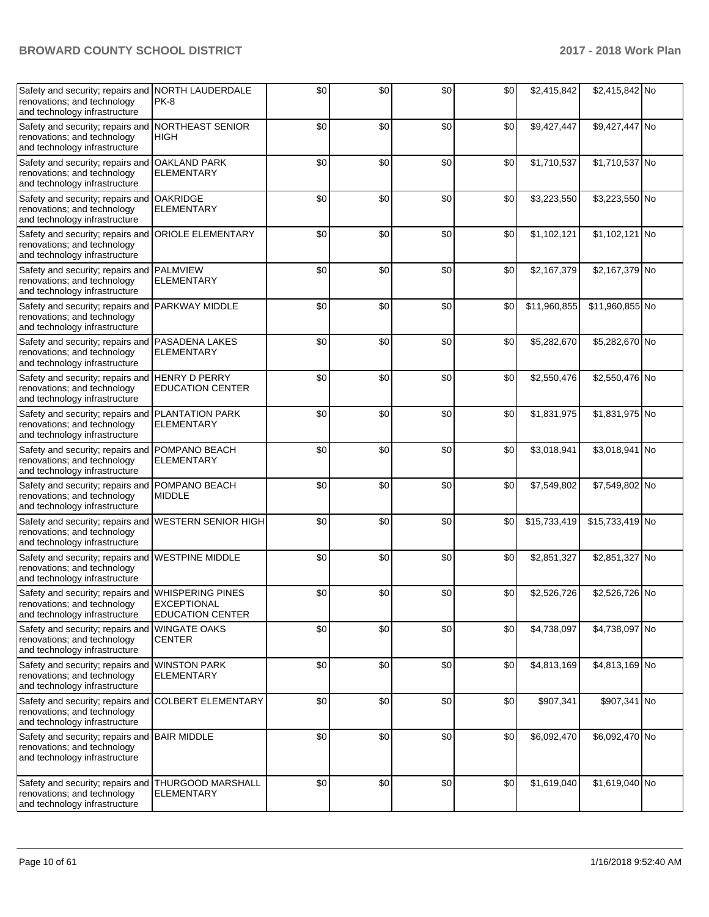| Safety and security; repairs and NORTH LAUDERDALE<br>renovations; and technology<br>and technology infrastructure | PK-8                                                              | \$0 | \$0 | \$0 | \$0 | \$2,415,842  | \$2,415,842 No  |  |
|-------------------------------------------------------------------------------------------------------------------|-------------------------------------------------------------------|-----|-----|-----|-----|--------------|-----------------|--|
| Safety and security; repairs and<br>renovations; and technology<br>and technology infrastructure                  | <b>NORTHEAST SENIOR</b><br><b>HIGH</b>                            | \$0 | \$0 | \$0 | \$0 | \$9,427,447  | \$9,427,447 No  |  |
| Safety and security; repairs and<br>renovations; and technology<br>and technology infrastructure                  | <b>OAKLAND PARK</b><br><b>ELEMENTARY</b>                          | \$0 | \$0 | \$0 | \$0 | \$1,710,537  | \$1,710,537 No  |  |
| Safety and security; repairs and<br>renovations; and technology<br>and technology infrastructure                  | <b>OAKRIDGE</b><br>ELEMENTARY                                     | \$0 | \$0 | \$0 | \$0 | \$3,223,550  | \$3,223,550 No  |  |
| Safety and security; repairs and<br>renovations; and technology<br>and technology infrastructure                  | <b>ORIOLE ELEMENTARY</b>                                          | \$0 | \$0 | \$0 | \$0 | \$1,102,121  | \$1,102,121 No  |  |
| Safety and security; repairs and PALMVIEW<br>renovations; and technology<br>and technology infrastructure         | <b>ELEMENTARY</b>                                                 | \$0 | \$0 | \$0 | \$0 | \$2,167,379  | \$2,167,379 No  |  |
| Safety and security; repairs and<br>renovations; and technology<br>and technology infrastructure                  | <b>PARKWAY MIDDLE</b>                                             | \$0 | \$0 | \$0 | \$0 | \$11,960,855 | \$11,960,855 No |  |
| Safety and security; repairs and<br>renovations; and technology<br>and technology infrastructure                  | <b>PASADENA LAKES</b><br><b>ELEMENTARY</b>                        | \$0 | \$0 | \$0 | \$0 | \$5,282,670  | \$5,282,670 No  |  |
| Safety and security; repairs and<br>renovations; and technology<br>and technology infrastructure                  | <b>HENRY D PERRY</b><br><b>EDUCATION CENTER</b>                   | \$0 | \$0 | \$0 | \$0 | \$2,550,476  | \$2,550,476 No  |  |
| Safety and security; repairs and<br>renovations; and technology<br>and technology infrastructure                  | <b>PLANTATION PARK</b><br>ELEMENTARY                              | \$0 | \$0 | \$0 | \$0 | \$1,831,975  | \$1,831,975 No  |  |
| Safety and security; repairs and<br>renovations; and technology<br>and technology infrastructure                  | POMPANO BEACH<br><b>ELEMENTARY</b>                                | \$0 | \$0 | \$0 | \$0 | \$3,018,941  | \$3,018,941 No  |  |
| Safety and security; repairs and POMPANO BEACH<br>renovations; and technology<br>and technology infrastructure    | <b>MIDDLE</b>                                                     | \$0 | \$0 | \$0 | \$0 | \$7,549,802  | \$7,549,802 No  |  |
| Safety and security; repairs and<br>renovations; and technology<br>and technology infrastructure                  | <b>WESTERN SENIOR HIGH</b>                                        | \$0 | \$0 | \$0 | \$0 | \$15,733,419 | \$15,733,419 No |  |
| Safety and security; repairs and<br>renovations; and technology<br>and technology infrastructure                  | <b>WESTPINE MIDDLE</b>                                            | \$0 | \$0 | \$0 | \$0 | \$2,851,327  | \$2,851,327 No  |  |
| Safety and security; repairs and<br>renovations; and technology<br>and technology infrastructure                  | <b>WHISPERING PINES</b><br>EXCEPTIONAL<br><b>EDUCATION CENTER</b> | \$0 | \$0 | \$0 | \$0 | \$2,526,726  | \$2,526,726 No  |  |
| Safety and security; repairs and<br>renovations; and technology<br>and technology infrastructure                  | <b>WINGATE OAKS</b><br><b>CENTER</b>                              | \$0 | \$0 | \$0 | \$0 | \$4,738,097  | \$4,738,097 No  |  |
| Safety and security; repairs and<br>renovations; and technology<br>and technology infrastructure                  | <b>WINSTON PARK</b><br>ELEMENTARY                                 | \$0 | \$0 | \$0 | \$0 | \$4,813,169  | \$4,813,169 No  |  |
| Safety and security; repairs and<br>renovations; and technology<br>and technology infrastructure                  | <b>COLBERT ELEMENTARY</b>                                         | \$0 | \$0 | \$0 | \$0 | \$907,341    | \$907,341 No    |  |
| Safety and security; repairs and<br>renovations; and technology<br>and technology infrastructure                  | <b>BAIR MIDDLE</b>                                                | \$0 | \$0 | \$0 | \$0 | \$6,092,470  | \$6,092,470 No  |  |
| Safety and security; repairs and<br>renovations; and technology<br>and technology infrastructure                  | <b>THURGOOD MARSHALL</b><br>ELEMENTARY                            | \$0 | \$0 | \$0 | \$0 | \$1,619,040  | \$1,619,040 No  |  |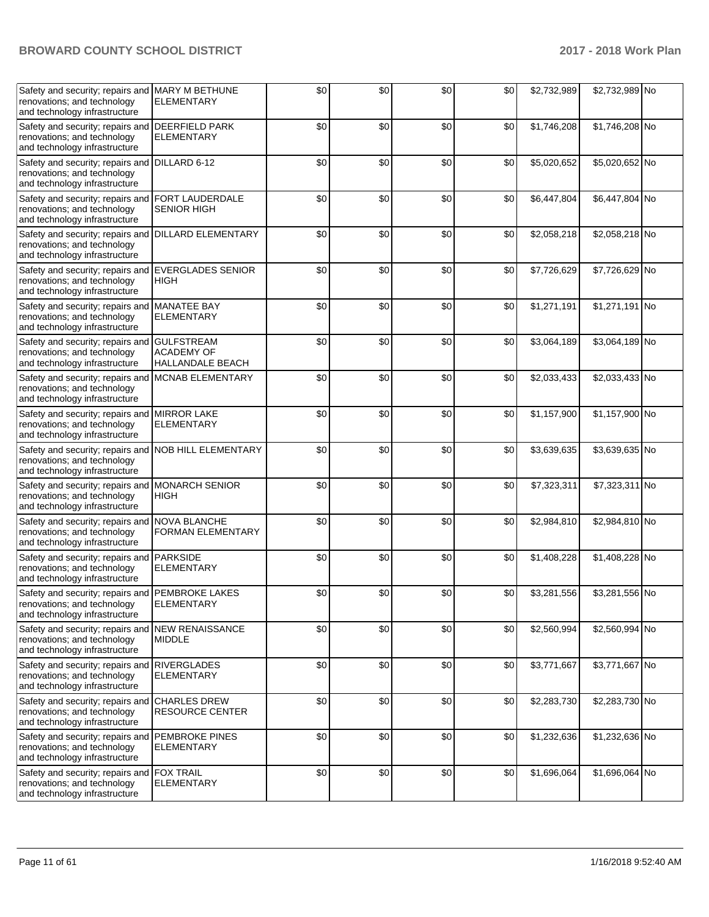| Safety and security; repairs and MARY M BETHUNE<br>renovations; and technology<br>and technology infrastructure      | <b>ELEMENTARY</b>                                                 | \$0 | \$0   | \$0 | \$0 | \$2,732,989 | \$2,732,989 No |  |
|----------------------------------------------------------------------------------------------------------------------|-------------------------------------------------------------------|-----|-------|-----|-----|-------------|----------------|--|
| Safety and security; repairs and<br>renovations; and technology<br>and technology infrastructure                     | <b>DEERFIELD PARK</b><br><b>ELEMENTARY</b>                        | \$0 | \$0   | \$0 | \$0 | \$1,746,208 | \$1,746,208 No |  |
| Safety and security; repairs and<br>renovations; and technology<br>and technology infrastructure                     | DILLARD 6-12                                                      | \$0 | \$0   | \$0 | \$0 | \$5,020,652 | \$5,020,652 No |  |
| Safety and security; repairs and<br>renovations; and technology<br>and technology infrastructure                     | FORT LAUDERDALE<br><b>SENIOR HIGH</b>                             | \$0 | \$0   | \$0 | \$0 | \$6,447,804 | \$6,447,804 No |  |
| Safety and security; repairs and<br>renovations; and technology<br>and technology infrastructure                     | <b>DILLARD ELEMENTARY</b>                                         | \$0 | \$0   | \$0 | \$0 | \$2,058,218 | \$2,058,218 No |  |
| Safety and security; repairs and EVERGLADES SENIOR<br>renovations; and technology<br>and technology infrastructure   | <b>HIGH</b>                                                       | \$0 | \$0   | \$0 | \$0 | \$7,726,629 | \$7,726,629 No |  |
| Safety and security; repairs and MANATEE BAY<br>renovations; and technology<br>and technology infrastructure         | <b>ELEMENTARY</b>                                                 | \$0 | \$0   | \$0 | \$0 | \$1,271,191 | \$1,271,191 No |  |
| Safety and security; repairs and<br>renovations; and technology<br>and technology infrastructure                     | <b>GULFSTREAM</b><br><b>ACADEMY OF</b><br><b>HALLANDALE BEACH</b> | \$0 | \$0   | \$0 | \$0 | \$3,064,189 | \$3,064,189 No |  |
| Safety and security; repairs and<br>renovations; and technology<br>and technology infrastructure                     | MCNAB ELEMENTARY                                                  | \$0 | \$0   | \$0 | \$0 | \$2,033,433 | \$2,033,433 No |  |
| Safety and security; repairs and<br>renovations; and technology<br>and technology infrastructure                     | <b>MIRROR LAKE</b><br><b>ELEMENTARY</b>                           | \$0 | \$0   | \$0 | \$0 | \$1,157,900 | \$1,157,900 No |  |
| Safety and security; repairs and NOB HILL ELEMENTARY<br>renovations; and technology<br>and technology infrastructure |                                                                   | \$0 | \$0   | \$0 | \$0 | \$3,639,635 | \$3,639,635 No |  |
| Safety and security; repairs and<br>renovations; and technology<br>and technology infrastructure                     | <b>MONARCH SENIOR</b><br><b>HIGH</b>                              | \$0 | \$0   | \$0 | \$0 | \$7,323,311 | \$7,323,311 No |  |
| Safety and security; repairs and NOVA BLANCHE<br>renovations; and technology<br>and technology infrastructure        | <b>FORMAN ELEMENTARY</b>                                          | \$0 | \$0   | \$0 | \$0 | \$2,984,810 | \$2,984,810 No |  |
| Safety and security; repairs and<br>renovations; and technology<br>and technology infrastructure                     | <b>PARKSIDE</b><br><b>ELEMENTARY</b>                              | \$0 | \$0   | \$0 | \$0 | \$1,408,228 | \$1,408,228 No |  |
| Safety and security; repairs and<br>renovations; and technology<br>and technology infrastructure                     | <b>PEMBROKE LAKES</b><br>ELEMENTARY                               | \$0 | \$0   | \$0 | \$0 | \$3,281,556 | \$3,281,556 No |  |
| Safety and security; repairs and<br>renovations; and technology<br>and technology infrastructure                     | <b>NEW RENAISSANCE</b><br><b>MIDDLE</b>                           | \$0 | \$0   | \$0 | \$0 | \$2,560,994 | \$2,560,994 No |  |
| Safety and security; repairs and<br>renovations; and technology<br>and technology infrastructure                     | <b>RIVERGLADES</b><br>ELEMENTARY                                  | \$0 | \$0   | \$0 | \$0 | \$3,771,667 | \$3,771,667 No |  |
| Safety and security; repairs and<br>renovations; and technology<br>and technology infrastructure                     | <b>CHARLES DREW</b><br><b>RESOURCE CENTER</b>                     | \$0 | \$0   | \$0 | \$0 | \$2,283,730 | \$2,283,730 No |  |
| Safety and security; repairs and PEMBROKE PINES<br>renovations; and technology<br>and technology infrastructure      | <b>ELEMENTARY</b>                                                 | \$0 | \$0   | \$0 | \$0 | \$1,232,636 | \$1,232,636 No |  |
| Safety and security; repairs and<br>renovations; and technology<br>and technology infrastructure                     | <b>FOX TRAIL</b><br><b>ELEMENTARY</b>                             | \$0 | $$0$$ | \$0 | \$0 | \$1,696,064 | \$1,696,064 No |  |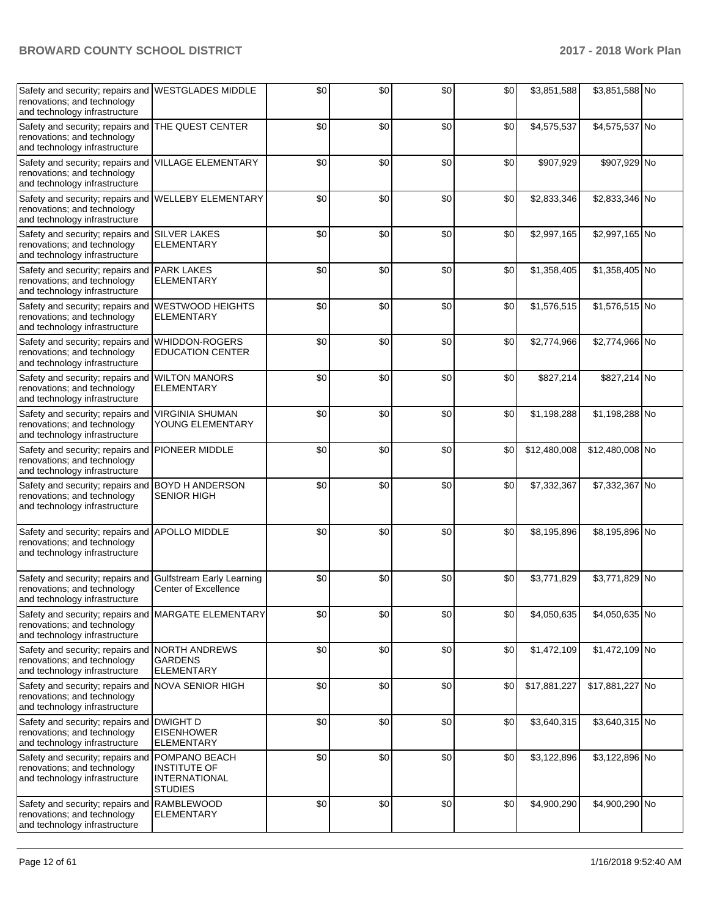| Safety and security; repairs and WESTGLADES MIDDLE<br>renovations; and technology<br>and technology infrastructure  |                                                                                | \$0 | \$0 | \$0 | \$0 | \$3,851,588  | \$3,851,588 No  |  |
|---------------------------------------------------------------------------------------------------------------------|--------------------------------------------------------------------------------|-----|-----|-----|-----|--------------|-----------------|--|
| Safety and security; repairs and<br>renovations; and technology<br>and technology infrastructure                    | THE QUEST CENTER                                                               | \$0 | \$0 | \$0 | \$0 | \$4,575,537  | \$4,575,537 No  |  |
| Safety and security; repairs and<br>renovations; and technology<br>and technology infrastructure                    | VILLAGE ELEMENTARY                                                             | \$0 | \$0 | \$0 | \$0 | \$907,929    | \$907,929 No    |  |
| Safety and security; repairs and<br>renovations; and technology<br>and technology infrastructure                    | <b>WELLEBY ELEMENTARY</b>                                                      | \$0 | \$0 | \$0 | \$0 | \$2,833,346  | \$2,833,346 No  |  |
| Safety and security; repairs and SILVER LAKES<br>renovations; and technology<br>and technology infrastructure       | <b>ELEMENTARY</b>                                                              | \$0 | \$0 | \$0 | \$0 | \$2,997,165  | \$2,997,165 No  |  |
| Safety and security; repairs and PARK LAKES<br>renovations; and technology<br>and technology infrastructure         | <b>ELEMENTARY</b>                                                              | \$0 | \$0 | \$0 | \$0 | \$1,358,405  | \$1,358,405 No  |  |
| Safety and security; repairs and<br>renovations; and technology<br>and technology infrastructure                    | <b>WESTWOOD HEIGHTS</b><br><b>ELEMENTARY</b>                                   | \$0 | \$0 | \$0 | \$0 | \$1,576,515  | \$1,576,515 No  |  |
| Safety and security; repairs and<br>renovations; and technology<br>and technology infrastructure                    | <b>WHIDDON-ROGERS</b><br><b>EDUCATION CENTER</b>                               | \$0 | \$0 | \$0 | \$0 | \$2,774,966  | \$2,774,966 No  |  |
| Safety and security; repairs and<br>renovations; and technology<br>and technology infrastructure                    | <b>WILTON MANORS</b><br><b>ELEMENTARY</b>                                      | \$0 | \$0 | \$0 | \$0 | \$827,214    | \$827,214 No    |  |
| Safety and security; repairs and<br>renovations; and technology<br>and technology infrastructure                    | <b>VIRGINIA SHUMAN</b><br>YOUNG ELEMENTARY                                     | \$0 | \$0 | \$0 | \$0 | \$1,198,288  | \$1,198,288 No  |  |
| Safety and security; repairs and PIONEER MIDDLE<br>renovations; and technology<br>and technology infrastructure     |                                                                                | \$0 | \$0 | \$0 | \$0 | \$12,480,008 | \$12,480,008 No |  |
| Safety and security; repairs and BOYD H ANDERSON<br>renovations; and technology<br>and technology infrastructure    | <b>SENIOR HIGH</b>                                                             | \$0 | \$0 | \$0 | \$0 | \$7,332,367  | \$7,332,367 No  |  |
| Safety and security; repairs and APOLLO MIDDLE<br>renovations; and technology<br>and technology infrastructure      |                                                                                | \$0 | \$0 | \$0 | \$0 | \$8,195,896  | \$8,195,896 No  |  |
| Safety and security; repairs and<br>renovations; and technology<br>and technology infrastructure                    | <b>Gulfstream Early Learning</b><br>Center of Excellence                       | \$0 | \$0 | \$0 | \$0 | \$3,771,829  | \$3,771,829 No  |  |
| Safety and security; repairs and MARGATE ELEMENTARY<br>renovations; and technology<br>and technology infrastructure |                                                                                | \$0 | \$0 | \$0 | \$0 | \$4,050,635  | \$4,050,635 No  |  |
| Safety and security; repairs and<br>renovations; and technology<br>and technology infrastructure                    | <b>NORTH ANDREWS</b><br><b>GARDENS</b><br><b>ELEMENTARY</b>                    | \$0 | \$0 | \$0 | \$0 | \$1,472,109  | \$1,472,109 No  |  |
| Safety and security; repairs and NOVA SENIOR HIGH<br>renovations; and technology<br>and technology infrastructure   |                                                                                | \$0 | \$0 | \$0 | \$0 | \$17,881,227 | \$17,881,227 No |  |
| Safety and security; repairs and DWIGHT D<br>renovations; and technology<br>and technology infrastructure           | <b>EISENHOWER</b><br><b>ELEMENTARY</b>                                         | \$0 | \$0 | \$0 | \$0 | \$3,640,315  | \$3,640,315 No  |  |
| Safety and security; repairs and<br>renovations; and technology<br>and technology infrastructure                    | POMPANO BEACH<br><b>INSTITUTE OF</b><br><b>INTERNATIONAL</b><br><b>STUDIES</b> | \$0 | \$0 | \$0 | \$0 | \$3,122,896  | \$3,122,896 No  |  |
| Safety and security; repairs and RAMBLEWOOD<br>renovations; and technology<br>and technology infrastructure         | <b>ELEMENTARY</b>                                                              | \$0 | \$0 | \$0 | \$0 | \$4,900,290  | \$4,900,290 No  |  |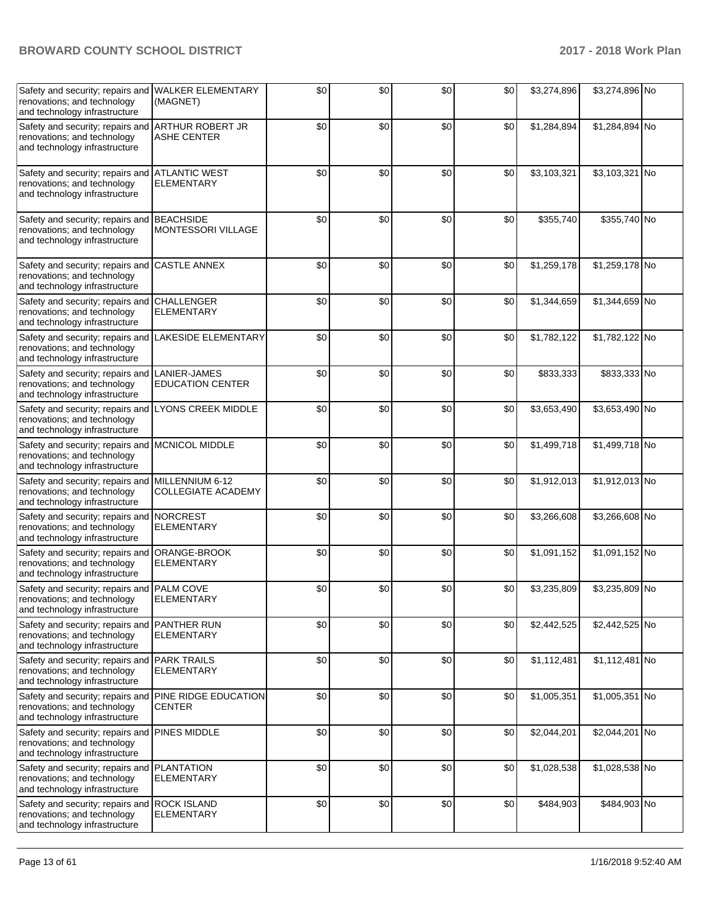| Safety and security; repairs and WALKER ELEMENTARY<br>renovations; and technology<br>and technology infrastructure    | (MAGNET)                                      | \$0 | \$0 | \$0 | \$0 | \$3,274,896 | \$3,274,896 No |  |
|-----------------------------------------------------------------------------------------------------------------------|-----------------------------------------------|-----|-----|-----|-----|-------------|----------------|--|
| Safety and security; repairs and ARTHUR ROBERT JR<br>renovations; and technology<br>and technology infrastructure     | <b>ASHE CENTER</b>                            | \$0 | \$0 | \$0 | \$0 | \$1,284,894 | \$1,284,894 No |  |
| Safety and security; repairs and ATLANTIC WEST<br>renovations; and technology<br>and technology infrastructure        | <b>ELEMENTARY</b>                             | \$0 | \$0 | \$0 | \$0 | \$3,103,321 | \$3,103,321 No |  |
| Safety and security; repairs and<br>renovations; and technology<br>and technology infrastructure                      | <b>BEACHSIDE</b><br><b>MONTESSORI VILLAGE</b> | \$0 | \$0 | \$0 | \$0 | \$355,740   | \$355,740 No   |  |
| Safety and security; repairs and<br>renovations; and technology<br>and technology infrastructure                      | <b>CASTLE ANNEX</b>                           | \$0 | \$0 | \$0 | \$0 | \$1,259,178 | \$1,259,178 No |  |
| Safety and security; repairs and<br>renovations; and technology<br>and technology infrastructure                      | <b>CHALLENGER</b><br><b>ELEMENTARY</b>        | \$0 | \$0 | \$0 | \$0 | \$1,344,659 | \$1,344,659 No |  |
| Safety and security; repairs and<br>renovations; and technology<br>and technology infrastructure                      | LAKESIDE ELEMENTARY                           | \$0 | \$0 | \$0 | \$0 | \$1,782,122 | \$1,782,122 No |  |
| Safety and security; repairs and<br>renovations; and technology<br>and technology infrastructure                      | LANIER-JAMES<br><b>EDUCATION CENTER</b>       | \$0 | \$0 | \$0 | \$0 | \$833,333   | \$833,333 No   |  |
| Safety and security; repairs and LYONS CREEK MIDDLE<br>renovations; and technology<br>and technology infrastructure   |                                               | \$0 | \$0 | \$0 | \$0 | \$3,653,490 | \$3,653,490 No |  |
| Safety and security; repairs and MCNICOL MIDDLE<br>renovations; and technology<br>and technology infrastructure       |                                               | \$0 | \$0 | \$0 | \$0 | \$1,499,718 | \$1,499,718 No |  |
| Safety and security; repairs and MILLENNIUM 6-12<br>renovations; and technology<br>and technology infrastructure      | <b>COLLEGIATE ACADEMY</b>                     | \$0 | \$0 | \$0 | \$0 | \$1,912,013 | \$1,912,013 No |  |
| Safety and security; repairs and<br>renovations; and technology<br>and technology infrastructure                      | <b>NORCREST</b><br><b>ELEMENTARY</b>          | \$0 | \$0 | \$0 | \$0 | \$3,266,608 | \$3,266,608 No |  |
| Safety and security; repairs and<br>renovations; and technology<br>and technology infrastructure                      | ORANGE-BROOK<br><b>ELEMENTARY</b>             | \$0 | \$0 | \$0 | \$0 | \$1,091,152 | \$1,091,152 No |  |
| Safety and security; repairs and PALM COVE<br>renovations; and technology<br>and technology infrastructure            | <b>ELEMENTARY</b>                             | \$0 | \$0 | \$0 | \$0 | \$3,235,809 | \$3,235,809 No |  |
| Safety and security; repairs and PANTHER RUN<br>renovations; and technology<br>and technology infrastructure          | <b>ELEMENTARY</b>                             | \$0 | \$0 | \$0 | \$0 | \$2,442,525 | \$2,442,525 No |  |
| Safety and security; repairs and PARK TRAILS<br>renovations; and technology<br>and technology infrastructure          | <b>ELEMENTARY</b>                             | \$0 | \$0 | \$0 | \$0 | \$1,112,481 | \$1,112,481 No |  |
| Safety and security; repairs and PINE RIDGE EDUCATION<br>renovations; and technology<br>and technology infrastructure | <b>CENTER</b>                                 | \$0 | \$0 | \$0 | \$0 | \$1,005,351 | \$1,005,351 No |  |
| Safety and security; repairs and<br>renovations; and technology<br>and technology infrastructure                      | <b>PINES MIDDLE</b>                           | \$0 | \$0 | \$0 | \$0 | \$2,044,201 | \$2,044,201 No |  |
| Safety and security; repairs and<br>renovations; and technology<br>and technology infrastructure                      | <b>PLANTATION</b><br><b>ELEMENTARY</b>        | \$0 | \$0 | \$0 | \$0 | \$1,028,538 | \$1,028,538 No |  |
| Safety and security; repairs and ROCK ISLAND<br>renovations; and technology<br>and technology infrastructure          | <b>ELEMENTARY</b>                             | \$0 | \$0 | \$0 | \$0 | \$484,903   | \$484,903 No   |  |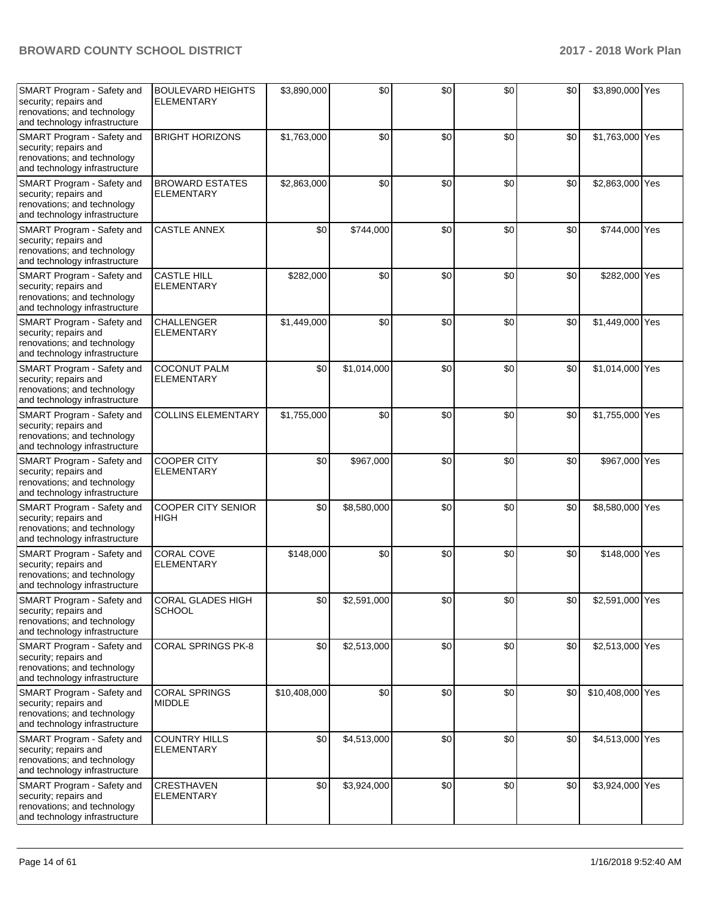| SMART Program - Safety and<br>security; repairs and<br>renovations; and technology<br>and technology infrastructure        | <b>BOULEVARD HEIGHTS</b><br><b>ELEMENTARY</b> | \$3,890,000  | \$0         | \$0 | \$0 | \$0 | \$3,890,000 Yes  |  |
|----------------------------------------------------------------------------------------------------------------------------|-----------------------------------------------|--------------|-------------|-----|-----|-----|------------------|--|
| SMART Program - Safety and<br>security; repairs and<br>renovations; and technology<br>and technology infrastructure        | <b>BRIGHT HORIZONS</b>                        | \$1,763,000  | \$0         | \$0 | \$0 | \$0 | \$1,763,000 Yes  |  |
| SMART Program - Safety and<br>security; repairs and<br>renovations; and technology<br>and technology infrastructure        | <b>BROWARD ESTATES</b><br><b>ELEMENTARY</b>   | \$2,863,000  | \$0         | \$0 | \$0 | \$0 | \$2,863,000 Yes  |  |
| SMART Program - Safety and<br>security; repairs and<br>renovations; and technology<br>and technology infrastructure        | <b>CASTLE ANNEX</b>                           | \$0          | \$744,000   | \$0 | \$0 | \$0 | \$744,000 Yes    |  |
| SMART Program - Safety and<br>security; repairs and<br>renovations; and technology<br>and technology infrastructure        | <b>CASTLE HILL</b><br><b>ELEMENTARY</b>       | \$282,000    | \$0         | \$0 | \$0 | \$0 | \$282,000 Yes    |  |
| SMART Program - Safety and<br>security; repairs and<br>renovations; and technology<br>and technology infrastructure        | <b>CHALLENGER</b><br><b>ELEMENTARY</b>        | \$1,449,000  | \$0         | \$0 | \$0 | \$0 | \$1,449,000 Yes  |  |
| SMART Program - Safety and<br>security; repairs and<br>renovations; and technology<br>and technology infrastructure        | <b>COCONUT PALM</b><br><b>ELEMENTARY</b>      | \$0          | \$1,014,000 | \$0 | \$0 | \$0 | \$1,014,000 Yes  |  |
| SMART Program - Safety and<br>security; repairs and<br>renovations; and technology<br>and technology infrastructure        | <b>COLLINS ELEMENTARY</b>                     | \$1,755,000  | \$0         | \$0 | \$0 | \$0 | \$1,755,000 Yes  |  |
| SMART Program - Safety and<br>security; repairs and<br>renovations; and technology<br>and technology infrastructure        | <b>COOPER CITY</b><br><b>ELEMENTARY</b>       | \$0          | \$967,000   | \$0 | \$0 | \$0 | \$967,000 Yes    |  |
| SMART Program - Safety and<br>security; repairs and<br>renovations; and technology<br>and technology infrastructure        | <b>COOPER CITY SENIOR</b><br>HIGH             | \$0          | \$8,580,000 | \$0 | \$0 | \$0 | \$8,580,000 Yes  |  |
| SMART Program - Safety and<br>security; repairs and<br>renovations; and technology<br>and technology infrastructure        | <b>CORAL COVE</b><br><b>ELEMENTARY</b>        | \$148,000    | \$0         | \$0 | \$0 | \$0 | \$148,000 Yes    |  |
| SMART Program - Safety and<br>security; repairs and<br>renovations; and technology<br>and technology infrastructure        | <b>CORAL GLADES HIGH</b><br>SCHOOL            | \$0          | \$2,591,000 | \$0 | \$0 | \$0 | \$2,591,000 Yes  |  |
| <b>SMART Program - Safety and</b><br>security; repairs and<br>renovations; and technology<br>and technology infrastructure | <b>CORAL SPRINGS PK-8</b>                     | \$0          | \$2,513,000 | \$0 | \$0 | \$0 | \$2,513,000 Yes  |  |
| SMART Program - Safety and<br>security; repairs and<br>renovations; and technology<br>and technology infrastructure        | <b>CORAL SPRINGS</b><br><b>MIDDLE</b>         | \$10,408,000 | \$0         | \$0 | \$0 | \$0 | \$10,408,000 Yes |  |
| SMART Program - Safety and<br>security; repairs and<br>renovations; and technology<br>and technology infrastructure        | <b>COUNTRY HILLS</b><br><b>ELEMENTARY</b>     | \$0          | \$4,513,000 | \$0 | \$0 | \$0 | \$4,513,000 Yes  |  |
| <b>SMART Program - Safety and</b><br>security; repairs and<br>renovations; and technology<br>and technology infrastructure | CRESTHAVEN<br><b>ELEMENTARY</b>               | \$0          | \$3,924,000 | \$0 | \$0 | \$0 | \$3,924,000 Yes  |  |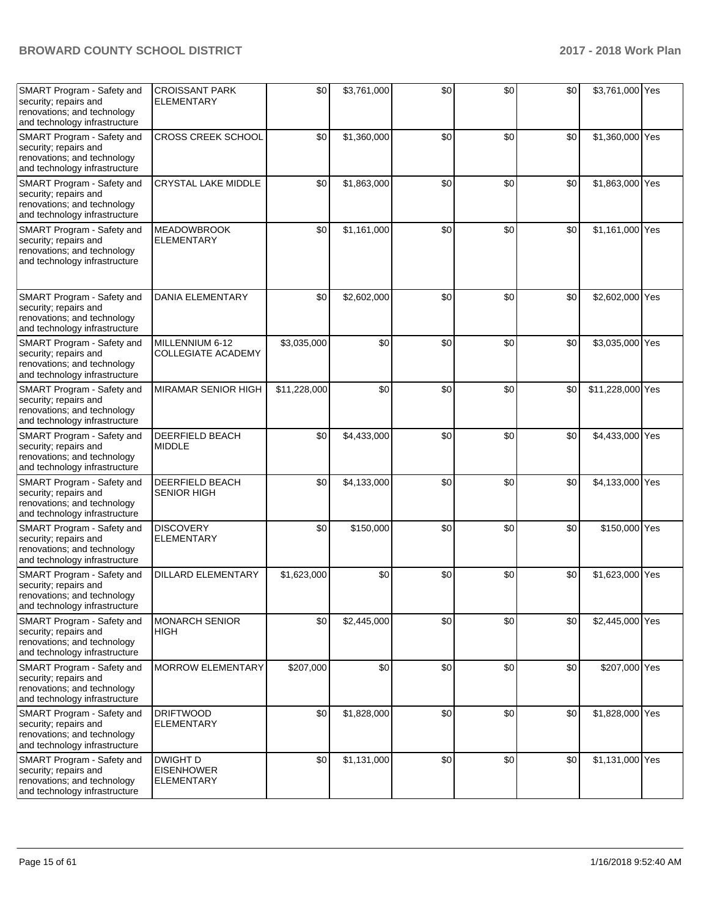| SMART Program - Safety and<br>security; repairs and<br>renovations; and technology<br>and technology infrastructure | <b>CROISSANT PARK</b><br><b>ELEMENTARY</b>         | \$0          | \$3,761,000 | \$0 | \$0 | \$0 | \$3,761,000 Yes  |  |
|---------------------------------------------------------------------------------------------------------------------|----------------------------------------------------|--------------|-------------|-----|-----|-----|------------------|--|
| SMART Program - Safety and<br>security; repairs and<br>renovations; and technology<br>and technology infrastructure | <b>CROSS CREEK SCHOOL</b>                          | \$0          | \$1,360,000 | \$0 | \$0 | \$0 | \$1,360,000 Yes  |  |
| SMART Program - Safety and<br>security; repairs and<br>renovations; and technology<br>and technology infrastructure | CRYSTAL LAKE MIDDLE                                | \$0          | \$1,863,000 | \$0 | \$0 | \$0 | \$1,863,000 Yes  |  |
| SMART Program - Safety and<br>security; repairs and<br>renovations; and technology<br>and technology infrastructure | <b>MEADOWBROOK</b><br><b>ELEMENTARY</b>            | \$0          | \$1,161,000 | \$0 | \$0 | \$0 | \$1,161,000 Yes  |  |
| SMART Program - Safety and<br>security; repairs and<br>renovations; and technology<br>and technology infrastructure | <b>DANIA ELEMENTARY</b>                            | \$0          | \$2,602,000 | \$0 | \$0 | \$0 | \$2,602,000 Yes  |  |
| SMART Program - Safety and<br>security; repairs and<br>renovations; and technology<br>and technology infrastructure | MILLENNIUM 6-12<br><b>COLLEGIATE ACADEMY</b>       | \$3,035,000  | \$0         | \$0 | \$0 | \$0 | \$3,035,000 Yes  |  |
| SMART Program - Safety and<br>security; repairs and<br>renovations; and technology<br>and technology infrastructure | MIRAMAR SENIOR HIGH                                | \$11,228,000 | \$0         | \$0 | \$0 | \$0 | \$11,228,000 Yes |  |
| SMART Program - Safety and<br>security; repairs and<br>renovations; and technology<br>and technology infrastructure | <b>DEERFIELD BEACH</b><br><b>MIDDLE</b>            | \$0          | \$4,433,000 | \$0 | \$0 | \$0 | \$4,433,000 Yes  |  |
| SMART Program - Safety and<br>security; repairs and<br>renovations; and technology<br>and technology infrastructure | DEERFIELD BEACH<br><b>SENIOR HIGH</b>              | \$0          | \$4,133,000 | \$0 | \$0 | \$0 | \$4,133,000 Yes  |  |
| SMART Program - Safety and<br>security; repairs and<br>renovations; and technology<br>and technology infrastructure | <b>DISCOVERY</b><br><b>ELEMENTARY</b>              | \$0          | \$150,000   | \$0 | \$0 | \$0 | \$150,000 Yes    |  |
| SMART Program - Safety and<br>security; repairs and<br>renovations; and technology<br>and technology infrastructure | DILLARD ELEMENTARY                                 | \$1,623,000  | \$0         | \$0 | \$0 | \$0 | \$1,623,000 Yes  |  |
| SMART Program - Safety and<br>security; repairs and<br>renovations; and technology<br>and technology infrastructure | <b>MONARCH SENIOR</b><br><b>HIGH</b>               | \$0          | \$2,445,000 | \$0 | \$0 | \$0 | \$2,445,000 Yes  |  |
| SMART Program - Safety and<br>security; repairs and<br>renovations; and technology<br>and technology infrastructure | <b>MORROW ELEMENTARY</b>                           | \$207,000    | \$0         | \$0 | \$0 | \$0 | \$207,000 Yes    |  |
| SMART Program - Safety and<br>security; repairs and<br>renovations; and technology<br>and technology infrastructure | <b>DRIFTWOOD</b><br><b>ELEMENTARY</b>              | \$0          | \$1,828,000 | \$0 | \$0 | \$0 | \$1,828,000 Yes  |  |
| SMART Program - Safety and<br>security; repairs and<br>renovations; and technology<br>and technology infrastructure | DWIGHT D<br><b>EISENHOWER</b><br><b>ELEMENTARY</b> | \$0          | \$1,131,000 | \$0 | \$0 | \$0 | \$1,131,000 Yes  |  |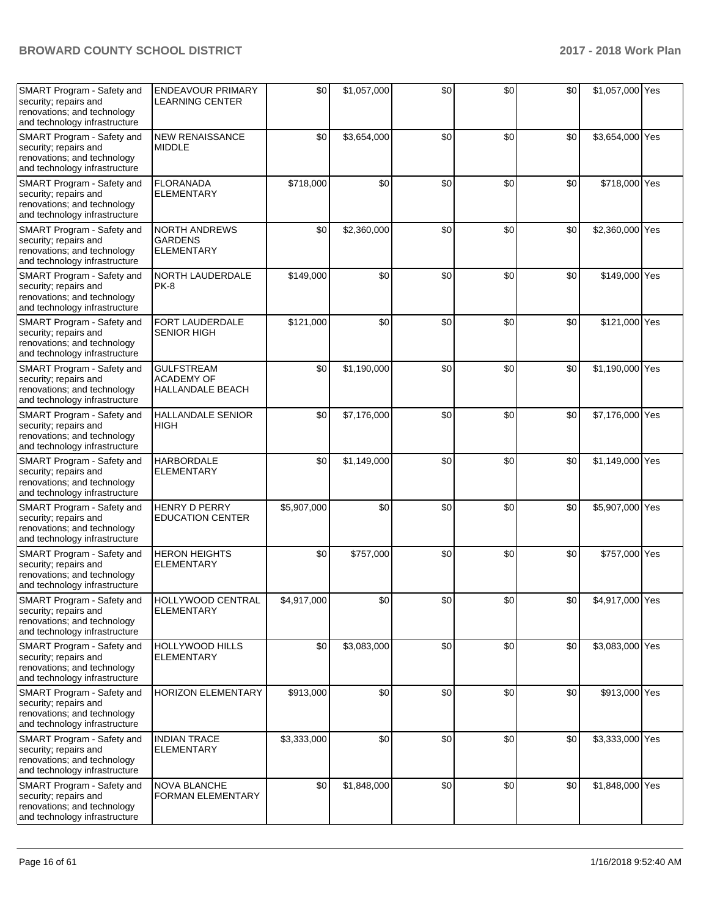| SMART Program - Safety and<br>security; repairs and<br>renovations; and technology<br>and technology infrastructure | <b>ENDEAVOUR PRIMARY</b><br><b>LEARNING CENTER</b>                | \$0         | \$1,057,000 | \$0 | \$0 | \$0 | \$1,057,000 Yes |  |
|---------------------------------------------------------------------------------------------------------------------|-------------------------------------------------------------------|-------------|-------------|-----|-----|-----|-----------------|--|
| SMART Program - Safety and<br>security; repairs and<br>renovations; and technology<br>and technology infrastructure | <b>NEW RENAISSANCE</b><br><b>MIDDLE</b>                           | \$0         | \$3,654,000 | \$0 | \$0 | \$0 | \$3,654,000 Yes |  |
| SMART Program - Safety and<br>security; repairs and<br>renovations; and technology<br>and technology infrastructure | <b>FLORANADA</b><br><b>ELEMENTARY</b>                             | \$718,000   | \$0         | \$0 | \$0 | \$0 | \$718,000 Yes   |  |
| SMART Program - Safety and<br>security; repairs and<br>renovations; and technology<br>and technology infrastructure | <b>NORTH ANDREWS</b><br><b>GARDENS</b><br><b>ELEMENTARY</b>       | \$0         | \$2,360,000 | \$0 | \$0 | \$0 | \$2,360,000 Yes |  |
| SMART Program - Safety and<br>security; repairs and<br>renovations; and technology<br>and technology infrastructure | NORTH LAUDERDALE<br><b>PK-8</b>                                   | \$149,000   | \$0         | \$0 | \$0 | \$0 | \$149,000 Yes   |  |
| SMART Program - Safety and<br>security; repairs and<br>renovations; and technology<br>and technology infrastructure | FORT LAUDERDALE<br><b>SENIOR HIGH</b>                             | \$121,000   | \$0         | \$0 | \$0 | \$0 | \$121,000 Yes   |  |
| SMART Program - Safety and<br>security; repairs and<br>renovations; and technology<br>and technology infrastructure | <b>GULFSTREAM</b><br><b>ACADEMY OF</b><br><b>HALLANDALE BEACH</b> | \$0         | \$1,190,000 | \$0 | \$0 | \$0 | \$1,190,000 Yes |  |
| SMART Program - Safety and<br>security; repairs and<br>renovations; and technology<br>and technology infrastructure | <b>HALLANDALE SENIOR</b><br><b>HIGH</b>                           | \$0         | \$7,176,000 | \$0 | \$0 | \$0 | \$7,176,000 Yes |  |
| SMART Program - Safety and<br>security; repairs and<br>renovations; and technology<br>and technology infrastructure | <b>HARBORDALE</b><br><b>ELEMENTARY</b>                            | \$0         | \$1,149,000 | \$0 | \$0 | \$0 | \$1,149,000 Yes |  |
| SMART Program - Safety and<br>security; repairs and<br>renovations; and technology<br>and technology infrastructure | <b>HENRY D PERRY</b><br><b>EDUCATION CENTER</b>                   | \$5,907,000 | \$0         | \$0 | \$0 | \$0 | \$5,907,000 Yes |  |
| SMART Program - Safety and<br>security; repairs and<br>renovations; and technology<br>and technology infrastructure | <b>HERON HEIGHTS</b><br><b>ELEMENTARY</b>                         | \$0         | \$757,000   | \$0 | \$0 | \$0 | \$757,000 Yes   |  |
| SMART Program - Safety and<br>security; repairs and<br>renovations; and technology<br>and technology infrastructure | HOLLYWOOD CENTRAL<br><b>ELEMENTARY</b>                            | \$4,917,000 | \$0         | \$0 | \$0 | \$0 | \$4,917,000 Yes |  |
| SMART Program - Safety and<br>security; repairs and<br>renovations; and technology<br>and technology infrastructure | <b>HOLLYWOOD HILLS</b><br><b>ELEMENTARY</b>                       | \$0         | \$3,083,000 | \$0 | \$0 | \$0 | \$3,083,000 Yes |  |
| SMART Program - Safety and<br>security; repairs and<br>renovations; and technology<br>and technology infrastructure | HORIZON ELEMENTARY                                                | \$913,000   | \$0         | \$0 | \$0 | \$0 | \$913,000 Yes   |  |
| SMART Program - Safety and<br>security; repairs and<br>renovations; and technology<br>and technology infrastructure | <b>INDIAN TRACE</b><br><b>ELEMENTARY</b>                          | \$3,333,000 | \$0         | \$0 | \$0 | \$0 | \$3,333,000 Yes |  |
| SMART Program - Safety and<br>security; repairs and<br>renovations; and technology<br>and technology infrastructure | NOVA BLANCHE<br><b>FORMAN ELEMENTARY</b>                          | \$0         | \$1,848,000 | \$0 | \$0 | \$0 | \$1,848,000 Yes |  |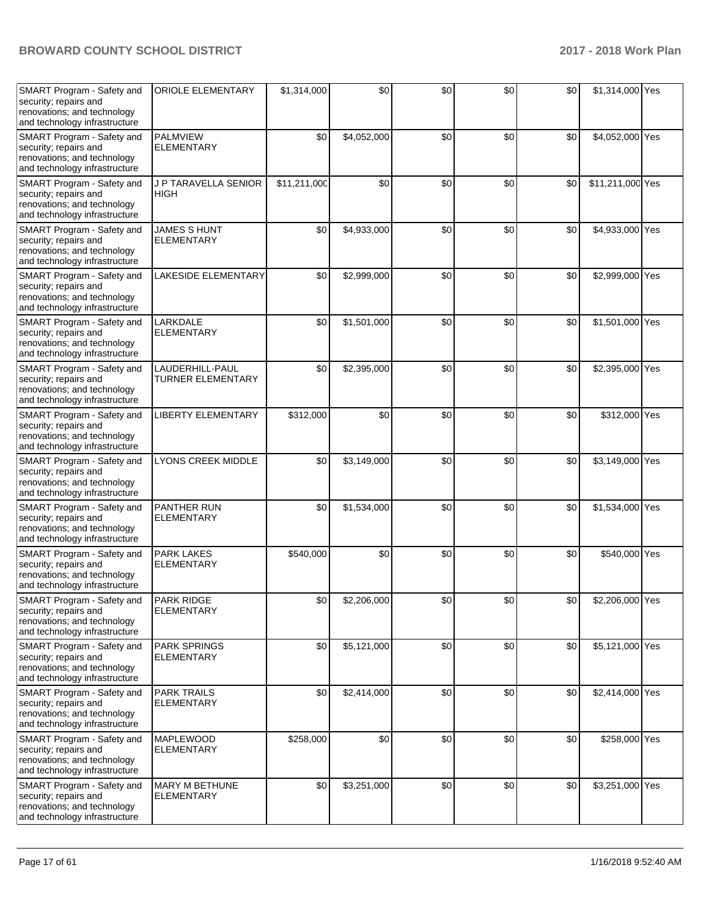| SMART Program - Safety and<br>security; repairs and<br>renovations; and technology<br>and technology infrastructure | <b>ORIOLE ELEMENTARY</b>                    | \$1,314,000  | \$0         | \$0 | \$0              | \$0 | \$1,314,000 Yes  |  |
|---------------------------------------------------------------------------------------------------------------------|---------------------------------------------|--------------|-------------|-----|------------------|-----|------------------|--|
| SMART Program - Safety and<br>security; repairs and<br>renovations; and technology<br>and technology infrastructure | <b>PALMVIEW</b><br><b>ELEMENTARY</b>        | \$0          | \$4,052,000 | \$0 | \$0              | \$0 | \$4,052,000 Yes  |  |
| SMART Program - Safety and<br>security; repairs and<br>renovations; and technology<br>and technology infrastructure | J P TARAVELLA SENIOR<br>HIGH                | \$11,211,000 | \$0         | \$0 | \$0              | \$0 | \$11,211,000 Yes |  |
| SMART Program - Safety and<br>security; repairs and<br>renovations; and technology<br>and technology infrastructure | <b>JAMES S HUNT</b><br><b>ELEMENTARY</b>    | \$0          | \$4,933,000 | \$0 | \$0              | \$0 | \$4,933,000 Yes  |  |
| SMART Program - Safety and<br>security; repairs and<br>renovations; and technology<br>and technology infrastructure | LAKESIDE ELEMENTARY                         | \$0          | \$2,999,000 | \$0 | \$0              | \$0 | \$2,999,000 Yes  |  |
| SMART Program - Safety and<br>security; repairs and<br>renovations; and technology<br>and technology infrastructure | LARKDALE<br>ELEMENTARY                      | \$0          | \$1,501,000 | \$0 | \$0              | \$0 | \$1,501,000 Yes  |  |
| SMART Program - Safety and<br>security; repairs and<br>renovations; and technology<br>and technology infrastructure | LAUDERHILL-PAUL<br><b>TURNER ELEMENTARY</b> | \$0          | \$2,395,000 | \$0 | \$0              | \$0 | \$2,395,000 Yes  |  |
| SMART Program - Safety and<br>security; repairs and<br>renovations; and technology<br>and technology infrastructure | <b>LIBERTY ELEMENTARY</b>                   | \$312,000    | \$0         | \$0 | \$0              | \$0 | \$312,000 Yes    |  |
| SMART Program - Safety and<br>security; repairs and<br>renovations; and technology<br>and technology infrastructure | LYONS CREEK MIDDLE                          | \$0          | \$3,149,000 | \$0 | \$0              | \$0 | \$3,149,000 Yes  |  |
| SMART Program - Safety and<br>security; repairs and<br>renovations; and technology<br>and technology infrastructure | PANTHER RUN<br><b>ELEMENTARY</b>            | \$0          | \$1,534,000 | \$0 | \$0              | \$0 | \$1,534,000 Yes  |  |
| SMART Program - Safety and<br>security; repairs and<br>renovations; and technology<br>and technology infrastructure | PARK LAKES<br><b>ELEMENTARY</b>             | \$540,000    | \$0         | \$0 | \$0              | \$0 | \$540,000 Yes    |  |
| SMART Program - Safety and<br>security; repairs and<br>renovations; and technology<br>and technology infrastructure | <b>PARK RIDGE</b><br><b>ELEMENTARY</b>      | \$0          | \$2,206,000 | \$0 | \$0 <sub>1</sub> | \$0 | \$2,206,000 Yes  |  |
| SMART Program - Safety and<br>security; repairs and<br>renovations; and technology<br>and technology infrastructure | PARK SPRINGS<br><b>ELEMENTARY</b>           | \$0          | \$5,121,000 | \$0 | \$0              | \$0 | \$5,121,000 Yes  |  |
| SMART Program - Safety and<br>security; repairs and<br>renovations; and technology<br>and technology infrastructure | <b>PARK TRAILS</b><br><b>ELEMENTARY</b>     | \$0          | \$2,414,000 | \$0 | \$0              | \$0 | \$2,414,000 Yes  |  |
| SMART Program - Safety and<br>security; repairs and<br>renovations; and technology<br>and technology infrastructure | MAPLEWOOD<br><b>ELEMENTARY</b>              | \$258,000    | \$0         | \$0 | \$0              | \$0 | \$258,000 Yes    |  |
| SMART Program - Safety and<br>security; repairs and<br>renovations; and technology<br>and technology infrastructure | <b>MARY M BETHUNE</b><br><b>ELEMENTARY</b>  | \$0          | \$3,251,000 | \$0 | \$0              | \$0 | \$3,251,000 Yes  |  |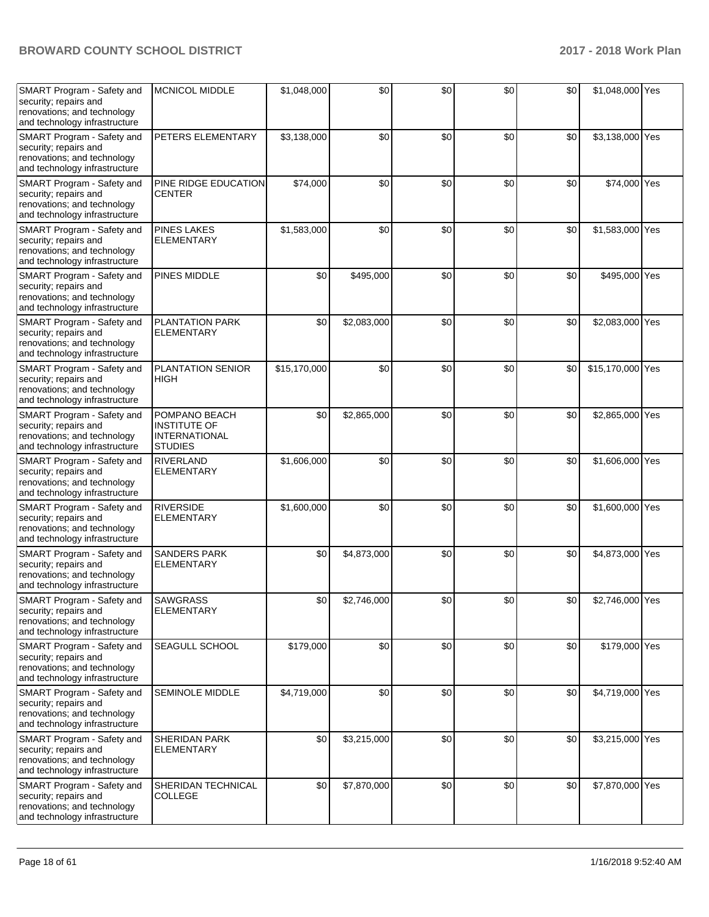| SMART Program - Safety and<br>security; repairs and<br>renovations; and technology<br>and technology infrastructure | <b>MCNICOL MIDDLE</b>                                                          | \$1,048,000  | \$0         | \$0 | \$0 | \$0 | \$1,048,000 Yes  |  |
|---------------------------------------------------------------------------------------------------------------------|--------------------------------------------------------------------------------|--------------|-------------|-----|-----|-----|------------------|--|
| SMART Program - Safety and<br>security; repairs and<br>renovations; and technology<br>and technology infrastructure | PETERS ELEMENTARY                                                              | \$3,138,000  | \$0         | \$0 | \$0 | \$0 | \$3,138,000 Yes  |  |
| SMART Program - Safety and<br>security; repairs and<br>renovations; and technology<br>and technology infrastructure | PINE RIDGE EDUCATION<br>CENTER                                                 | \$74,000     | \$0         | \$0 | \$0 | \$0 | \$74,000 Yes     |  |
| SMART Program - Safety and<br>security; repairs and<br>renovations; and technology<br>and technology infrastructure | <b>PINES LAKES</b><br><b>ELEMENTARY</b>                                        | \$1,583,000  | \$0         | \$0 | \$0 | \$0 | \$1,583,000 Yes  |  |
| SMART Program - Safety and<br>security; repairs and<br>renovations; and technology<br>and technology infrastructure | PINES MIDDLE                                                                   | \$0          | \$495,000   | \$0 | \$0 | \$0 | \$495,000 Yes    |  |
| SMART Program - Safety and<br>security; repairs and<br>renovations; and technology<br>and technology infrastructure | <b>PLANTATION PARK</b><br><b>ELEMENTARY</b>                                    | \$0          | \$2,083,000 | \$0 | \$0 | \$0 | \$2,083,000 Yes  |  |
| SMART Program - Safety and<br>security; repairs and<br>renovations; and technology<br>and technology infrastructure | <b>PLANTATION SENIOR</b><br><b>HIGH</b>                                        | \$15,170,000 | \$0         | \$0 | \$0 | \$0 | \$15,170,000 Yes |  |
| SMART Program - Safety and<br>security; repairs and<br>renovations; and technology<br>and technology infrastructure | POMPANO BEACH<br><b>INSTITUTE OF</b><br><b>INTERNATIONAL</b><br><b>STUDIES</b> | \$0          | \$2,865,000 | \$0 | \$0 | \$0 | \$2,865,000 Yes  |  |
| SMART Program - Safety and<br>security; repairs and<br>renovations; and technology<br>and technology infrastructure | <b>RIVERLAND</b><br><b>ELEMENTARY</b>                                          | \$1,606,000  | \$0         | \$0 | \$0 | \$0 | \$1,606,000 Yes  |  |
| SMART Program - Safety and<br>security; repairs and<br>renovations; and technology<br>and technology infrastructure | <b>RIVERSIDE</b><br><b>ELEMENTARY</b>                                          | \$1,600,000  | \$0         | \$0 | \$0 | \$0 | \$1,600,000 Yes  |  |
| SMART Program - Safety and<br>security; repairs and<br>renovations; and technology<br>and technology infrastructure | <b>SANDERS PARK</b><br><b>ELEMENTARY</b>                                       | \$0          | \$4,873,000 | \$0 | \$0 | \$0 | \$4,873,000 Yes  |  |
| SMART Program - Safety and<br>security; repairs and<br>renovations; and technology<br>and technology infrastructure | <b>SAWGRASS</b><br><b>ELEMENTARY</b>                                           | \$0          | \$2,746,000 | \$0 | \$0 | \$0 | \$2,746,000 Yes  |  |
| SMART Program - Safety and<br>security; repairs and<br>renovations; and technology<br>and technology infrastructure | SEAGULL SCHOOL                                                                 | \$179,000    | \$0         | \$0 | \$0 | \$0 | \$179,000 Yes    |  |
| SMART Program - Safety and<br>security; repairs and<br>renovations; and technology<br>and technology infrastructure | SEMINOLE MIDDLE                                                                | \$4,719,000  | \$0         | \$0 | \$0 | \$0 | \$4,719,000 Yes  |  |
| SMART Program - Safety and<br>security; repairs and<br>renovations; and technology<br>and technology infrastructure | <b>SHERIDAN PARK</b><br><b>ELEMENTARY</b>                                      | \$0          | \$3,215,000 | \$0 | \$0 | \$0 | \$3,215,000 Yes  |  |
| SMART Program - Safety and<br>security; repairs and<br>renovations; and technology<br>and technology infrastructure | SHERIDAN TECHNICAL<br><b>COLLEGE</b>                                           | \$0          | \$7,870,000 | \$0 | \$0 | \$0 | \$7,870,000 Yes  |  |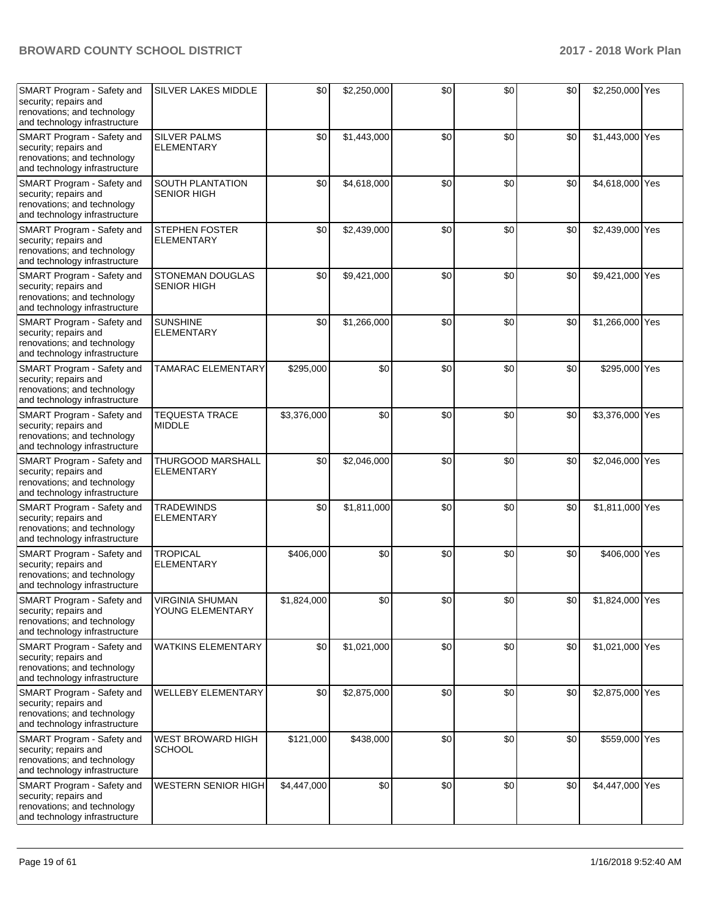| SMART Program - Safety and<br>security; repairs and<br>renovations; and technology<br>and technology infrastructure | <b>SILVER LAKES MIDDLE</b>                 | \$0         | \$2,250,000 | \$0 | \$0 | \$0 | \$2,250,000 Yes |  |
|---------------------------------------------------------------------------------------------------------------------|--------------------------------------------|-------------|-------------|-----|-----|-----|-----------------|--|
| SMART Program - Safety and<br>security; repairs and<br>renovations; and technology<br>and technology infrastructure | <b>SILVER PALMS</b><br><b>ELEMENTARY</b>   | \$0         | \$1,443,000 | \$0 | \$0 | \$0 | \$1,443,000 Yes |  |
| SMART Program - Safety and<br>security; repairs and<br>renovations; and technology<br>and technology infrastructure | SOUTH PLANTATION<br><b>SENIOR HIGH</b>     | \$0         | \$4,618,000 | \$0 | \$0 | \$0 | \$4,618,000 Yes |  |
| SMART Program - Safety and<br>security; repairs and<br>renovations; and technology<br>and technology infrastructure | <b>STEPHEN FOSTER</b><br><b>ELEMENTARY</b> | \$0         | \$2,439,000 | \$0 | \$0 | \$0 | \$2,439,000 Yes |  |
| SMART Program - Safety and<br>security; repairs and<br>renovations; and technology<br>and technology infrastructure | STONEMAN DOUGLAS<br><b>SENIOR HIGH</b>     | \$0         | \$9,421,000 | \$0 | \$0 | \$0 | \$9,421,000 Yes |  |
| SMART Program - Safety and<br>security; repairs and<br>renovations; and technology<br>and technology infrastructure | <b>SUNSHINE</b><br><b>ELEMENTARY</b>       | \$0         | \$1,266,000 | \$0 | \$0 | \$0 | \$1,266,000 Yes |  |
| SMART Program - Safety and<br>security; repairs and<br>renovations; and technology<br>and technology infrastructure | TAMARAC ELEMENTARY                         | \$295,000   | \$0         | \$0 | \$0 | \$0 | \$295,000 Yes   |  |
| SMART Program - Safety and<br>security; repairs and<br>renovations; and technology<br>and technology infrastructure | <b>TEQUESTA TRACE</b><br><b>MIDDLE</b>     | \$3,376,000 | \$0         | \$0 | \$0 | \$0 | \$3,376,000 Yes |  |
| SMART Program - Safety and<br>security; repairs and<br>renovations; and technology<br>and technology infrastructure | THURGOOD MARSHALL<br>ELEMENTARY            | \$0         | \$2,046,000 | \$0 | \$0 | \$0 | \$2,046,000 Yes |  |
| SMART Program - Safety and<br>security; repairs and<br>renovations; and technology<br>and technology infrastructure | <b>TRADEWINDS</b><br><b>ELEMENTARY</b>     | \$0         | \$1,811,000 | \$0 | \$0 | \$0 | \$1,811,000 Yes |  |
| SMART Program - Safety and<br>security; repairs and<br>renovations; and technology<br>and technology infrastructure | <b>TROPICAL</b><br><b>ELEMENTARY</b>       | \$406,000   | \$0         | \$0 | \$0 | \$0 | \$406,000 Yes   |  |
| SMART Program - Safety and<br>security; repairs and<br>renovations; and technology<br>and technology infrastructure | <b>VIRGINIA SHUMAN</b><br>YOUNG ELEMENTARY | \$1,824,000 | \$0         | \$0 | \$0 | \$0 | \$1,824,000 Yes |  |
| SMART Program - Safety and<br>security; repairs and<br>renovations; and technology<br>and technology infrastructure | <b>WATKINS ELEMENTARY</b>                  | \$0         | \$1,021,000 | \$0 | \$0 | \$0 | \$1,021,000 Yes |  |
| SMART Program - Safety and<br>security; repairs and<br>renovations; and technology<br>and technology infrastructure | WELLEBY ELEMENTARY                         | \$0         | \$2,875,000 | \$0 | \$0 | \$0 | \$2,875,000 Yes |  |
| SMART Program - Safety and<br>security; repairs and<br>renovations; and technology<br>and technology infrastructure | WEST BROWARD HIGH<br><b>SCHOOL</b>         | \$121,000   | \$438,000   | \$0 | \$0 | \$0 | \$559,000 Yes   |  |
| SMART Program - Safety and<br>security; repairs and<br>renovations; and technology<br>and technology infrastructure | <b>WESTERN SENIOR HIGH</b>                 | \$4,447,000 | \$0         | \$0 | \$0 | \$0 | \$4,447,000 Yes |  |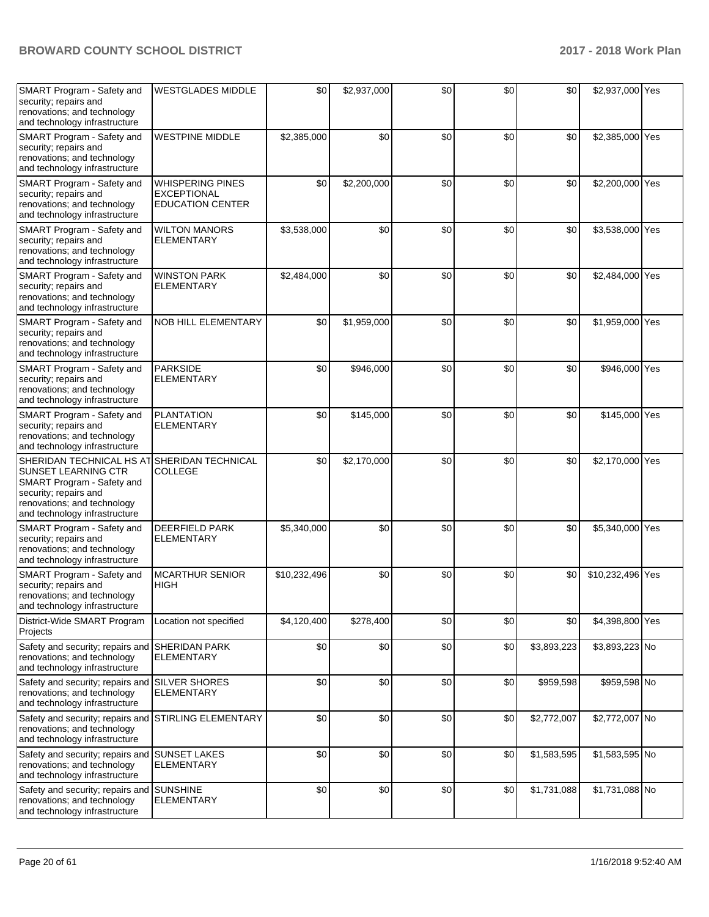| SMART Program - Safety and<br>security; repairs and<br>renovations; and technology<br>and technology infrastructure                                                           | <b>WESTGLADES MIDDLE</b>                                                 | \$0          | \$2,937,000 | \$0 | \$0 | \$0         | \$2,937,000 Yes  |  |
|-------------------------------------------------------------------------------------------------------------------------------------------------------------------------------|--------------------------------------------------------------------------|--------------|-------------|-----|-----|-------------|------------------|--|
| SMART Program - Safety and<br>security; repairs and<br>renovations; and technology<br>and technology infrastructure                                                           | <b>WESTPINE MIDDLE</b>                                                   | \$2,385,000  | \$0         | \$0 | \$0 | \$0         | \$2,385,000 Yes  |  |
| SMART Program - Safety and<br>security; repairs and<br>renovations; and technology<br>and technology infrastructure                                                           | <b>WHISPERING PINES</b><br><b>EXCEPTIONAL</b><br><b>EDUCATION CENTER</b> | \$0          | \$2,200,000 | \$0 | \$0 | \$0         | \$2,200,000 Yes  |  |
| SMART Program - Safety and<br>security; repairs and<br>renovations; and technology<br>and technology infrastructure                                                           | <b>WILTON MANORS</b><br><b>ELEMENTARY</b>                                | \$3,538,000  | \$0         | \$0 | \$0 | \$0         | \$3,538,000 Yes  |  |
| SMART Program - Safety and<br>security; repairs and<br>renovations; and technology<br>and technology infrastructure                                                           | <b>WINSTON PARK</b><br><b>ELEMENTARY</b>                                 | \$2,484,000  | \$0         | \$0 | \$0 | \$0         | \$2,484,000 Yes  |  |
| SMART Program - Safety and<br>security; repairs and<br>renovations; and technology<br>and technology infrastructure                                                           | <b>NOB HILL ELEMENTARY</b>                                               | \$0          | \$1,959,000 | \$0 | \$0 | \$0         | \$1,959,000 Yes  |  |
| SMART Program - Safety and<br>security; repairs and<br>renovations; and technology<br>and technology infrastructure                                                           | <b>PARKSIDE</b><br><b>ELEMENTARY</b>                                     | \$0          | \$946,000   | \$0 | \$0 | \$0         | \$946,000 Yes    |  |
| SMART Program - Safety and<br>security; repairs and<br>renovations; and technology<br>and technology infrastructure                                                           | <b>PLANTATION</b><br><b>ELEMENTARY</b>                                   | \$0          | \$145,000   | \$0 | \$0 | \$0         | \$145,000 Yes    |  |
| SHERIDAN TECHNICAL HS AT<br><b>SUNSET LEARNING CTR</b><br>SMART Program - Safety and<br>security; repairs and<br>renovations; and technology<br>and technology infrastructure | SHERIDAN TECHNICAL<br>COLLEGE                                            | \$0          | \$2,170,000 | \$0 | \$0 | \$0         | \$2,170,000 Yes  |  |
| SMART Program - Safety and<br>security; repairs and<br>renovations; and technology<br>and technology infrastructure                                                           | <b>DEERFIELD PARK</b><br><b>ELEMENTARY</b>                               | \$5,340,000  | \$0         | \$0 | \$0 | \$0         | \$5,340,000 Yes  |  |
| SMART Program - Safety and<br>security; repairs and<br>renovations; and technology<br>and technology infrastructure                                                           | <b>MCARTHUR SENIOR</b><br><b>HIGH</b>                                    | \$10,232,496 | \$0         | \$0 | \$0 | \$0         | \$10,232,496 Yes |  |
| District-Wide SMART Program<br>Projects                                                                                                                                       | Location not specified                                                   | \$4,120,400  | \$278,400   | \$0 | \$0 | \$0         | \$4,398,800 Yes  |  |
| Safety and security; repairs and<br>renovations; and technology<br>and technology infrastructure                                                                              | <b>SHERIDAN PARK</b><br><b>ELEMENTARY</b>                                | \$0          | \$0         | \$0 | \$0 | \$3,893,223 | \$3,893,223 No   |  |
| Safety and security; repairs and<br>renovations; and technology<br>and technology infrastructure                                                                              | <b>SILVER SHORES</b><br><b>ELEMENTARY</b>                                | \$0          | \$0         | \$0 | \$0 | \$959,598   | \$959,598 No     |  |
| Safety and security; repairs and<br>renovations; and technology<br>and technology infrastructure                                                                              | <b>STIRLING ELEMENTARY</b>                                               | \$0          | \$0         | \$0 | \$0 | \$2,772,007 | \$2,772,007 No   |  |
| Safety and security; repairs and SUNSET LAKES<br>renovations; and technology<br>and technology infrastructure                                                                 | <b>ELEMENTARY</b>                                                        | \$0          | \$0         | \$0 | \$0 | \$1,583,595 | \$1,583,595 No   |  |
| Safety and security; repairs and SUNSHINE<br>renovations; and technology<br>and technology infrastructure                                                                     | <b>ELEMENTARY</b>                                                        | \$0          | \$0         | \$0 | \$0 | \$1,731,088 | \$1,731,088 No   |  |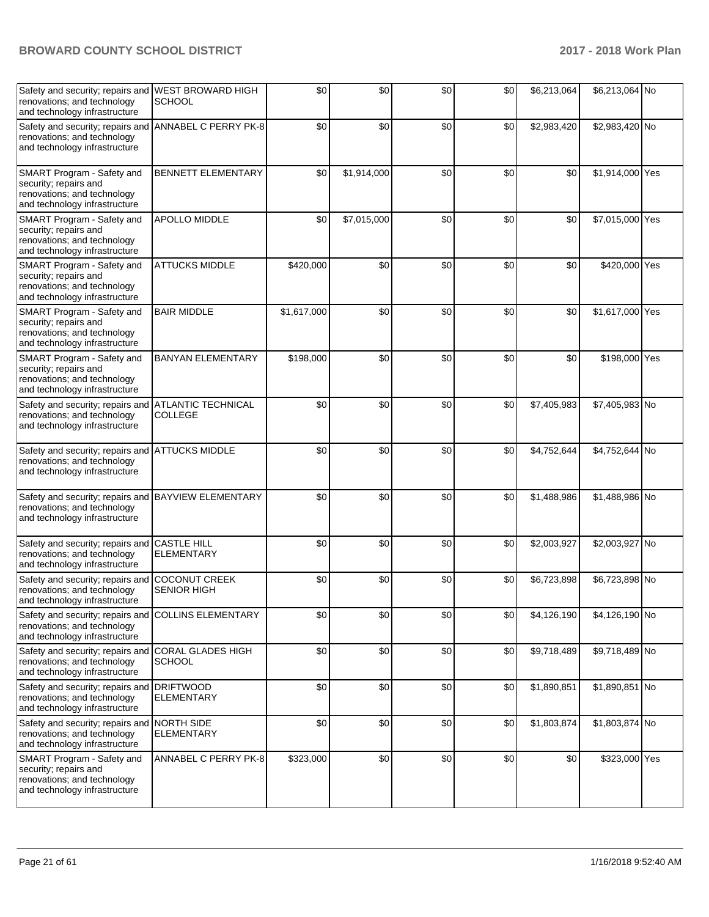| Safety and security; repairs and WEST BROWARD HIGH<br>renovations; and technology<br>and technology infrastructure  | <b>SCHOOL</b>                               | \$0         | \$0         | \$0 | \$0 | \$6,213,064 | \$6,213,064 No  |  |
|---------------------------------------------------------------------------------------------------------------------|---------------------------------------------|-------------|-------------|-----|-----|-------------|-----------------|--|
| Safety and security; repairs and<br>renovations; and technology<br>and technology infrastructure                    | ANNABEL C PERRY PK-8                        | \$0         | \$0         | \$0 | \$0 | \$2,983,420 | \$2,983,420 No  |  |
| SMART Program - Safety and<br>security; repairs and<br>renovations; and technology<br>and technology infrastructure | <b>BENNETT ELEMENTARY</b>                   | \$0         | \$1,914,000 | \$0 | \$0 | \$0         | \$1,914,000 Yes |  |
| SMART Program - Safety and<br>security; repairs and<br>renovations; and technology<br>and technology infrastructure | APOLLO MIDDLE                               | \$0         | \$7,015,000 | \$0 | \$0 | \$0         | \$7,015,000 Yes |  |
| SMART Program - Safety and<br>security; repairs and<br>renovations; and technology<br>and technology infrastructure | <b>ATTUCKS MIDDLE</b>                       | \$420,000   | \$0         | \$0 | \$0 | \$0         | \$420,000 Yes   |  |
| SMART Program - Safety and<br>security; repairs and<br>renovations; and technology<br>and technology infrastructure | <b>BAIR MIDDLE</b>                          | \$1,617,000 | \$0         | \$0 | \$0 | \$0         | \$1,617,000 Yes |  |
| SMART Program - Safety and<br>security; repairs and<br>renovations; and technology<br>and technology infrastructure | <b>BANYAN ELEMENTARY</b>                    | \$198,000   | \$0         | \$0 | \$0 | \$0         | \$198,000 Yes   |  |
| Safety and security; repairs and<br>renovations; and technology<br>and technology infrastructure                    | <b>ATLANTIC TECHNICAL</b><br><b>COLLEGE</b> | \$0         | \$0         | \$0 | \$0 | \$7,405,983 | \$7,405,983 No  |  |
| Safety and security; repairs and ATTUCKS MIDDLE<br>renovations; and technology<br>and technology infrastructure     |                                             | \$0         | \$0         | \$0 | \$0 | \$4,752,644 | \$4,752,644 No  |  |
| Safety and security; repairs and BAYVIEW ELEMENTARY<br>renovations; and technology<br>and technology infrastructure |                                             | \$0         | \$0         | \$0 | \$0 | \$1,488,986 | \$1,488,986 No  |  |
| Safety and security; repairs and<br>renovations; and technology<br>and technology infrastructure                    | <b>CASTLE HILL</b><br><b>ELEMENTARY</b>     | \$0         | \$0         | \$0 | \$0 | \$2,003,927 | \$2,003,927 No  |  |
| Safety and security; repairs and<br>renovations; and technology<br>and technology infrastructure                    | <b>COCONUT CREEK</b><br><b>SENIOR HIGH</b>  | \$0         | \$0         | \$0 | \$0 | \$6,723,898 | \$6,723,898 No  |  |
| Safety and security; repairs and<br>renovations; and technology<br>and technology infrastructure                    | <b>COLLINS ELEMENTARY</b>                   | \$0         | \$0         | \$0 | \$0 | \$4,126,190 | \$4,126,190 No  |  |
| Safety and security; repairs and<br>renovations; and technology<br>and technology infrastructure                    | CORAL GLADES HIGH<br><b>SCHOOL</b>          | \$0         | \$0         | \$0 | \$0 | \$9,718,489 | \$9,718,489 No  |  |
| Safety and security; repairs and DRIFTWOOD<br>renovations; and technology<br>and technology infrastructure          | <b>ELEMENTARY</b>                           | \$0         | \$0         | \$0 | \$0 | \$1,890,851 | \$1,890,851 No  |  |
| Safety and security; repairs and NORTH SIDE<br>renovations; and technology<br>and technology infrastructure         | <b>ELEMENTARY</b>                           | \$0         | \$0         | \$0 | \$0 | \$1,803,874 | \$1,803,874 No  |  |
| SMART Program - Safety and<br>security; repairs and<br>renovations; and technology<br>and technology infrastructure | ANNABEL C PERRY PK-8                        | \$323,000   | \$0         | \$0 | \$0 | \$0         | \$323,000 Yes   |  |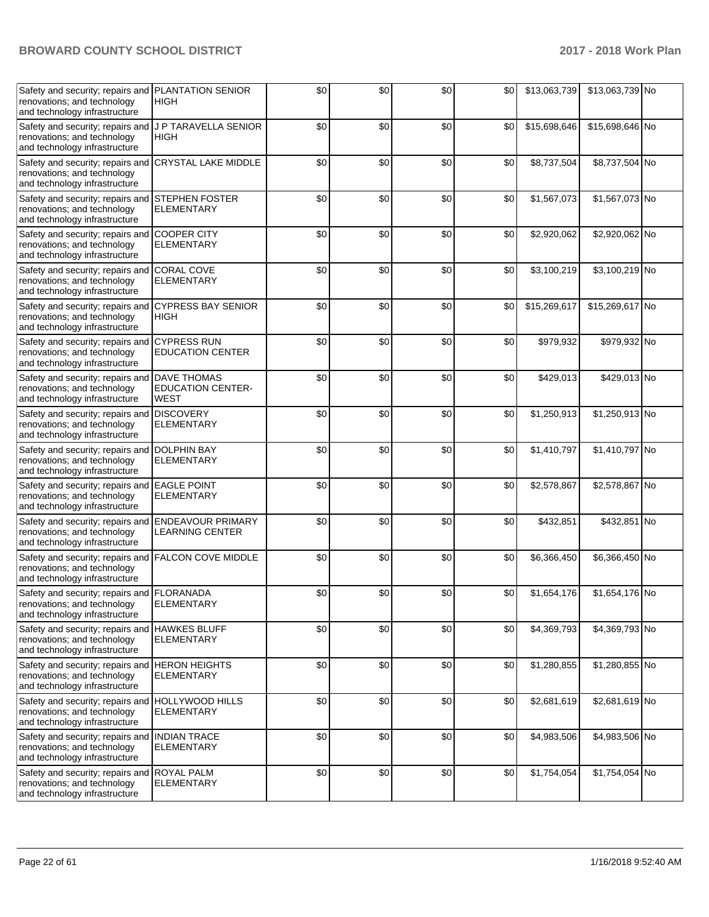| Safety and security; repairs and PLANTATION SENIOR<br>renovations; and technology<br>and technology infrastructure    | <b>HIGH</b>                                                   | \$0 | \$0 | \$0 | \$0 | \$13,063,739 | \$13,063,739 No |  |
|-----------------------------------------------------------------------------------------------------------------------|---------------------------------------------------------------|-----|-----|-----|-----|--------------|-----------------|--|
| Safety and security; repairs and J P TARAVELLA SENIOR<br>renovations; and technology<br>and technology infrastructure | <b>HIGH</b>                                                   | \$0 | \$0 | \$0 | \$0 | \$15,698,646 | \$15,698,646 No |  |
| Safety and security; repairs and<br>renovations; and technology<br>and technology infrastructure                      | <b>CRYSTAL LAKE MIDDLE</b>                                    | \$0 | \$0 | \$0 | \$0 | \$8,737,504  | \$8,737,504 No  |  |
| Safety and security; repairs and<br>renovations; and technology<br>and technology infrastructure                      | <b>STEPHEN FOSTER</b><br><b>ELEMENTARY</b>                    | \$0 | \$0 | \$0 | \$0 | \$1,567,073  | \$1,567,073 No  |  |
| Safety and security; repairs and<br>renovations; and technology<br>and technology infrastructure                      | <b>COOPER CITY</b><br><b>ELEMENTARY</b>                       | \$0 | \$0 | \$0 | \$0 | \$2,920,062  | \$2,920,062 No  |  |
| Safety and security; repairs and CORAL COVE<br>renovations; and technology<br>and technology infrastructure           | <b>ELEMENTARY</b>                                             | \$0 | \$0 | \$0 | \$0 | \$3,100,219  | \$3,100,219 No  |  |
| Safety and security; repairs and<br>renovations; and technology<br>and technology infrastructure                      | <b>CYPRESS BAY SENIOR</b><br><b>HIGH</b>                      | \$0 | \$0 | \$0 | \$0 | \$15,269,617 | \$15,269,617 No |  |
| Safety and security; repairs and<br>renovations; and technology<br>and technology infrastructure                      | <b>CYPRESS RUN</b><br><b>EDUCATION CENTER</b>                 | \$0 | \$0 | \$0 | \$0 | \$979,932    | \$979,932 No    |  |
| Safety and security; repairs and<br>renovations; and technology<br>and technology infrastructure                      | <b>DAVE THOMAS</b><br><b>EDUCATION CENTER-</b><br><b>WEST</b> | \$0 | \$0 | \$0 | \$0 | \$429,013    | \$429,013 No    |  |
| Safety and security; repairs and<br>renovations; and technology<br>and technology infrastructure                      | <b>DISCOVERY</b><br><b>ELEMENTARY</b>                         | \$0 | \$0 | \$0 | \$0 | \$1,250,913  | \$1,250,913 No  |  |
| Safety and security; repairs and DOLPHIN BAY<br>renovations; and technology<br>and technology infrastructure          | <b>ELEMENTARY</b>                                             | \$0 | \$0 | \$0 | \$0 | \$1,410,797  | \$1,410,797 No  |  |
| Safety and security; repairs and EAGLE POINT<br>renovations; and technology<br>and technology infrastructure          | <b>ELEMENTARY</b>                                             | \$0 | \$0 | \$0 | \$0 | \$2,578,867  | \$2,578,867 No  |  |
| Safety and security; repairs and<br>renovations; and technology<br>and technology infrastructure                      | <b>ENDEAVOUR PRIMARY</b><br><b>LEARNING CENTER</b>            | \$0 | \$0 | \$0 | \$0 | \$432,851    | \$432,851 No    |  |
| Safety and security; repairs and<br>renovations; and technology<br>and technology infrastructure                      | <b>FALCON COVE MIDDLE</b>                                     | \$0 | \$0 | \$0 | \$0 | \$6,366,450  | \$6,366,450 No  |  |
| Safety and security; repairs and FLORANADA<br>renovations; and technology<br>and technology infrastructure            | ELEMENTARY                                                    | \$0 | \$0 | \$0 | \$0 | \$1,654,176  | \$1,654,176 No  |  |
| Safety and security; repairs and HAWKES BLUFF<br>renovations; and technology<br>and technology infrastructure         | <b>ELEMENTARY</b>                                             | \$0 | \$0 | \$0 | \$0 | \$4,369,793  | \$4,369,793 No  |  |
| Safety and security; repairs and HERON HEIGHTS<br>renovations; and technology<br>and technology infrastructure        | <b>ELEMENTARY</b>                                             | \$0 | \$0 | \$0 | \$0 | \$1,280,855  | \$1,280,855 No  |  |
| Safety and security; repairs and HOLLYWOOD HILLS<br>renovations; and technology<br>and technology infrastructure      | <b>ELEMENTARY</b>                                             | \$0 | \$0 | \$0 | \$0 | \$2,681,619  | \$2,681,619 No  |  |
| Safety and security; repairs and INDIAN TRACE<br>renovations; and technology<br>and technology infrastructure         | <b>ELEMENTARY</b>                                             | \$0 | \$0 | \$0 | \$0 | \$4,983,506  | \$4,983,506 No  |  |
| Safety and security; repairs and ROYAL PALM<br>renovations; and technology<br>and technology infrastructure           | <b>ELEMENTARY</b>                                             | \$0 | \$0 | \$0 | \$0 | \$1,754,054  | \$1,754,054 No  |  |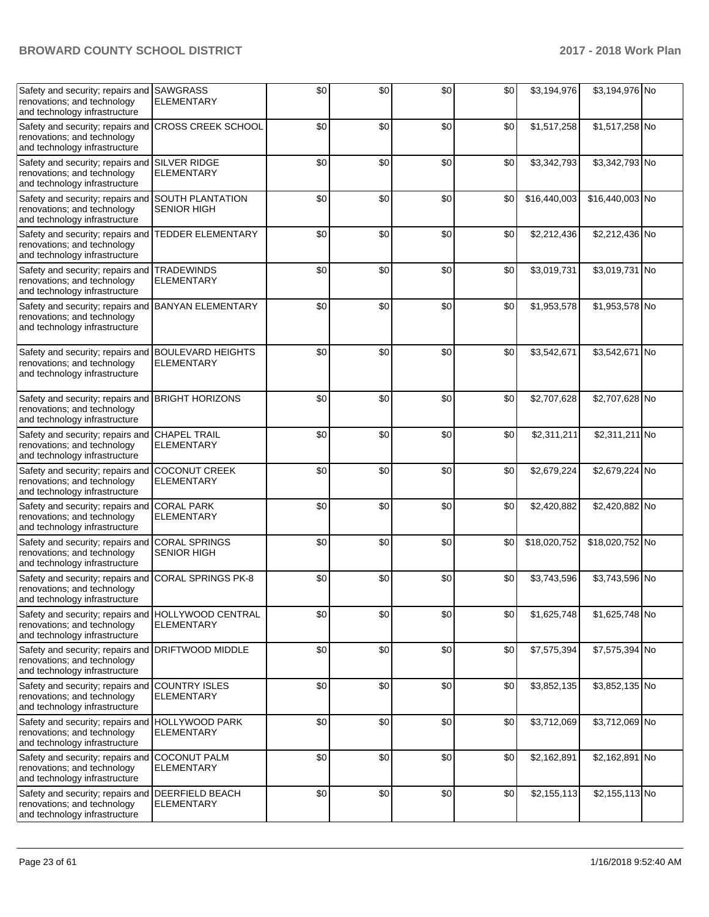| Safety and security; repairs and SAWGRASS<br>renovations; and technology<br>and technology infrastructure          | <b>ELEMENTARY</b>                             | \$0 | \$0 | \$0 | \$0 | \$3,194,976  | \$3,194,976 No  |  |
|--------------------------------------------------------------------------------------------------------------------|-----------------------------------------------|-----|-----|-----|-----|--------------|-----------------|--|
| Safety and security; repairs and<br>renovations; and technology<br>and technology infrastructure                   | <b>CROSS CREEK SCHOOL</b>                     | \$0 | \$0 | \$0 | \$0 | \$1,517,258  | \$1,517,258 No  |  |
| Safety and security; repairs and SILVER RIDGE<br>renovations; and technology<br>and technology infrastructure      | <b>ELEMENTARY</b>                             | \$0 | \$0 | \$0 | \$0 | \$3,342,793  | \$3,342,793 No  |  |
| Safety and security; repairs and<br>renovations; and technology<br>and technology infrastructure                   | <b>SOUTH PLANTATION</b><br><b>SENIOR HIGH</b> | \$0 | \$0 | \$0 | \$0 | \$16,440,003 | \$16,440,003 No |  |
| Safety and security; repairs and TEDDER ELEMENTARY<br>renovations; and technology<br>and technology infrastructure |                                               | \$0 | \$0 | \$0 | \$0 | \$2,212,436  | \$2,212,436 No  |  |
| Safety and security; repairs and TRADEWINDS<br>renovations; and technology<br>and technology infrastructure        | <b>ELEMENTARY</b>                             | \$0 | \$0 | \$0 | \$0 | \$3,019,731  | \$3,019,731 No  |  |
| Safety and security; repairs and BANYAN ELEMENTARY<br>renovations; and technology<br>and technology infrastructure |                                               | \$0 | \$0 | \$0 | \$0 | \$1,953,578  | \$1,953,578 No  |  |
| Safety and security; repairs and BOULEVARD HEIGHTS<br>renovations; and technology<br>and technology infrastructure | <b>ELEMENTARY</b>                             | \$0 | \$0 | \$0 | \$0 | \$3,542,671  | \$3,542,671 No  |  |
| Safety and security; repairs and BRIGHT HORIZONS<br>renovations; and technology<br>and technology infrastructure   |                                               | \$0 | \$0 | \$0 | \$0 | \$2,707,628  | \$2,707,628 No  |  |
| Safety and security; repairs and<br>renovations; and technology<br>and technology infrastructure                   | <b>CHAPEL TRAIL</b><br><b>ELEMENTARY</b>      | \$0 | \$0 | \$0 | \$0 | \$2,311,211  | \$2,311,211 No  |  |
| Safety and security; repairs and<br>renovations; and technology<br>and technology infrastructure                   | <b>COCONUT CREEK</b><br><b>ELEMENTARY</b>     | \$0 | \$0 | \$0 | \$0 | \$2,679,224  | \$2,679,224 No  |  |
| Safety and security; repairs and CORAL PARK<br>renovations; and technology<br>and technology infrastructure        | <b>ELEMENTARY</b>                             | \$0 | \$0 | \$0 | \$0 | \$2,420,882  | \$2,420,882 No  |  |
| Safety and security; repairs and<br>renovations; and technology<br>and technology infrastructure                   | <b>CORAL SPRINGS</b><br><b>SENIOR HIGH</b>    | \$0 | \$0 | \$0 | \$0 | \$18,020,752 | \$18,020,752 No |  |
| Safety and security; repairs and<br>renovations; and technology<br>and technology infrastructure                   | <b>CORAL SPRINGS PK-8</b>                     | \$0 | \$0 | \$0 | \$0 | \$3,743,596  | \$3,743,596 No  |  |
| Safety and security; repairs and<br>renovations; and technology<br>and technology infrastructure                   | <b>HOLLYWOOD CENTRAL</b><br><b>ELEMENTARY</b> | \$0 | \$0 | \$0 | \$0 | \$1,625,748  | \$1,625,748 No  |  |
| Safety and security; repairs and<br>renovations; and technology<br>and technology infrastructure                   | DRIFTWOOD MIDDLE                              | \$0 | \$0 | \$0 | \$0 | \$7,575,394  | \$7,575,394 No  |  |
| Safety and security; repairs and<br>renovations; and technology<br>and technology infrastructure                   | <b>COUNTRY ISLES</b><br><b>ELEMENTARY</b>     | \$0 | \$0 | \$0 | \$0 | \$3,852,135  | \$3,852,135 No  |  |
| Safety and security; repairs and HOLLYWOOD PARK<br>renovations; and technology<br>and technology infrastructure    | <b>ELEMENTARY</b>                             | \$0 | \$0 | \$0 | \$0 | \$3,712,069  | \$3,712,069 No  |  |
| Safety and security; repairs and<br>renovations; and technology<br>and technology infrastructure                   | <b>COCONUT PALM</b><br><b>ELEMENTARY</b>      | \$0 | \$0 | \$0 | \$0 | \$2,162,891  | \$2,162,891 No  |  |
| Safety and security; repairs and DEERFIELD BEACH<br>renovations; and technology<br>and technology infrastructure   | <b>ELEMENTARY</b>                             | \$0 | \$0 | \$0 | \$0 | \$2,155,113  | \$2,155,113 No  |  |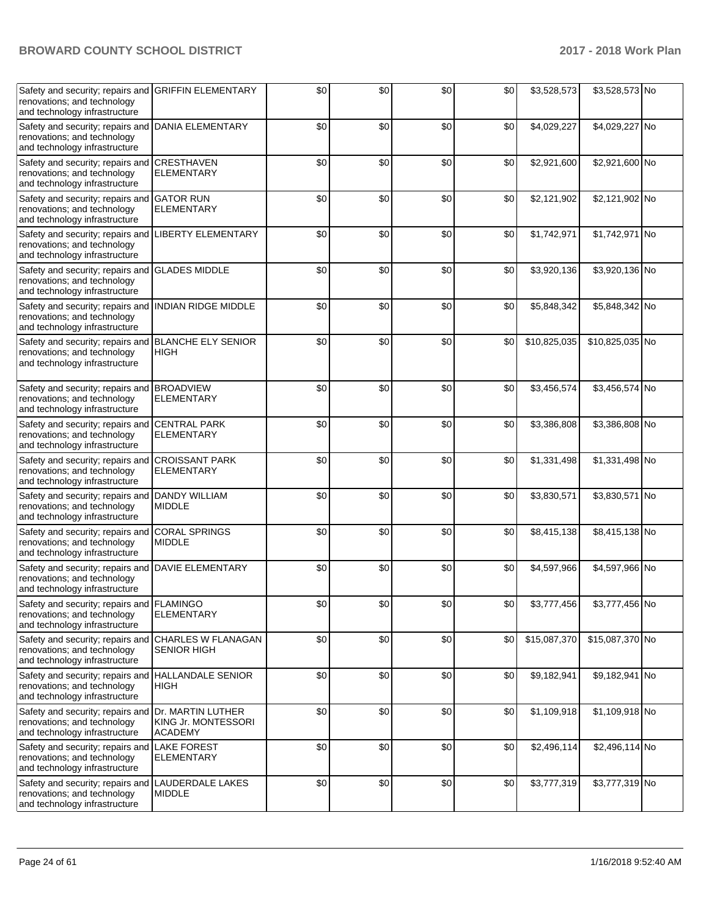| Safety and security; repairs and<br>renovations; and technology<br>and technology infrastructure                    | <b>GRIFFIN ELEMENTARY</b>                  | \$0 | \$0 | \$0 | \$0 | \$3,528,573  | \$3,528,573 No  |  |
|---------------------------------------------------------------------------------------------------------------------|--------------------------------------------|-----|-----|-----|-----|--------------|-----------------|--|
| Safety and security; repairs and<br>renovations; and technology<br>and technology infrastructure                    | <b>DANIA ELEMENTARY</b>                    | \$0 | \$0 | \$0 | \$0 | \$4,029,227  | \$4,029,227 No  |  |
| Safety and security; repairs and<br>renovations; and technology<br>and technology infrastructure                    | <b>CRESTHAVEN</b><br><b>ELEMENTARY</b>     | \$0 | \$0 | \$0 | \$0 | \$2,921,600  | \$2,921,600 No  |  |
| Safety and security; repairs and<br>renovations; and technology<br>and technology infrastructure                    | <b>GATOR RUN</b><br><b>ELEMENTARY</b>      | \$0 | \$0 | \$0 | \$0 | \$2,121,902  | \$2,121,902 No  |  |
| Safety and security; repairs and LIBERTY ELEMENTARY<br>renovations; and technology<br>and technology infrastructure |                                            | \$0 | \$0 | \$0 | \$0 | \$1,742,971  | \$1,742,971 No  |  |
| Safety and security; repairs and GLADES MIDDLE<br>renovations; and technology<br>and technology infrastructure      |                                            | \$0 | \$0 | \$0 | \$0 | \$3,920,136  | \$3,920,136 No  |  |
| Safety and security; repairs and<br>renovations; and technology<br>and technology infrastructure                    | INDIAN RIDGE MIDDLE                        | \$0 | \$0 | \$0 | \$0 | \$5,848,342  | \$5,848,342 No  |  |
| Safety and security; repairs and<br>renovations; and technology<br>and technology infrastructure                    | <b>BLANCHE ELY SENIOR</b><br><b>HIGH</b>   | \$0 | \$0 | \$0 | \$0 | \$10,825,035 | \$10,825,035 No |  |
| Safety and security; repairs and BROADVIEW<br>renovations; and technology<br>and technology infrastructure          | <b>ELEMENTARY</b>                          | \$0 | \$0 | \$0 | \$0 | \$3,456,574  | \$3,456,574 No  |  |
| Safety and security; repairs and<br>renovations; and technology<br>and technology infrastructure                    | <b>CENTRAL PARK</b><br><b>ELEMENTARY</b>   | \$0 | \$0 | \$0 | \$0 | \$3,386,808  | \$3,386,808 No  |  |
| Safety and security; repairs and<br>renovations; and technology<br>and technology infrastructure                    | <b>CROISSANT PARK</b><br><b>ELEMENTARY</b> | \$0 | \$0 | \$0 | \$0 | \$1,331,498  | \$1,331,498 No  |  |
| Safety and security; repairs and DANDY WILLIAM<br>renovations; and technology<br>and technology infrastructure      | <b>MIDDLE</b>                              | \$0 | \$0 | \$0 | \$0 | \$3,830,571  | \$3,830,571 No  |  |
| Safety and security; repairs and<br>renovations; and technology<br>and technology infrastructure                    | <b>CORAL SPRINGS</b><br><b>MIDDLE</b>      | \$0 | \$0 | \$0 | \$0 | \$8,415,138  | \$8,415,138 No  |  |
| Safety and security; repairs and DAVIE ELEMENTARY<br>renovations; and technology<br>and technology infrastructure   |                                            | \$0 | \$0 | \$0 | \$0 | \$4,597,966  | \$4,597,966 No  |  |
| Safety and security; repairs and FLAMINGO<br>renovations; and technology<br>and technology infrastructure           | <b>ELEMENTARY</b>                          | \$0 | \$0 | \$0 | \$0 | \$3,777,456  | \$3,777,456 No  |  |
| Safety and security; repairs and<br>renovations; and technology<br>and technology infrastructure                    | CHARLES W FLANAGAN<br><b>SENIOR HIGH</b>   | \$0 | \$0 | \$0 | \$0 | \$15,087,370 | \$15,087,370 No |  |
| Safety and security; repairs and<br>renovations; and technology<br>and technology infrastructure                    | <b>HALLANDALE SENIOR</b><br><b>HIGH</b>    | \$0 | \$0 | \$0 | \$0 | \$9,182,941  | \$9,182,941 No  |  |
| Safety and security; repairs and Dr. MARTIN LUTHER<br>renovations; and technology<br>and technology infrastructure  | KING Jr. MONTESSORI<br><b>ACADEMY</b>      | \$0 | \$0 | \$0 | \$0 | \$1,109,918  | \$1,109,918 No  |  |
| Safety and security; repairs and LAKE FOREST<br>renovations; and technology<br>and technology infrastructure        | <b>ELEMENTARY</b>                          | \$0 | \$0 | \$0 | \$0 | \$2,496,114  | \$2,496,114 No  |  |
| Safety and security; repairs and LAUDERDALE LAKES<br>renovations; and technology<br>and technology infrastructure   | <b>MIDDLE</b>                              | \$0 | \$0 | \$0 | \$0 | \$3,777,319  | \$3,777,319 No  |  |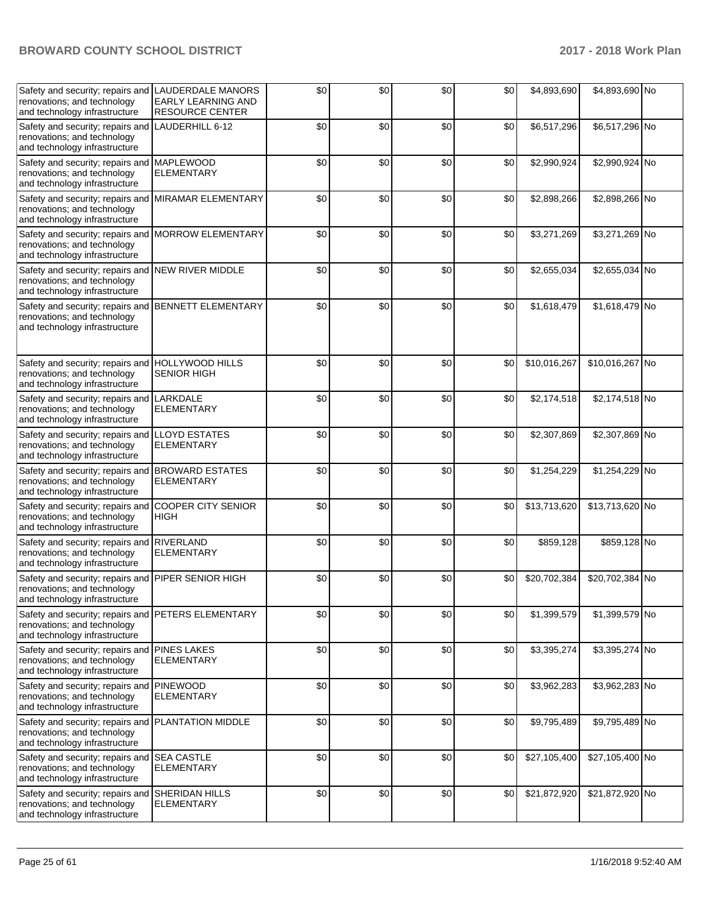| Safety and security; repairs and LAUDERDALE MANORS<br>renovations; and technology<br>and technology infrastructure | <b>EARLY LEARNING AND</b><br><b>RESOURCE CENTER</b> | \$0 | \$0 | \$0 | \$0 | \$4,893,690  | \$4,893,690 No  |  |
|--------------------------------------------------------------------------------------------------------------------|-----------------------------------------------------|-----|-----|-----|-----|--------------|-----------------|--|
| Safety and security; repairs and<br>renovations; and technology<br>and technology infrastructure                   | LAUDERHILL 6-12                                     | \$0 | \$0 | \$0 | \$0 | \$6,517,296  | \$6,517,296 No  |  |
| Safety and security; repairs and<br>renovations; and technology<br>and technology infrastructure                   | <b>MAPLEWOOD</b><br><b>ELEMENTARY</b>               | \$0 | \$0 | \$0 | \$0 | \$2,990,924  | \$2,990,924 No  |  |
| Safety and security; repairs and<br>renovations; and technology<br>and technology infrastructure                   | MIRAMAR ELEMENTARY                                  | \$0 | \$0 | \$0 | \$0 | \$2,898,266  | \$2,898,266 No  |  |
| Safety and security; repairs and MORROW ELEMENTARY<br>renovations; and technology<br>and technology infrastructure |                                                     | \$0 | \$0 | \$0 | \$0 | \$3,271,269  | \$3,271,269 No  |  |
| Safety and security; repairs and NEW RIVER MIDDLE<br>renovations; and technology<br>and technology infrastructure  |                                                     | \$0 | \$0 | \$0 | \$0 | \$2,655,034  | \$2,655,034 No  |  |
| Safety and security; repairs and<br>renovations; and technology<br>and technology infrastructure                   | <b>BENNETT ELEMENTARY</b>                           | \$0 | \$0 | \$0 | \$0 | \$1,618,479  | \$1,618,479 No  |  |
| Safety and security; repairs and<br>renovations; and technology<br>and technology infrastructure                   | <b>HOLLYWOOD HILLS</b><br><b>SENIOR HIGH</b>        | \$0 | \$0 | \$0 | \$0 | \$10,016,267 | \$10,016,267 No |  |
| Safety and security; repairs and<br>renovations; and technology<br>and technology infrastructure                   | LARKDALE<br><b>ELEMENTARY</b>                       | \$0 | \$0 | \$0 | \$0 | \$2,174,518  | \$2,174,518 No  |  |
| Safety and security; repairs and<br>renovations; and technology<br>and technology infrastructure                   | <b>LLOYD ESTATES</b><br>ELEMENTARY                  | \$0 | \$0 | \$0 | \$0 | \$2,307,869  | \$2,307,869 No  |  |
| Safety and security; repairs and<br>renovations; and technology<br>and technology infrastructure                   | <b>BROWARD ESTATES</b><br><b>ELEMENTARY</b>         | \$0 | \$0 | \$0 | \$0 | \$1,254,229  | \$1,254,229 No  |  |
| Safety and security; repairs and<br>renovations; and technology<br>and technology infrastructure                   | <b>COOPER CITY SENIOR</b><br><b>HIGH</b>            | \$0 | \$0 | \$0 | \$0 | \$13,713,620 | \$13,713,620 No |  |
| Safety and security; repairs and<br>renovations; and technology<br>and technology infrastructure                   | <b>RIVERLAND</b><br><b>ELEMENTARY</b>               | \$0 | \$0 | \$0 | \$0 | \$859,128    | \$859,128 No    |  |
| Safety and security; repairs and<br>renovations; and technology<br>and technology infrastructure                   | <b>PIPER SENIOR HIGH</b>                            | \$0 | \$0 | \$0 | \$0 | \$20,702,384 | \$20,702,384 No |  |
| Safety and security; repairs and<br>renovations; and technology<br>and technology infrastructure                   | PETERS ELEMENTARY                                   | \$0 | \$0 | \$0 | \$0 | \$1,399,579  | \$1,399,579 No  |  |
| Safety and security; repairs and<br>renovations; and technology<br>and technology infrastructure                   | <b>PINES LAKES</b><br>ELEMENTARY                    | \$0 | \$0 | \$0 | \$0 | \$3,395,274  | \$3,395,274 No  |  |
| Safety and security; repairs and<br>renovations; and technology<br>and technology infrastructure                   | <b>PINEWOOD</b><br><b>ELEMENTARY</b>                | \$0 | \$0 | \$0 | \$0 | \$3,962,283  | \$3,962,283 No  |  |
| Safety and security; repairs and PLANTATION MIDDLE<br>renovations; and technology<br>and technology infrastructure |                                                     | \$0 | \$0 | \$0 | \$0 | \$9,795,489  | \$9,795,489 No  |  |
| Safety and security; repairs and<br>renovations; and technology<br>and technology infrastructure                   | <b>SEA CASTLE</b><br><b>ELEMENTARY</b>              | \$0 | \$0 | \$0 | \$0 | \$27,105,400 | \$27,105,400 No |  |
| Safety and security; repairs and<br>renovations; and technology<br>and technology infrastructure                   | SHERIDAN HILLS<br><b>ELEMENTARY</b>                 | \$0 | \$0 | \$0 | \$0 | \$21,872,920 | \$21,872,920 No |  |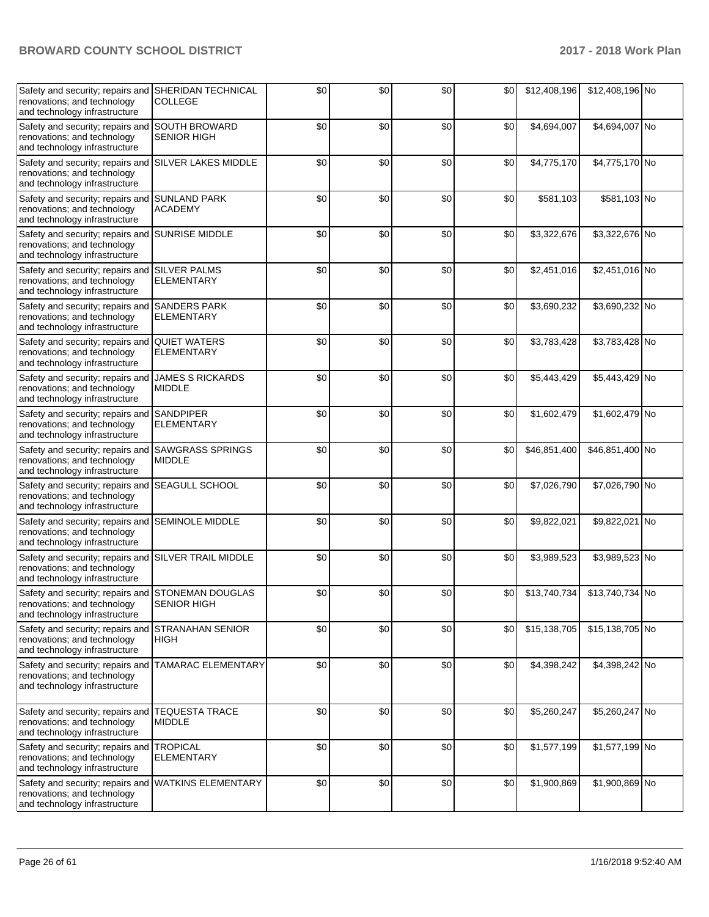| Safety and security; repairs and<br>renovations; and technology<br>and technology infrastructure                    | <b>SHERIDAN TECHNICAL</b><br><b>COLLEGE</b> | \$0 | \$0 | \$0 | \$0 | \$12,408,196 | \$12,408,196 No |  |
|---------------------------------------------------------------------------------------------------------------------|---------------------------------------------|-----|-----|-----|-----|--------------|-----------------|--|
| Safety and security; repairs and<br>renovations; and technology<br>and technology infrastructure                    | <b>SOUTH BROWARD</b><br><b>SENIOR HIGH</b>  | \$0 | \$0 | \$0 | \$0 | \$4,694,007  | \$4,694,007 No  |  |
| Safety and security; repairs and<br>renovations; and technology<br>and technology infrastructure                    | <b>SILVER LAKES MIDDLE</b>                  | \$0 | \$0 | \$0 | \$0 | \$4,775,170  | \$4,775,170 No  |  |
| Safety and security; repairs and<br>renovations; and technology<br>and technology infrastructure                    | <b>SUNLAND PARK</b><br><b>ACADEMY</b>       | \$0 | \$0 | \$0 | \$0 | \$581,103    | \$581,103 No    |  |
| Safety and security; repairs and<br>renovations; and technology<br>and technology infrastructure                    | <b>SUNRISE MIDDLE</b>                       | \$0 | \$0 | \$0 | \$0 | \$3,322,676  | \$3,322,676 No  |  |
| Safety and security; repairs and SILVER PALMS<br>renovations; and technology<br>and technology infrastructure       | <b>ELEMENTARY</b>                           | \$0 | \$0 | \$0 | \$0 | \$2,451,016  | \$2,451,016 No  |  |
| Safety and security; repairs and<br>renovations; and technology<br>and technology infrastructure                    | <b>SANDERS PARK</b><br><b>ELEMENTARY</b>    | \$0 | \$0 | \$0 | \$0 | \$3,690,232  | \$3,690,232 No  |  |
| Safety and security; repairs and<br>renovations; and technology<br>and technology infrastructure                    | <b>QUIET WATERS</b><br><b>ELEMENTARY</b>    | \$0 | \$0 | \$0 | \$0 | \$3,783,428  | \$3,783,428 No  |  |
| Safety and security; repairs and<br>renovations; and technology<br>and technology infrastructure                    | <b>JAMES S RICKARDS</b><br><b>MIDDLE</b>    | \$0 | \$0 | \$0 | \$0 | \$5,443,429  | \$5,443,429 No  |  |
| Safety and security; repairs and<br>renovations; and technology<br>and technology infrastructure                    | <b>SANDPIPER</b><br>ELEMENTARY              | \$0 | \$0 | \$0 | \$0 | \$1,602,479  | \$1,602,479 No  |  |
| Safety and security; repairs and<br>renovations; and technology<br>and technology infrastructure                    | <b>SAWGRASS SPRINGS</b><br><b>MIDDLE</b>    | \$0 | \$0 | \$0 | \$0 | \$46,851,400 | \$46,851,400 No |  |
| Safety and security; repairs and SEAGULL SCHOOL<br>renovations; and technology<br>and technology infrastructure     |                                             | \$0 | \$0 | \$0 | \$0 | \$7,026,790  | \$7,026,790 No  |  |
| Safety and security; repairs and<br>renovations; and technology<br>and technology infrastructure                    | <b>SEMINOLE MIDDLE</b>                      | \$0 | \$0 | \$0 | \$0 | \$9,822,021  | \$9,822,021 No  |  |
| Safety and security; repairs and<br>renovations; and technology<br>and technology infrastructure                    | <b>SILVER TRAIL MIDDLE</b>                  | \$0 | \$0 | \$0 | \$0 | \$3,989,523  | \$3,989,523 No  |  |
| Safety and security; repairs and STONEMAN DOUGLAS<br>renovations; and technology<br>and technology infrastructure   | <b>SENIOR HIGH</b>                          | \$0 | \$0 | \$0 | \$0 | \$13,740,734 | \$13,740,734 No |  |
| Safety and security; repairs and<br>renovations; and technology<br>and technology infrastructure                    | <b>STRANAHAN SENIOR</b><br><b>HIGH</b>      | \$0 | \$0 | \$0 | \$0 | \$15,138,705 | \$15,138,705 No |  |
| Safety and security; repairs and<br>renovations; and technology<br>and technology infrastructure                    | <b>TAMARAC ELEMENTARY</b>                   | \$0 | \$0 | \$0 | \$0 | \$4,398,242  | \$4,398,242 No  |  |
| Safety and security; repairs and<br>renovations; and technology<br>and technology infrastructure                    | <b>TEQUESTA TRACE</b><br><b>MIDDLE</b>      | \$0 | \$0 | \$0 | \$0 | \$5,260,247  | \$5,260,247 No  |  |
| Safety and security; repairs and<br>renovations; and technology<br>and technology infrastructure                    | <b>TROPICAL</b><br>ELEMENTARY               | \$0 | \$0 | \$0 | \$0 | \$1,577,199  | \$1,577,199 No  |  |
| Safety and security; repairs and WATKINS ELEMENTARY<br>renovations; and technology<br>and technology infrastructure |                                             | \$0 | \$0 | \$0 | \$0 | \$1,900,869  | \$1,900,869 No  |  |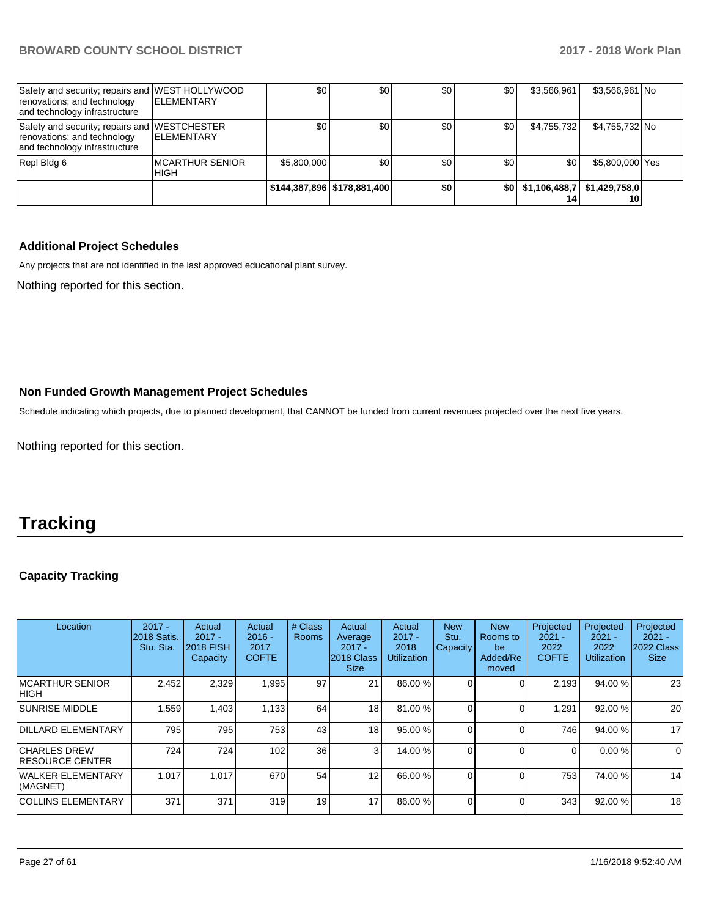| Safety and security; repairs and WEST HOLLYWOOD<br>renovations; and technology<br>and technology infrastructure | <b>IELEMENTARY</b>              | \$0         | \$0                         | \$0 | \$0 | \$3.566.961 | \$3,566,961 No                         |  |
|-----------------------------------------------------------------------------------------------------------------|---------------------------------|-------------|-----------------------------|-----|-----|-------------|----------------------------------------|--|
| Safety and security; repairs and WESTCHESTER<br>renovations; and technology<br>and technology infrastructure    | <b>IELEMENTARY</b>              | \$0         | \$0                         | \$0 | \$0 | \$4,755,732 | \$4,755,732 No                         |  |
| Repl Bldg 6                                                                                                     | IMCARTHUR SENIOR<br><b>HIGH</b> | \$5,800,000 | \$0 <sub>1</sub>            | \$0 | \$0 | \$0         | \$5,800,000 Yes                        |  |
|                                                                                                                 |                                 |             | \$144,387,896 \$178,881,400 | \$0 |     |             | \$0 \$1,106,488,7 \$1,429,758,0]<br>10 |  |

#### **Additional Project Schedules**

Any projects that are not identified in the last approved educational plant survey.

Nothing reported for this section.

#### **Non Funded Growth Management Project Schedules**

Schedule indicating which projects, due to planned development, that CANNOT be funded from current revenues projected over the next five years.

Nothing reported for this section.

# **Tracking**

#### **Capacity Tracking**

| Location                                       | $2017 -$<br>2018 Satis.<br>Stu. Sta. | Actual<br>$2017 -$<br><b>2018 FISH</b><br>Capacity | Actual<br>$2016 -$<br>2017<br><b>COFTE</b> | # Class<br><b>Rooms</b> | Actual<br>Average<br>$2017 -$<br>2018 Class<br><b>Size</b> | Actual<br>$2017 -$<br>2018<br><b>Utilization</b> | <b>New</b><br>Stu.<br>Capacity | <b>New</b><br>Rooms to<br>be<br>Added/Re<br>moved | Projected<br>$2021 -$<br>2022<br><b>COFTE</b> | Projected<br>$2021 -$<br>2022<br><b>Utilization</b> | Projected<br>$2021 -$<br>2022 Class<br><b>Size</b> |
|------------------------------------------------|--------------------------------------|----------------------------------------------------|--------------------------------------------|-------------------------|------------------------------------------------------------|--------------------------------------------------|--------------------------------|---------------------------------------------------|-----------------------------------------------|-----------------------------------------------------|----------------------------------------------------|
| <b>IMCARTHUR SENIOR</b><br>IHIGH               | 2,452                                | 2,329                                              | 1,995                                      | 97                      | 21                                                         | 86.00 %                                          |                                |                                                   | 2.193                                         | 94.00 %                                             | 23                                                 |
| <b>SUNRISE MIDDLE</b>                          | 559. ا                               | 1,403                                              | 1,133                                      | 64                      | 18                                                         | 81.00 %                                          |                                |                                                   | 291. ا                                        | 92.00 %                                             | 20                                                 |
| <b>DILLARD ELEMENTARY</b>                      | 795                                  | 795                                                | 753                                        | 43                      | 18                                                         | 95.00 %                                          |                                |                                                   | 746                                           | 94.00 %                                             | 17                                                 |
| <b>CHARLES DREW</b><br><b>IRESOURCE CENTER</b> | 724                                  | 724                                                | 102                                        | 36                      | 3                                                          | 14.00 %                                          |                                |                                                   | $\Omega$                                      | 0.00%                                               | $\Omega$                                           |
| WALKER ELEMENTARY<br>(MAGNET)                  | 1.017                                | 1,017                                              | 670                                        | 54                      | 12                                                         | 66.00 %                                          |                                |                                                   | 753                                           | 74.00 %                                             | 14                                                 |
| <b>COLLINS ELEMENTARY</b>                      | 371                                  | 371                                                | 319                                        | 19                      | 17                                                         | 86.00 %                                          |                                |                                                   | 343                                           | 92.00 %                                             | 18                                                 |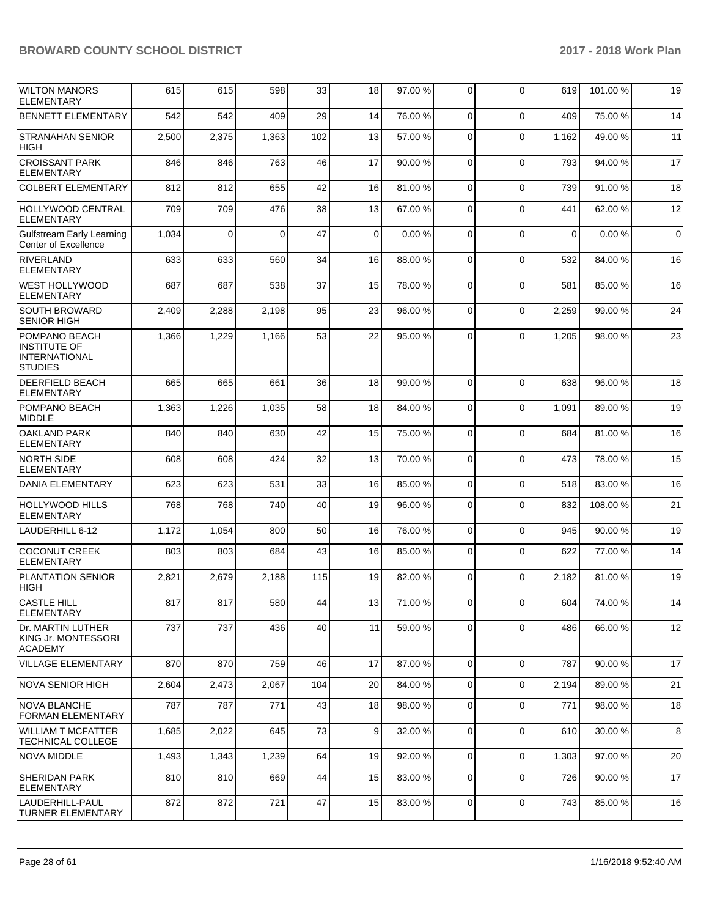| <b>WILTON MANORS</b><br><b>ELEMENTARY</b>                                             | 615   | 615      | 598      | 33  | 18          | 97.00 % | 0              | $\Omega$       | 619         | 101.00 % | 19          |
|---------------------------------------------------------------------------------------|-------|----------|----------|-----|-------------|---------|----------------|----------------|-------------|----------|-------------|
| <b>BENNETT ELEMENTARY</b>                                                             | 542   | 542      | 409      | 29  | 14          | 76.00 % | $\mathbf 0$    | $\Omega$       | 409         | 75.00 %  | 14          |
| <b>STRANAHAN SENIOR</b><br><b>HIGH</b>                                                | 2,500 | 2,375    | 1,363    | 102 | 13          | 57.00 % | 0              | $\Omega$       | 1,162       | 49.00 %  | 11          |
| <b>CROISSANT PARK</b><br><b>ELEMENTARY</b>                                            | 846   | 846      | 763      | 46  | 17          | 90.00 % | 0              | $\Omega$       | 793         | 94.00 %  | 17          |
| <b>COLBERT ELEMENTARY</b>                                                             | 812   | 812      | 655      | 42  | 16          | 81.00%  | 0              | $\Omega$       | 739         | 91.00%   | 18          |
| <b>HOLLYWOOD CENTRAL</b><br><b>ELEMENTARY</b>                                         | 709   | 709      | 476      | 38  | 13          | 67.00 % | 0              | $\Omega$       | 441         | 62.00 %  | 12          |
| Gulfstream Early Learning<br>Center of Excellence                                     | 1,034 | $\Omega$ | $\Omega$ | 47  | $\mathbf 0$ | 0.00%   | $\Omega$       | $\Omega$       | $\mathbf 0$ | 0.00%    | $\mathbf 0$ |
| <b>RIVERLAND</b><br><b>ELEMENTARY</b>                                                 | 633   | 633      | 560      | 34  | 16          | 88.00 % | $\mathbf 0$    | $\Omega$       | 532         | 84.00 %  | 16          |
| WEST HOLLYWOOD<br><b>ELEMENTARY</b>                                                   | 687   | 687      | 538      | 37  | 15          | 78.00 % | 0              | $\Omega$       | 581         | 85.00 %  | 16          |
| <b>SOUTH BROWARD</b><br><b>SENIOR HIGH</b>                                            | 2,409 | 2,288    | 2,198    | 95  | 23          | 96.00 % | $\Omega$       | $\Omega$       | 2,259       | 99.00 %  | 24          |
| <b>POMPANO BEACH</b><br><b>INSTITUTE OF</b><br><b>INTERNATIONAL</b><br><b>STUDIES</b> | 1,366 | 1,229    | 1,166    | 53  | 22          | 95.00 % | $\Omega$       | $\Omega$       | 1,205       | 98.00 %  | 23          |
| <b>DEERFIELD BEACH</b><br><b>ELEMENTARY</b>                                           | 665   | 665      | 661      | 36  | 18          | 99.00 % | $\mathbf 0$    | $\Omega$       | 638         | 96.00 %  | 18          |
| POMPANO BEACH<br><b>MIDDLE</b>                                                        | 1,363 | 1,226    | 1,035    | 58  | 18          | 84.00 % | $\mathbf 0$    | $\Omega$       | 1,091       | 89.00 %  | 19          |
| <b>OAKLAND PARK</b><br><b>ELEMENTARY</b>                                              | 840   | 840      | 630      | 42  | 15          | 75.00 % | $\mathbf 0$    | $\Omega$       | 684         | 81.00 %  | 16          |
| <b>NORTH SIDE</b><br><b>ELEMENTARY</b>                                                | 608   | 608      | 424      | 32  | 13          | 70.00 % | 0              | $\Omega$       | 473         | 78.00 %  | 15          |
| DANIA ELEMENTARY                                                                      | 623   | 623      | 531      | 33  | 16          | 85.00 % | $\mathbf 0$    | $\Omega$       | 518         | 83.00 %  | 16          |
| <b>HOLLYWOOD HILLS</b><br><b>ELEMENTARY</b>                                           | 768   | 768      | 740      | 40  | 19          | 96.00 % | 0              | $\Omega$       | 832         | 108.00%  | 21          |
| LAUDERHILL 6-12                                                                       | 1,172 | 1,054    | 800      | 50  | 16          | 76.00 % | 0              | $\Omega$       | 945         | 90.00 %  | 19          |
| <b>COCONUT CREEK</b><br><b>ELEMENTARY</b>                                             | 803   | 803      | 684      | 43  | 16          | 85.00 % | $\mathbf 0$    | $\Omega$       | 622         | 77.00 %  | 14          |
| <b>PLANTATION SENIOR</b><br>HIGH                                                      | 2,821 | 2,679    | 2,188    | 115 | 19          | 82.00 % | 0              | $\Omega$       | 2,182       | 81.00 %  | 19          |
| CASTLE HILL<br><b>ELEMENTARY</b>                                                      | 817   | 817      | 580      | 44  | 13          | 71.00 % | $\overline{0}$ | $\overline{0}$ | 604         | 74.00 %  | 14          |
| Dr. MARTIN LUTHER<br>KING Jr. MONTESSORI<br><b>ACADEMY</b>                            | 737   | 737      | 436      | 40  | 11          | 59.00 % | $\overline{0}$ | $\Omega$       | 486         | 66.00 %  | 12          |
| VILLAGE ELEMENTARY                                                                    | 870   | 870      | 759      | 46  | 17          | 87.00 % | 0              | $\mathbf 0$    | 787         | 90.00 %  | 17          |
| INOVA SENIOR HIGH                                                                     | 2,604 | 2,473    | 2,067    | 104 | 20          | 84.00 % | 0              | $\mathbf 0$    | 2,194       | 89.00 %  | 21          |
| NOVA BLANCHE<br><b>FORMAN ELEMENTARY</b>                                              | 787   | 787      | 771      | 43  | 18          | 98.00 % | 0              | $\mathbf 0$    | 771         | 98.00 %  | 18          |
| <b>WILLIAM T MCFATTER</b><br>TECHNICAL COLLEGE                                        | 1,685 | 2,022    | 645      | 73  | 9           | 32.00 % | 0              | $\Omega$       | 610         | 30.00 %  | 8           |
| <b>NOVA MIDDLE</b>                                                                    | 1,493 | 1,343    | 1,239    | 64  | 19          | 92.00 % | $\overline{0}$ | $\mathbf 0$    | 1,303       | 97.00 %  | 20          |
| <b>SHERIDAN PARK</b><br><b>ELEMENTARY</b>                                             | 810   | 810      | 669      | 44  | 15          | 83.00 % | 0              | $\Omega$       | 726         | 90.00 %  | 17          |
| LAUDERHILL-PAUL<br><b>TURNER ELEMENTARY</b>                                           | 872   | 872      | 721      | 47  | 15          | 83.00 % | 0              | $\mathbf 0$    | 743         | 85.00 %  | 16          |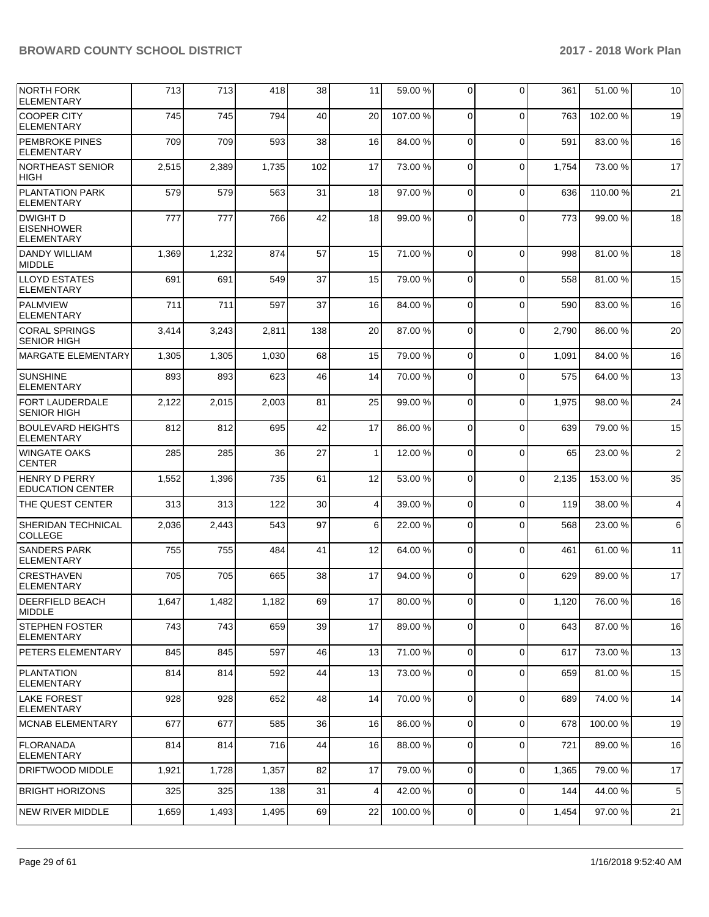| NORTH FORK<br><b>ELEMENTARY</b>                    | 713   | 713   | 418   | 38  | 11           | 59.00 %  | 0              | $\Omega$       | 361   | 51.00 %  | 10             |
|----------------------------------------------------|-------|-------|-------|-----|--------------|----------|----------------|----------------|-------|----------|----------------|
| <b>COOPER CITY</b><br><b>ELEMENTARY</b>            | 745   | 745   | 794   | 40  | 20           | 107.00%  | $\Omega$       | $\Omega$       | 763   | 102.00%  | 19             |
| <b>PEMBROKE PINES</b><br><b>ELEMENTARY</b>         | 709   | 709   | 593   | 38  | 16           | 84.00 %  | $\Omega$       | $\Omega$       | 591   | 83.00 %  | 16             |
| NORTHEAST SENIOR<br><b>HIGH</b>                    | 2,515 | 2,389 | 1,735 | 102 | 17           | 73.00 %  | $\Omega$       | $\mathbf 0$    | 1,754 | 73.00 %  | 17             |
| PLANTATION PARK<br><b>ELEMENTARY</b>               | 579   | 579   | 563   | 31  | 18           | 97.00 %  | $\Omega$       | $\Omega$       | 636   | 110.00 % | 21             |
| DWIGHT D<br><b>EISENHOWER</b><br><b>ELEMENTARY</b> | 777   | 777   | 766   | 42  | 18           | 99.00 %  | $\Omega$       | $\Omega$       | 773   | 99.00 %  | 18             |
| <b>DANDY WILLIAM</b><br><b>MIDDLE</b>              | 1,369 | 1,232 | 874   | 57  | 15           | 71.00 %  | $\mathbf 0$    | $\Omega$       | 998   | 81.00 %  | 18             |
| <b>LLOYD ESTATES</b><br><b>ELEMENTARY</b>          | 691   | 691   | 549   | 37  | 15           | 79.00 %  | $\Omega$       | $\Omega$       | 558   | 81.00 %  | 15             |
| <b>PALMVIEW</b><br><b>ELEMENTARY</b>               | 711   | 711   | 597   | 37  | 16           | 84.00 %  | $\Omega$       | $\Omega$       | 590   | 83.00 %  | 16             |
| <b>CORAL SPRINGS</b><br><b>SENIOR HIGH</b>         | 3,414 | 3,243 | 2,811 | 138 | 20           | 87.00 %  | $\mathbf 0$    | $\mathbf 0$    | 2,790 | 86.00 %  | 20             |
| MARGATE ELEMENTARY                                 | 1,305 | 1,305 | 1,030 | 68  | 15           | 79.00 %  | 0              | $\Omega$       | 1,091 | 84.00 %  | 16             |
| <b>SUNSHINE</b><br><b>ELEMENTARY</b>               | 893   | 893   | 623   | 46  | 14           | 70.00%   | 0              | $\Omega$       | 575   | 64.00 %  | 13             |
| <b>FORT LAUDERDALE</b><br><b>SENIOR HIGH</b>       | 2,122 | 2,015 | 2,003 | 81  | 25           | 99.00 %  | $\Omega$       | $\Omega$       | 1,975 | 98.00 %  | 24             |
| <b>BOULEVARD HEIGHTS</b><br><b>ELEMENTARY</b>      | 812   | 812   | 695   | 42  | 17           | 86.00 %  | $\mathbf 0$    | $\Omega$       | 639   | 79.00 %  | 15             |
| <b>WINGATE OAKS</b><br><b>CENTER</b>               | 285   | 285   | 36    | 27  | $\mathbf{1}$ | 12.00 %  | $\Omega$       | $\mathbf 0$    | 65    | 23.00 %  | $\overline{c}$ |
| <b>HENRY D PERRY</b><br><b>EDUCATION CENTER</b>    | 1,552 | 1,396 | 735   | 61  | 12           | 53.00 %  | $\Omega$       | $\Omega$       | 2,135 | 153.00 % | 35             |
| THE QUEST CENTER                                   | 313   | 313   | 122   | 30  | 4            | 39.00 %  | $\mathbf 0$    | $\mathbf 0$    | 119   | 38.00 %  | 4              |
| <b>SHERIDAN TECHNICAL</b><br><b>COLLEGE</b>        | 2,036 | 2,443 | 543   | 97  | 6            | 22.00 %  | 0              | $\Omega$       | 568   | 23.00 %  | 6              |
| <b>SANDERS PARK</b><br><b>ELEMENTARY</b>           | 755   | 755   | 484   | 41  | 12           | 64.00%   | $\Omega$       | $\mathbf 0$    | 461   | 61.00 %  | 11             |
| <b>CRESTHAVEN</b><br><b>ELEMENTARY</b>             | 705   | 705   | 665   | 38  | 17           | 94.00%   | $\Omega$       | $\Omega$       | 629   | 89.00 %  | 17             |
| <b>DEERFIELD BEACH</b><br><b>IMIDDLE</b>           | 1,647 | 1,482 | 1,182 | 69  | $17\,$       | 80.00 %  | $\overline{0}$ | $\overline{0}$ | 1,120 | 76.00%   | $16\,$         |
| <b>STEPHEN FOSTER</b><br>ELEMENTARY                | 743   | 743   | 659   | 39  | 17           | 89.00 %  | 0              | $\Omega$       | 643   | 87.00 %  | 16             |
| <b>PETERS ELEMENTARY</b>                           | 845   | 845   | 597   | 46  | 13           | 71.00 %  | 0              | $\mathbf 0$    | 617   | 73.00 %  | 13             |
| <b>PLANTATION</b><br><b>ELEMENTARY</b>             | 814   | 814   | 592   | 44  | 13           | 73.00 %  | 0              | $\Omega$       | 659   | 81.00%   | 15             |
| <b>LAKE FOREST</b><br><b>ELEMENTARY</b>            | 928   | 928   | 652   | 48  | 14           | 70.00 %  | $\mathbf 0$    | $\mathbf 0$    | 689   | 74.00 %  | 14             |
| MCNAB ELEMENTARY                                   | 677   | 677   | 585   | 36  | 16           | 86.00 %  | 0              | $\mathbf 0$    | 678   | 100.00%  | 19             |
| <b>FLORANADA</b><br><b>ELEMENTARY</b>              | 814   | 814   | 716   | 44  | 16           | 88.00 %  | 0              | $\mathbf 0$    | 721   | 89.00 %  | 16             |
| DRIFTWOOD MIDDLE                                   | 1,921 | 1,728 | 1,357 | 82  | 17           | 79.00 %  | 0              | $\mathbf 0$    | 1,365 | 79.00 %  | 17             |
| <b>BRIGHT HORIZONS</b>                             | 325   | 325   | 138   | 31  | 4            | 42.00 %  | 0              | $\mathbf 0$    | 144   | 44.00 %  | $\,$ 5 $\,$    |
| <b>NEW RIVER MIDDLE</b>                            | 1,659 | 1,493 | 1,495 | 69  | 22           | 100.00 % | $\overline{0}$ | 0              | 1,454 | 97.00 %  | 21             |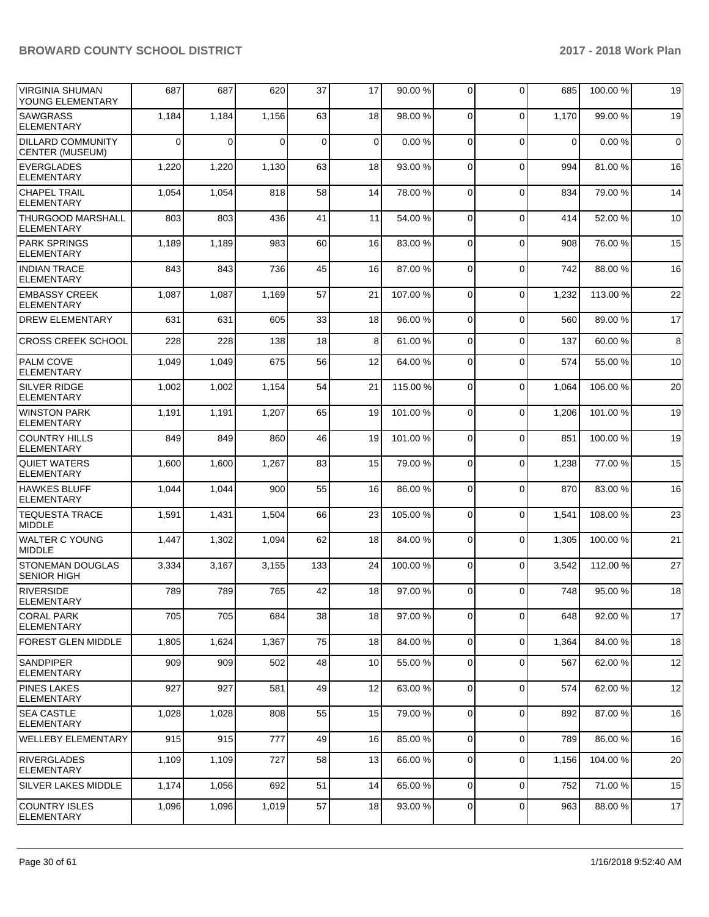| <b>VIRGINIA SHUMAN</b><br>YOUNG ELEMENTARY         | 687      | 687   | 620      | 37          | 17             | 90.00 %  | 0              | $\Omega$ | 685         | 100.00 % | 19          |
|----------------------------------------------------|----------|-------|----------|-------------|----------------|----------|----------------|----------|-------------|----------|-------------|
| <b>SAWGRASS</b><br><b>ELEMENTARY</b>               | 1,184    | 1,184 | 1,156    | 63          | 18             | 98.00 %  | 0              | $\Omega$ | 1,170       | 99.00 %  | 19          |
| <b>DILLARD COMMUNITY</b><br><b>CENTER (MUSEUM)</b> | $\Omega$ | 0     | $\Omega$ | $\mathbf 0$ | $\overline{0}$ | 0.00%    | $\mathbf 0$    | $\Omega$ | $\mathbf 0$ | 0.00%    | $\mathbf 0$ |
| <b>EVERGLADES</b><br><b>ELEMENTARY</b>             | 1,220    | 1,220 | 1,130    | 63          | 18             | 93.00%   | 0              | $\Omega$ | 994         | 81.00 %  | 16          |
| <b>CHAPEL TRAIL</b><br><b>ELEMENTARY</b>           | 1,054    | 1,054 | 818      | 58          | 14             | 78.00 %  | $\mathbf 0$    | $\Omega$ | 834         | 79.00 %  | 14          |
| <b>THURGOOD MARSHALL</b><br>ELEMENTARY             | 803      | 803   | 436      | 41          | 11             | 54.00 %  | 0              | $\Omega$ | 414         | 52.00 %  | 10          |
| <b>PARK SPRINGS</b><br><b>ELEMENTARY</b>           | 1,189    | 1,189 | 983      | 60          | 16             | 83.00 %  | 0              | $\Omega$ | 908         | 76.00 %  | 15          |
| <b>INDIAN TRACE</b><br>ELEMENTARY                  | 843      | 843   | 736      | 45          | 16             | 87.00 %  | 0              | $\Omega$ | 742         | 88.00 %  | 16          |
| <b>EMBASSY CREEK</b><br>ELEMENTARY                 | 1,087    | 1,087 | 1,169    | 57          | 21             | 107.00 % | 0              | $\Omega$ | 1,232       | 113.00 % | 22          |
| <b>DREW ELEMENTARY</b>                             | 631      | 631   | 605      | 33          | 18             | 96.00 %  | 0              | $\Omega$ | 560         | 89.00 %  | 17          |
| <b>CROSS CREEK SCHOOL</b>                          | 228      | 228   | 138      | 18          | 8              | 61.00%   | 0              | $\Omega$ | 137         | 60.00 %  | 8           |
| <b>PALM COVE</b><br><b>ELEMENTARY</b>              | 1,049    | 1,049 | 675      | 56          | 12             | 64.00%   | 0              | $\Omega$ | 574         | 55.00 %  | 10          |
| <b>SILVER RIDGE</b><br><b>ELEMENTARY</b>           | 1,002    | 1,002 | 1,154    | 54          | 21             | 115.00 % | 0              | $\Omega$ | 1,064       | 106.00%  | 20          |
| <b>WINSTON PARK</b><br><b>ELEMENTARY</b>           | 1,191    | 1,191 | 1,207    | 65          | 19             | 101.00%  | $\mathbf 0$    | $\Omega$ | 1,206       | 101.00%  | 19          |
| <b>COUNTRY HILLS</b><br>ELEMENTARY                 | 849      | 849   | 860      | 46          | 19             | 101.00%  | 0              | $\Omega$ | 851         | 100.00%  | 19          |
| <b>QUIET WATERS</b><br>ELEMENTARY                  | 1,600    | 1,600 | 1,267    | 83          | 15             | 79.00 %  | $\mathbf 0$    | $\Omega$ | 1,238       | 77.00 %  | 15          |
| <b>HAWKES BLUFF</b><br>ELEMENTARY                  | 1,044    | 1,044 | 900      | 55          | 16             | 86.00 %  | $\mathbf 0$    | $\Omega$ | 870         | 83.00 %  | 16          |
| <b>TEQUESTA TRACE</b><br><b>MIDDLE</b>             | 1,591    | 1,431 | 1,504    | 66          | 23             | 105.00 % | 0              | $\Omega$ | 1,541       | 108.00 % | 23          |
| WALTER C YOUNG<br><b>MIDDLE</b>                    | 1,447    | 1,302 | 1,094    | 62          | 18             | 84.00 %  | 0              | $\Omega$ | 1,305       | 100.00%  | 21          |
| <b>STONEMAN DOUGLAS</b><br><b>SENIOR HIGH</b>      | 3,334    | 3,167 | 3,155    | 133         | 24             | 100.00%  | 0              | $\Omega$ | 3,542       | 112.00 % | 27          |
| <b>RIVERSIDE</b><br><b>ELEMENTARY</b>              | 789      | 789   | 765      | 42          | 18             | 97.00 %  | 0              | $\Omega$ | 748         | 95.00 %  | 18          |
| <b>CORAL PARK</b><br><b>ELEMENTARY</b>             | 705      | 705   | 684      | 38          | 18             | 97.00 %  | 0              | $\Omega$ | 648         | 92.00%   | 17          |
| <b>FOREST GLEN MIDDLE</b>                          | 1,805    | 1,624 | 1,367    | 75          | 18             | 84.00 %  | $\overline{0}$ | $\Omega$ | 1,364       | 84.00 %  | 18          |
| <b>SANDPIPER</b><br><b>ELEMENTARY</b>              | 909      | 909   | 502      | 48          | 10             | 55.00 %  | $\overline{0}$ | $\Omega$ | 567         | 62.00 %  | 12          |
| <b>PINES LAKES</b><br><b>ELEMENTARY</b>            | 927      | 927   | 581      | 49          | 12             | 63.00 %  | 0              | 0        | 574         | 62.00 %  | 12          |
| <b>SEA CASTLE</b><br><b>ELEMENTARY</b>             | 1,028    | 1,028 | 808      | 55          | 15             | 79.00 %  | 0              | $\Omega$ | 892         | 87.00 %  | 16          |
| <b>WELLEBY ELEMENTARY</b>                          | 915      | 915   | 777      | 49          | 16             | 85.00 %  | $\overline{0}$ | $\Omega$ | 789         | 86.00 %  | 16          |
| <b>RIVERGLADES</b><br><b>ELEMENTARY</b>            | 1,109    | 1,109 | 727      | 58          | 13             | 66.00 %  | $\overline{0}$ | $\Omega$ | 1,156       | 104.00 % | 20          |
| <b>SILVER LAKES MIDDLE</b>                         | 1,174    | 1,056 | 692      | 51          | 14             | 65.00 %  | 0              | 0        | 752         | 71.00 %  | 15          |
| <b>COUNTRY ISLES</b><br>ELEMENTARY                 | 1,096    | 1,096 | 1,019    | 57          | 18             | 93.00 %  | 0              | 0        | 963         | 88.00 %  | 17          |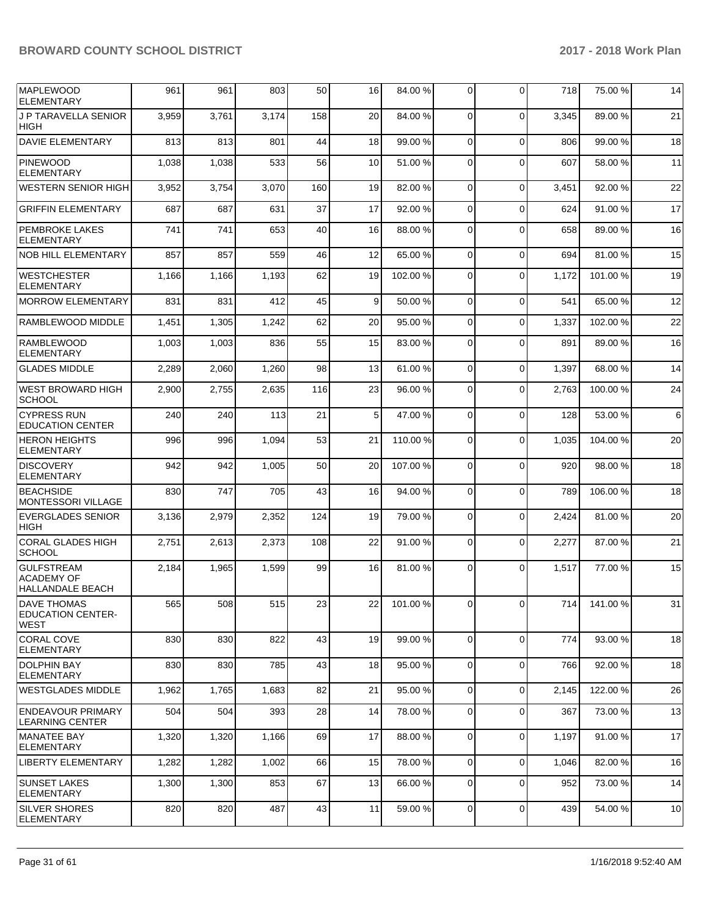| <b>MAPLEWOOD</b><br><b>ELEMENTARY</b>                         | 961   | 961   | 803   | 50  | 16 | 84.00 % | 0              | $\Omega$    | 718   | 75.00 %  | 14 |
|---------------------------------------------------------------|-------|-------|-------|-----|----|---------|----------------|-------------|-------|----------|----|
| J P TARAVELLA SENIOR<br><b>HIGH</b>                           | 3,959 | 3,761 | 3,174 | 158 | 20 | 84.00%  | $\Omega$       | $\Omega$    | 3,345 | 89.00 %  | 21 |
| <b>DAVIE ELEMENTARY</b>                                       | 813   | 813   | 801   | 44  | 18 | 99.00 % | $\Omega$       | $\Omega$    | 806   | 99.00 %  | 18 |
| <b>PINEWOOD</b><br><b>ELEMENTARY</b>                          | 1,038 | 1,038 | 533   | 56  | 10 | 51.00 % | 0              | $\Omega$    | 607   | 58.00 %  | 11 |
| <b>WESTERN SENIOR HIGH</b>                                    | 3,952 | 3,754 | 3,070 | 160 | 19 | 82.00 % | $\overline{0}$ | $\Omega$    | 3,451 | 92.00 %  | 22 |
| <b>GRIFFIN ELEMENTARY</b>                                     | 687   | 687   | 631   | 37  | 17 | 92.00 % | 0              | $\Omega$    | 624   | 91.00 %  | 17 |
| PEMBROKE LAKES<br><b>ELEMENTARY</b>                           | 741   | 741   | 653   | 40  | 16 | 88.00 % | 0              | $\Omega$    | 658   | 89.00 %  | 16 |
| <b>NOB HILL ELEMENTARY</b>                                    | 857   | 857   | 559   | 46  | 12 | 65.00 % | $\mathbf 0$    | $\Omega$    | 694   | 81.00 %  | 15 |
| <b>WESTCHESTER</b><br><b>ELEMENTARY</b>                       | 1,166 | 1,166 | 1,193 | 62  | 19 | 102.00% | $\Omega$       | $\Omega$    | 1,172 | 101.00%  | 19 |
| <b>MORROW ELEMENTARY</b>                                      | 831   | 831   | 412   | 45  | 9  | 50.00 % | $\mathbf 0$    | $\Omega$    | 541   | 65.00 %  | 12 |
| RAMBLEWOOD MIDDLE                                             | 1,451 | 1,305 | 1,242 | 62  | 20 | 95.00 % | 0              | $\Omega$    | 1,337 | 102.00%  | 22 |
| <b>RAMBLEWOOD</b><br><b>ELEMENTARY</b>                        | 1,003 | 1,003 | 836   | 55  | 15 | 83.00 % | 0              | $\Omega$    | 891   | 89.00 %  | 16 |
| <b>GLADES MIDDLE</b>                                          | 2,289 | 2,060 | 1,260 | 98  | 13 | 61.00%  | 0              | $\Omega$    | 1,397 | 68.00 %  | 14 |
| WEST BROWARD HIGH<br><b>SCHOOL</b>                            | 2,900 | 2,755 | 2,635 | 116 | 23 | 96.00 % | 0              | $\Omega$    | 2,763 | 100.00%  | 24 |
| <b>CYPRESS RUN</b><br><b>EDUCATION CENTER</b>                 | 240   | 240   | 113   | 21  | 5  | 47.00 % | $\Omega$       | $\Omega$    | 128   | 53.00 %  | 6  |
| <b>HERON HEIGHTS</b><br><b>ELEMENTARY</b>                     | 996   | 996   | 1,094 | 53  | 21 | 110.00% | 0              | $\Omega$    | 1,035 | 104.00%  | 20 |
| <b>DISCOVERY</b><br><b>ELEMENTARY</b>                         | 942   | 942   | 1,005 | 50  | 20 | 107.00% | 0              | $\Omega$    | 920   | 98.00 %  | 18 |
| <b>BEACHSIDE</b><br><b>MONTESSORI VILLAGE</b>                 | 830   | 747   | 705   | 43  | 16 | 94.00 % | 0              | $\Omega$    | 789   | 106.00%  | 18 |
| <b>EVERGLADES SENIOR</b><br><b>HIGH</b>                       | 3,136 | 2,979 | 2,352 | 124 | 19 | 79.00 % | 0              | $\Omega$    | 2,424 | 81.00 %  | 20 |
| <b>CORAL GLADES HIGH</b><br><b>SCHOOL</b>                     | 2,751 | 2,613 | 2,373 | 108 | 22 | 91.00 % | 0              | $\Omega$    | 2,277 | 87.00 %  | 21 |
| <b>GULFSTREAM</b><br><b>ACADEMY OF</b><br>HALLANDALE BEACH    | 2,184 | 1,965 | 1,599 | 99  | 16 | 81.00%  | $\Omega$       | $\Omega$    | 1,517 | 77.00 %  | 15 |
| <b>DAVE THOMAS</b><br><b>EDUCATION CENTER-</b><br><b>WEST</b> | 565   | 508   | 515   | 23  | 22 | 101.00% | $\overline{0}$ | υı          | 714   | 141.00 % | 31 |
| <b>CORAL COVE</b><br><b>ELEMENTARY</b>                        | 830   | 830   | 822   | 43  | 19 | 99.00 % | $\overline{0}$ | $\Omega$    | 774   | 93.00 %  | 18 |
| <b>DOLPHIN BAY</b><br><b>ELEMENTARY</b>                       | 830   | 830   | 785   | 43  | 18 | 95.00 % | $\overline{0}$ | $\Omega$    | 766   | 92.00 %  | 18 |
| <b>WESTGLADES MIDDLE</b>                                      | 1,962 | 1,765 | 1,683 | 82  | 21 | 95.00 % | $\overline{0}$ | $\Omega$    | 2,145 | 122.00%  | 26 |
| <b>ENDEAVOUR PRIMARY</b><br><b>LEARNING CENTER</b>            | 504   | 504   | 393   | 28  | 14 | 78.00 % | $\overline{0}$ | $\Omega$    | 367   | 73.00 %  | 13 |
| <b>MANATEE BAY</b><br>ELEMENTARY                              | 1,320 | 1,320 | 1,166 | 69  | 17 | 88.00 % | $\overline{0}$ | 0           | 1,197 | 91.00 %  | 17 |
| LIBERTY ELEMENTARY                                            | 1,282 | 1,282 | 1,002 | 66  | 15 | 78.00 % | 0              | $\mathbf 0$ | 1,046 | 82.00 %  | 16 |
| <b>SUNSET LAKES</b><br><b>ELEMENTARY</b>                      | 1,300 | 1,300 | 853   | 67  | 13 | 66.00 % | 0              | $\Omega$    | 952   | 73.00 %  | 14 |
| <b>SILVER SHORES</b><br><b>ELEMENTARY</b>                     | 820   | 820   | 487   | 43  | 11 | 59.00 % | $\mathbf 0$    | $\mathbf 0$ | 439   | 54.00 %  | 10 |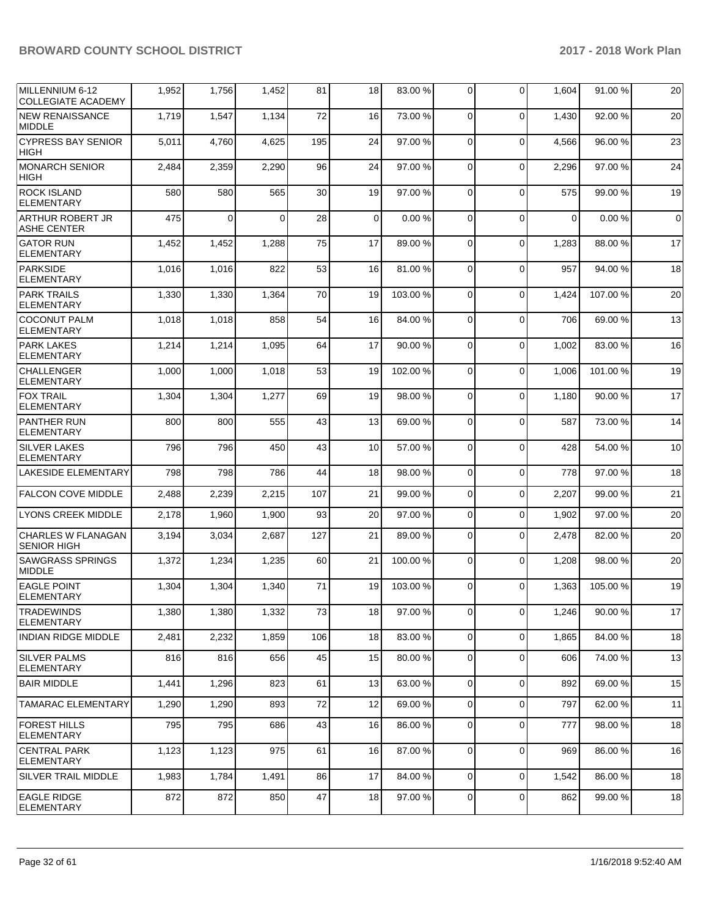| MILLENNIUM 6-12<br><b>COLLEGIATE ACADEMY</b>    | 1,952 | 1,756    | 1,452    | 81  | 18          | 83.00 %  | 0              | $\Omega$    | 1,604    | 91.00 % | 20          |
|-------------------------------------------------|-------|----------|----------|-----|-------------|----------|----------------|-------------|----------|---------|-------------|
| <b>NEW RENAISSANCE</b><br><b>MIDDLE</b>         | 1,719 | 1,547    | 1,134    | 72  | 16          | 73.00 %  | $\mathbf 0$    | $\Omega$    | 1,430    | 92.00 % | 20          |
| <b>CYPRESS BAY SENIOR</b><br><b>HIGH</b>        | 5,011 | 4,760    | 4,625    | 195 | 24          | 97.00 %  | $\mathbf 0$    | $\Omega$    | 4,566    | 96.00 % | 23          |
| <b>MONARCH SENIOR</b><br><b>HIGH</b>            | 2,484 | 2,359    | 2,290    | 96  | 24          | 97.00 %  | 0              | $\Omega$    | 2,296    | 97.00 % | 24          |
| <b>ROCK ISLAND</b><br><b>ELEMENTARY</b>         | 580   | 580      | 565      | 30  | 19          | 97.00 %  | $\mathbf 0$    | $\Omega$    | 575      | 99.00 % | 19          |
| ARTHUR ROBERT JR<br><b>ASHE CENTER</b>          | 475   | $\Omega$ | $\Omega$ | 28  | $\mathbf 0$ | 0.00%    | $\mathbf 0$    | $\Omega$    | $\Omega$ | 0.00%   | $\mathbf 0$ |
| <b>GATOR RUN</b><br><b>ELEMENTARY</b>           | 1,452 | 1,452    | 1,288    | 75  | 17          | 89.00 %  | 0              | $\Omega$    | 1,283    | 88.00 % | 17          |
| <b>PARKSIDE</b><br><b>ELEMENTARY</b>            | 1,016 | 1,016    | 822      | 53  | 16          | 81.00%   | $\mathbf 0$    | $\Omega$    | 957      | 94.00 % | 18          |
| <b>PARK TRAILS</b><br><b>ELEMENTARY</b>         | 1,330 | 1,330    | 1,364    | 70  | 19          | 103.00%  | $\mathbf 0$    | $\Omega$    | 1,424    | 107.00% | 20          |
| <b>COCONUT PALM</b><br><b>ELEMENTARY</b>        | 1,018 | 1,018    | 858      | 54  | 16          | 84.00%   | 0              | $\Omega$    | 706      | 69.00 % | 13          |
| <b>PARK LAKES</b><br><b>ELEMENTARY</b>          | 1,214 | 1,214    | 1,095    | 64  | 17          | 90.00 %  | $\mathbf 0$    | $\Omega$    | 1,002    | 83.00 % | 16          |
| <b>CHALLENGER</b><br><b>ELEMENTARY</b>          | 1,000 | 1,000    | 1,018    | 53  | 19          | 102.00%  | $\mathbf 0$    | $\Omega$    | 1,006    | 101.00% | 19          |
| <b>FOX TRAIL</b><br><b>ELEMENTARY</b>           | 1,304 | 1,304    | 1,277    | 69  | 19          | 98.00%   | 0              | $\Omega$    | 1,180    | 90.00 % | 17          |
| <b>PANTHER RUN</b><br>ELEMENTARY                | 800   | 800      | 555      | 43  | 13          | 69.00 %  | $\mathbf 0$    | $\Omega$    | 587      | 73.00 % | 14          |
| <b>SILVER LAKES</b><br><b>ELEMENTARY</b>        | 796   | 796      | 450      | 43  | 10          | 57.00 %  | $\mathbf 0$    | $\Omega$    | 428      | 54.00 % | 10          |
| <b>LAKESIDE ELEMENTARY</b>                      | 798   | 798      | 786      | 44  | 18          | 98.00 %  | 0              | $\Omega$    | 778      | 97.00 % | 18          |
| <b>FALCON COVE MIDDLE</b>                       | 2,488 | 2,239    | 2,215    | 107 | 21          | 99.00 %  | 0              | $\Omega$    | 2,207    | 99.00 % | 21          |
| <b>LYONS CREEK MIDDLE</b>                       | 2,178 | 1,960    | 1,900    | 93  | 20          | 97.00 %  | 0              | $\Omega$    | 1,902    | 97.00 % | 20          |
| <b>CHARLES W FLANAGAN</b><br><b>SENIOR HIGH</b> | 3,194 | 3,034    | 2,687    | 127 | 21          | 89.00 %  | 0              | $\Omega$    | 2,478    | 82.00 % | 20          |
| <b>SAWGRASS SPRINGS</b><br><b>MIDDLE</b>        | 1,372 | 1,234    | 1,235    | 60  | 21          | 100.00%  | $\mathbf 0$    | $\Omega$    | 1,208    | 98.00 % | 20          |
| <b>EAGLE POINT</b><br><b>ELEMENTARY</b>         | 1,304 | 1,304    | 1,340    | 71  | 19          | 103.00 % | 0              | $\Omega$    | 1,363    | 105.00% | 19          |
| <b>TRADEWINDS</b><br><b>ELEMENTARY</b>          | 1,380 | 1,380    | 1,332    | 73  | 18          | 97.00 %  | $\mathbf 0$    | $\mathbf 0$ | 1,246    | 90.00 % | 17          |
| <b>INDIAN RIDGE MIDDLE</b>                      | 2,481 | 2,232    | 1,859    | 106 | 18          | 83.00 %  | $\overline{0}$ | $\mathbf 0$ | 1,865    | 84.00 % | 18          |
| <b>SILVER PALMS</b><br><b>ELEMENTARY</b>        | 816   | 816      | 656      | 45  | 15          | 80.00 %  | 0              | $\Omega$    | 606      | 74.00 % | 13          |
| <b>BAIR MIDDLE</b>                              | 1,441 | 1,296    | 823      | 61  | 13          | 63.00 %  | $\mathbf 0$    | $\Omega$    | 892      | 69.00 % | 15          |
| <b>TAMARAC ELEMENTARY</b>                       | 1,290 | 1,290    | 893      | 72  | 12          | 69.00 %  | $\mathbf 0$    | $\mathbf 0$ | 797      | 62.00 % | 11          |
| <b>FOREST HILLS</b><br><b>ELEMENTARY</b>        | 795   | 795      | 686      | 43  | 16          | 86.00 %  | $\mathbf 0$    | $\mathbf 0$ | 777      | 98.00 % | 18          |
| <b>CENTRAL PARK</b><br><b>ELEMENTARY</b>        | 1,123 | 1,123    | 975      | 61  | 16          | 87.00 %  | 0              | 0           | 969      | 86.00 % | 16          |
| <b>SILVER TRAIL MIDDLE</b>                      | 1,983 | 1,784    | 1,491    | 86  | 17          | 84.00 %  | 0              | $\mathbf 0$ | 1,542    | 86.00 % | 18          |
| <b>EAGLE RIDGE</b><br>ELEMENTARY                | 872   | 872      | 850      | 47  | 18          | 97.00 %  | 0              | $\mathbf 0$ | 862      | 99.00 % | 18          |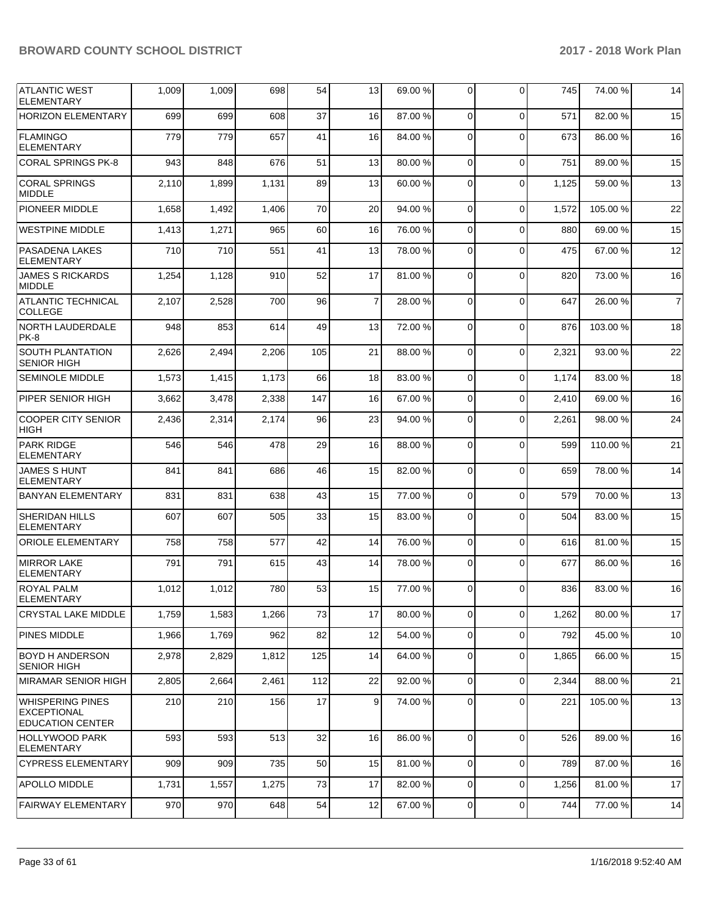| <b>ATLANTIC WEST</b><br><b>ELEMENTARY</b>                                | 1,009 | 1,009 | 698   | 54  | 13             | 69.00 % | $\Omega$       | $\Omega$    | 745   | 74.00 %  | 14             |
|--------------------------------------------------------------------------|-------|-------|-------|-----|----------------|---------|----------------|-------------|-------|----------|----------------|
| <b>HORIZON ELEMENTARY</b>                                                | 699   | 699   | 608   | 37  | 16             | 87.00 % | 0              | $\Omega$    | 571   | 82.00 %  | 15             |
| <b>FLAMINGO</b><br><b>ELEMENTARY</b>                                     | 779   | 779   | 657   | 41  | 16             | 84.00%  | 0              | $\Omega$    | 673   | 86.00 %  | 16             |
| <b>CORAL SPRINGS PK-8</b>                                                | 943   | 848   | 676   | 51  | 13             | 80.00 % | 0              | $\Omega$    | 751   | 89.00 %  | 15             |
| <b>CORAL SPRINGS</b><br><b>MIDDLE</b>                                    | 2,110 | 1,899 | 1,131 | 89  | 13             | 60.00 % | 0              | $\Omega$    | 1,125 | 59.00 %  | 13             |
| PIONEER MIDDLE                                                           | 1,658 | 1,492 | 1,406 | 70  | 20             | 94.00 % | $\Omega$       | $\Omega$    | 1,572 | 105.00 % | 22             |
| <b>WESTPINE MIDDLE</b>                                                   | 1,413 | 1,271 | 965   | 60  | 16             | 76.00 % | $\overline{0}$ | $\Omega$    | 880   | 69.00 %  | 15             |
| PASADENA LAKES<br><b>ELEMENTARY</b>                                      | 710   | 710   | 551   | 41  | 13             | 78.00 % | $\Omega$       | $\Omega$    | 475   | 67.00 %  | 12             |
| <b>JAMES S RICKARDS</b><br><b>MIDDLE</b>                                 | 1,254 | 1,128 | 910   | 52  | 17             | 81.00 % | 0              | $\Omega$    | 820   | 73.00 %  | 16             |
| <b>ATLANTIC TECHNICAL</b><br><b>COLLEGE</b>                              | 2,107 | 2,528 | 700   | 96  | $\overline{7}$ | 28.00 % | 0              | $\Omega$    | 647   | 26.00 %  | $\overline{7}$ |
| <b>NORTH LAUDERDALE</b><br>PK-8                                          | 948   | 853   | 614   | 49  | 13             | 72.00 % | $\Omega$       | $\Omega$    | 876   | 103.00%  | 18             |
| <b>SOUTH PLANTATION</b><br><b>SENIOR HIGH</b>                            | 2,626 | 2,494 | 2,206 | 105 | 21             | 88.00 % | 0              | $\Omega$    | 2,321 | 93.00 %  | 22             |
| <b>SEMINOLE MIDDLE</b>                                                   | 1,573 | 1,415 | 1,173 | 66  | 18             | 83.00 % | 0              | $\Omega$    | 1,174 | 83.00 %  | 18             |
| PIPER SENIOR HIGH                                                        | 3,662 | 3,478 | 2,338 | 147 | 16             | 67.00 % | 0              | $\Omega$    | 2,410 | 69.00 %  | 16             |
| <b>COOPER CITY SENIOR</b><br><b>HIGH</b>                                 | 2,436 | 2,314 | 2,174 | 96  | 23             | 94.00 % | 0              | $\Omega$    | 2,261 | 98.00 %  | 24             |
| <b>PARK RIDGE</b><br><b>ELEMENTARY</b>                                   | 546   | 546   | 478   | 29  | 16             | 88.00 % | $\Omega$       | $\Omega$    | 599   | 110.00%  | 21             |
| <b>JAMES S HUNT</b><br><b>ELEMENTARY</b>                                 | 841   | 841   | 686   | 46  | 15             | 82.00 % | 0              | $\Omega$    | 659   | 78.00 %  | 14             |
| <b>BANYAN ELEMENTARY</b>                                                 | 831   | 831   | 638   | 43  | 15             | 77.00 % | 0              | $\Omega$    | 579   | 70.00 %  | 13             |
| <b>SHERIDAN HILLS</b><br><b>ELEMENTARY</b>                               | 607   | 607   | 505   | 33  | 15             | 83.00 % | 0              | $\Omega$    | 504   | 83.00 %  | 15             |
| <b>ORIOLE ELEMENTARY</b>                                                 | 758   | 758   | 577   | 42  | 14             | 76.00 % | $\overline{0}$ | $\Omega$    | 616   | 81.00 %  | 15             |
| <b>MIRROR LAKE</b><br><b>ELEMENTARY</b>                                  | 791   | 791   | 615   | 43  | 14             | 78.00 % | 0              | $\Omega$    | 677   | 86.00 %  | 16             |
| <b>ROYAL PALM</b><br>ELEMENTARY                                          | 1,012 | 1,012 | 780   | 53  | 15             | 77.00 % | 0              | $\Omega$    | 836   | 83.00 %  | 16             |
| <b>CRYSTAL LAKE MIDDLE</b>                                               | 1,759 | 1,583 | 1,266 | 73  | 17             | 80.00%  | 0              | $\mathbf 0$ | 1,262 | 80.00%   | 17             |
| PINES MIDDLE                                                             | 1,966 | 1,769 | 962   | 82  | 12             | 54.00 % | $\overline{0}$ | $\mathbf 0$ | 792   | 45.00 %  | 10             |
| BOYD H ANDERSON<br><b>SENIOR HIGH</b>                                    | 2,978 | 2,829 | 1,812 | 125 | 14             | 64.00%  | 0              | $\mathbf 0$ | 1,865 | 66.00 %  | 15             |
| <b>MIRAMAR SENIOR HIGH</b>                                               | 2,805 | 2,664 | 2,461 | 112 | 22             | 92.00%  | $\overline{0}$ | $\Omega$    | 2,344 | 88.00 %  | 21             |
| <b>WHISPERING PINES</b><br><b>EXCEPTIONAL</b><br><b>EDUCATION CENTER</b> | 210   | 210   | 156   | 17  | 9              | 74.00 % | $\overline{0}$ | 0           | 221   | 105.00 % | 13             |
| <b>HOLLYWOOD PARK</b><br><b>ELEMENTARY</b>                               | 593   | 593   | 513   | 32  | 16             | 86.00 % | $\mathbf 0$    | $\Omega$    | 526   | 89.00 %  | 16             |
| <b>CYPRESS ELEMENTARY</b>                                                | 909   | 909   | 735   | 50  | 15             | 81.00 % | $\overline{0}$ | $\mathbf 0$ | 789   | 87.00 %  | 16             |
| <b>APOLLO MIDDLE</b>                                                     | 1,731 | 1,557 | 1,275 | 73  | 17             | 82.00 % | $\overline{0}$ | $\mathbf 0$ | 1,256 | 81.00 %  | 17             |
| <b>FAIRWAY ELEMENTARY</b>                                                | 970   | 970   | 648   | 54  | 12             | 67.00%  | 0              | $\pmb{0}$   | 744   | 77.00 %  | 14             |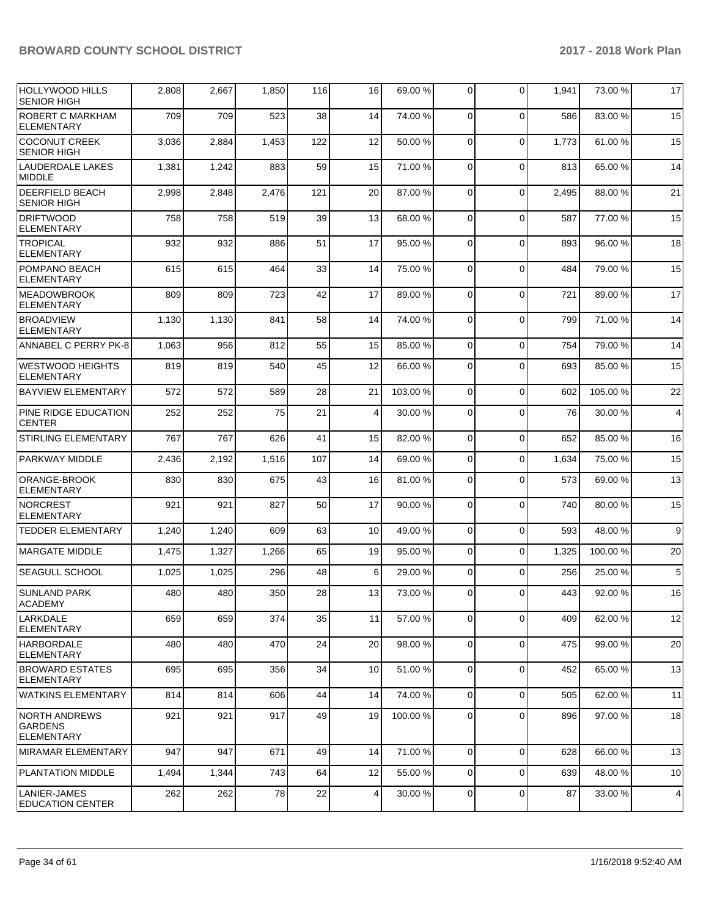| <b>HOLLYWOOD HILLS</b><br><b>SENIOR HIGH</b>                | 2,808 | 2,667 | 1,850 | 116 | 16             | 69.00 %  | 0           | $\Omega$    | 1,941 | 73.00 %  | 17 |
|-------------------------------------------------------------|-------|-------|-------|-----|----------------|----------|-------------|-------------|-------|----------|----|
| ROBERT C MARKHAM<br>ELEMENTARY                              | 709   | 709   | 523   | 38  | 14             | 74.00 %  | $\Omega$    | $\Omega$    | 586   | 83.00 %  | 15 |
| <b>COCONUT CREEK</b><br><b>SENIOR HIGH</b>                  | 3,036 | 2,884 | 1,453 | 122 | 12             | 50.00%   | $\Omega$    | $\Omega$    | 1,773 | 61.00%   | 15 |
| <b>LAUDERDALE LAKES</b><br><b>MIDDLE</b>                    | 1,381 | 1,242 | 883   | 59  | 15             | 71.00 %  | $\Omega$    | $\Omega$    | 813   | 65.00 %  | 14 |
| <b>DEERFIELD BEACH</b><br><b>SENIOR HIGH</b>                | 2,998 | 2,848 | 2,476 | 121 | 20             | 87.00 %  | $\Omega$    | $\Omega$    | 2,495 | 88.00 %  | 21 |
| <b>DRIFTWOOD</b><br><b>ELEMENTARY</b>                       | 758   | 758   | 519   | 39  | 13             | 68.00 %  | $\Omega$    | $\Omega$    | 587   | 77.00 %  | 15 |
| <b>TROPICAL</b><br><b>ELEMENTARY</b>                        | 932   | 932   | 886   | 51  | 17             | 95.00 %  | 0           | $\Omega$    | 893   | 96.00 %  | 18 |
| POMPANO BEACH<br><b>ELEMENTARY</b>                          | 615   | 615   | 464   | 33  | 14             | 75.00 %  | $\Omega$    | $\Omega$    | 484   | 79.00 %  | 15 |
| <b>MEADOWBROOK</b><br><b>ELEMENTARY</b>                     | 809   | 809   | 723   | 42  | 17             | 89.00 %  | $\Omega$    | $\Omega$    | 721   | 89.00 %  | 17 |
| <b>BROADVIEW</b><br><b>ELEMENTARY</b>                       | 1,130 | 1,130 | 841   | 58  | 14             | 74.00 %  | $\Omega$    | $\Omega$    | 799   | 71.00 %  | 14 |
| ANNABEL C PERRY PK-8                                        | 1,063 | 956   | 812   | 55  | 15             | 85.00 %  | 0           | $\Omega$    | 754   | 79.00 %  | 14 |
| <b>WESTWOOD HEIGHTS</b><br><b>ELEMENTARY</b>                | 819   | 819   | 540   | 45  | 12             | 66.00 %  | $\Omega$    | $\Omega$    | 693   | 85.00 %  | 15 |
| <b>BAYVIEW ELEMENTARY</b>                                   | 572   | 572   | 589   | 28  | 21             | 103.00 % | $\Omega$    | $\Omega$    | 602   | 105.00 % | 22 |
| <b>PINE RIDGE EDUCATION</b><br><b>CENTER</b>                | 252   | 252   | 75    | 21  | $\overline{4}$ | 30.00 %  | $\Omega$    | $\Omega$    | 76    | 30.00 %  | 4  |
| <b>STIRLING ELEMENTARY</b>                                  | 767   | 767   | 626   | 41  | 15             | 82.00 %  | 0           | $\Omega$    | 652   | 85.00 %  | 16 |
| PARKWAY MIDDLE                                              | 2,436 | 2,192 | 1,516 | 107 | 14             | 69.00 %  | 0           | $\Omega$    | 1,634 | 75.00 %  | 15 |
| ORANGE-BROOK<br><b>ELEMENTARY</b>                           | 830   | 830   | 675   | 43  | 16             | 81.00%   | 0           | $\Omega$    | 573   | 69.00 %  | 13 |
| <b>NORCREST</b><br>ELEMENTARY                               | 921   | 921   | 827   | 50  | 17             | 90.00 %  | $\Omega$    | $\Omega$    | 740   | 80.00%   | 15 |
| <b>TEDDER ELEMENTARY</b>                                    | 1,240 | 1,240 | 609   | 63  | 10             | 49.00 %  | $\Omega$    | $\Omega$    | 593   | 48.00 %  | 9  |
| <b>MARGATE MIDDLE</b>                                       | 1,475 | 1,327 | 1,266 | 65  | 19             | 95.00 %  | $\Omega$    | $\Omega$    | 1,325 | 100.00%  | 20 |
| SEAGULL SCHOOL                                              | 1,025 | 1,025 | 296   | 48  | 6              | 29.00 %  | $\Omega$    | $\Omega$    | 256   | 25.00 %  | 5  |
| <b>SUNLAND PARK</b><br><b>ACADEMY</b>                       | 480   | 480   | 350   | 28  | 13             | 73.00 %  | 0           | $\Omega$    | 443   | 92.00 %  | 16 |
| LARKDALE<br><b>ELEMENTARY</b>                               | 659   | 659   | 374   | 35  | 11             | 57.00 %  | 0           | $\Omega$    | 409   | 62.00 %  | 12 |
| <b>HARBORDALE</b><br><b>ELEMENTARY</b>                      | 480   | 480   | 470   | 24  | 20             | 98.00 %  | 0           | $\Omega$    | 475   | 99.00 %  | 20 |
| <b>BROWARD ESTATES</b><br><b>ELEMENTARY</b>                 | 695   | 695   | 356   | 34  | 10             | 51.00 %  | $\mathbf 0$ | $\Omega$    | 452   | 65.00 %  | 13 |
| <b>WATKINS ELEMENTARY</b>                                   | 814   | 814   | 606   | 44  | 14             | 74.00 %  | 0           | 0           | 505   | 62.00 %  | 11 |
| <b>NORTH ANDREWS</b><br><b>GARDENS</b><br><b>ELEMENTARY</b> | 921   | 921   | 917   | 49  | 19             | 100.00 % | 0           | 0           | 896   | 97.00 %  | 18 |
| MIRAMAR ELEMENTARY                                          | 947   | 947   | 671   | 49  | 14             | 71.00 %  | 0           | $\Omega$    | 628   | 66.00 %  | 13 |
| PLANTATION MIDDLE                                           | 1,494 | 1,344 | 743   | 64  | 12             | 55.00 %  | 0           | $\Omega$    | 639   | 48.00 %  | 10 |
| LANIER-JAMES<br><b>EDUCATION CENTER</b>                     | 262   | 262   | 78    | 22  | 4              | 30.00 %  | 0           | $\mathbf 0$ | 87    | 33.00 %  | 4  |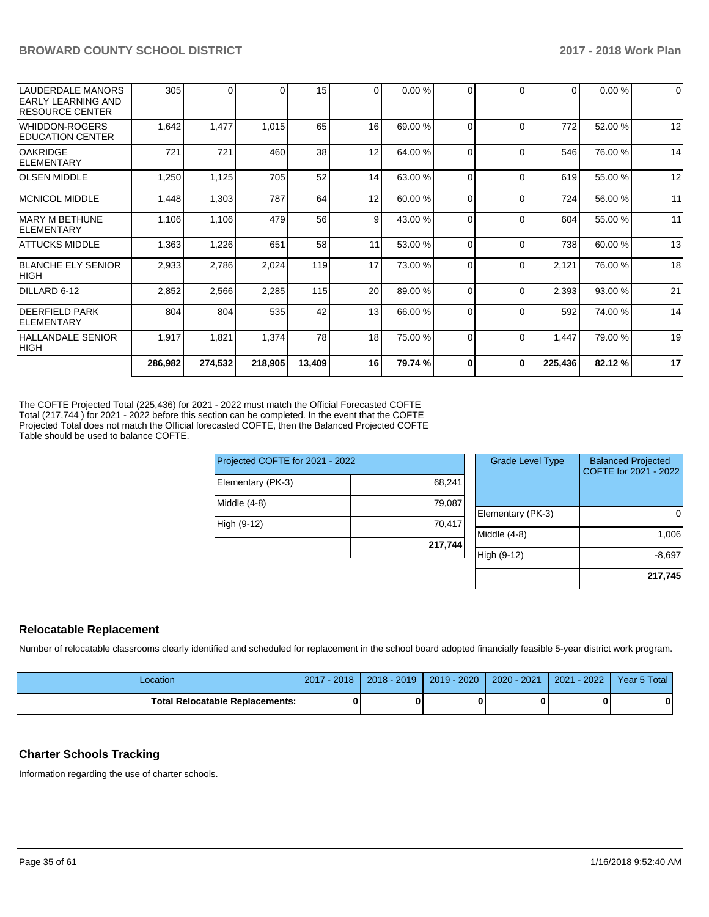| 2,852<br>804<br>1,917 | 2,566<br>804<br>1,821 | 2,285<br>535<br>1,374 | 115<br>42<br>78 | 20<br>13<br>18 | 89.00 %<br>66.00 %<br>75.00 % | 0<br>0<br>$\Omega$ | $\Omega$<br>$\Omega$<br>$\Omega$ | 2,393<br>592<br>1,447 | 93.00 %<br>74.00 %<br>79.00 % | 19          |
|-----------------------|-----------------------|-----------------------|-----------------|----------------|-------------------------------|--------------------|----------------------------------|-----------------------|-------------------------------|-------------|
|                       |                       |                       |                 |                |                               |                    |                                  |                       |                               | 14          |
|                       |                       |                       |                 |                |                               |                    |                                  |                       |                               | 21          |
|                       |                       |                       |                 |                |                               |                    |                                  |                       |                               |             |
| 2,933                 | 2,786                 | 2,024                 | 119             | 17             | 73.00 %                       | 0                  | $\Omega$                         | 2,121                 | 76.00 %                       | 18          |
| 1,363                 | 1,226                 | 651                   |                 | 11             | 53.00 %                       | 0                  | $\Omega$                         | 738                   | 60.00 %                       | 13          |
| 1,106                 | 1,106                 | 479                   | 56              | 9              | 43.00 %                       | 0                  | $\Omega$                         | 604                   | 55.00 %                       | 11          |
| 1,448                 | 1,303                 | 787                   | 64              | 12             | 60.00 %                       | 0                  | $\Omega$                         | 724                   | 56.00 %                       | 11          |
| 1,250                 | 1,125                 | 705                   | 52              | 14             | 63.00 %                       | $\Omega$           | $\Omega$                         |                       | 55.00 %                       | 12          |
| 721                   | 721                   | 460                   | 38              | 12             | 64.00 %                       | 0                  | $\Omega$                         | 546                   | 76.00 %                       | 14          |
| 1,642                 | 1,477                 | 1,015                 |                 | 16             | 69.00 %                       | 0                  | $\Omega$                         | 772                   | 52.00 %                       | 12          |
| 305                   | 0                     |                       | 15              | $\Omega$       | 0.00%                         | 0                  | $\Omega$                         | 0                     | 0.00%                         | $\mathbf 0$ |
|                       |                       |                       |                 |                | 65<br>58                      |                    |                                  |                       | 619                           |             |

The COFTE Projected Total (225,436) for 2021 - 2022 must match the Official Forecasted COFTE Total (217,744 ) for 2021 - 2022 before this section can be completed. In the event that the COFTE Projected Total does not match the Official forecasted COFTE, then the Balanced Projected COFTE Table should be used to balance COFTE.

| Projected COFTE for 2021 - 2022 |         |
|---------------------------------|---------|
| Elementary (PK-3)               | 68,241  |
| Middle (4-8)                    | 79,087  |
| High (9-12)                     | 70,417  |
|                                 | 217,744 |

| <b>Grade Level Type</b> | <b>Balanced Projected</b><br>COFTE for 2021 - 2022 |
|-------------------------|----------------------------------------------------|
| Elementary (PK-3)       |                                                    |
| Middle (4-8)            | 1,006                                              |
| High (9-12)             | $-8,697$                                           |
|                         | 217,745                                            |

#### **Relocatable Replacement**

Number of relocatable classrooms clearly identified and scheduled for replacement in the school board adopted financially feasible 5-year district work program.

| Location                               | 2017 - 2018 | 2018 - 2019 | 2019 - 2020   2020 - 2021   2021 - 2022 | Year 5 Total |
|----------------------------------------|-------------|-------------|-----------------------------------------|--------------|
| <b>Total Relocatable Replacements:</b> |             |             |                                         |              |

#### **Charter Schools Tracking**

Information regarding the use of charter schools.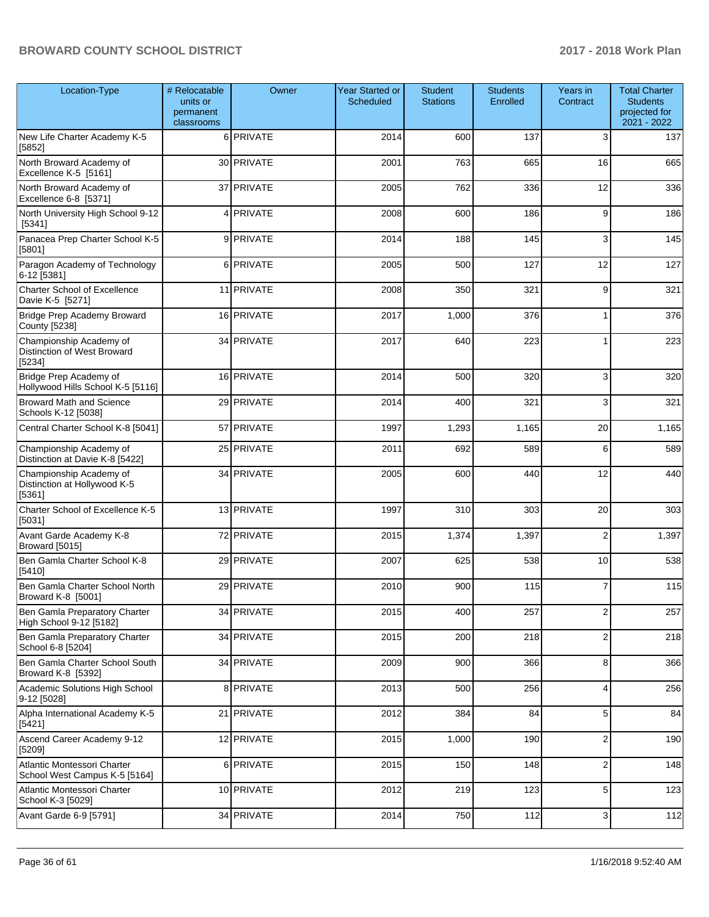| Location-Type                                                     | # Relocatable<br>units or<br>permanent<br>classrooms | Owner      | <b>Year Started or</b><br>Scheduled | <b>Student</b><br><b>Stations</b> | <b>Students</b><br>Enrolled | Years in<br>Contract    | <b>Total Charter</b><br><b>Students</b><br>projected for<br>2021 - 2022 |
|-------------------------------------------------------------------|------------------------------------------------------|------------|-------------------------------------|-----------------------------------|-----------------------------|-------------------------|-------------------------------------------------------------------------|
| New Life Charter Academy K-5<br>[5852]                            |                                                      | 6 PRIVATE  | 2014                                | 600                               | 137                         | 3                       | 137                                                                     |
| North Broward Academy of<br>Excellence K-5 [5161]                 |                                                      | 30 PRIVATE | 2001                                | 763                               | 665                         | 16                      | 665                                                                     |
| North Broward Academy of<br>Excellence 6-8 [5371]                 |                                                      | 37 PRIVATE | 2005                                | 762                               | 336                         | 12                      | 336                                                                     |
| North University High School 9-12<br>[5341]                       | 4                                                    | PRIVATE    | 2008                                | 600                               | 186                         | 9                       | 186                                                                     |
| Panacea Prep Charter School K-5<br>[5801]                         |                                                      | 9 PRIVATE  | 2014                                | 188                               | 145                         | 3                       | 145                                                                     |
| Paragon Academy of Technology<br>6-12 [5381]                      |                                                      | 6 PRIVATE  | 2005                                | 500                               | 127                         | 12                      | 127                                                                     |
| <b>Charter School of Excellence</b><br>Davie K-5 [5271]           |                                                      | 11 PRIVATE | 2008                                | 350                               | 321                         | 9                       | 321                                                                     |
| Bridge Prep Academy Broward<br>County [5238]                      |                                                      | 16 PRIVATE | 2017                                | 1,000                             | 376                         | 1                       | 376                                                                     |
| Championship Academy of<br>Distinction of West Broward<br>[5234]  |                                                      | 34 PRIVATE | 2017                                | 640                               | 223                         | 1                       | 223                                                                     |
| Bridge Prep Academy of<br>Hollywood Hills School K-5 [5116]       |                                                      | 16 PRIVATE | 2014                                | 500                               | 320                         | 3                       | 320                                                                     |
| <b>Broward Math and Science</b><br>Schools K-12 [5038]            |                                                      | 29 PRIVATE | 2014                                | 400                               | 321                         | 3                       | 321                                                                     |
| Central Charter School K-8 [5041]                                 |                                                      | 57 PRIVATE | 1997                                | 1,293                             | 1,165                       | 20                      | 1,165                                                                   |
| Championship Academy of<br>Distinction at Davie K-8 [5422]        |                                                      | 25 PRIVATE | 2011                                | 692                               | 589                         | 6                       | 589                                                                     |
| Championship Academy of<br>Distinction at Hollywood K-5<br>[5361] |                                                      | 34 PRIVATE | 2005                                | 600                               | 440                         | 12                      | 440                                                                     |
| Charter School of Excellence K-5<br>[5031]                        |                                                      | 13 PRIVATE | 1997                                | 310                               | 303                         | 20                      | 303                                                                     |
| Avant Garde Academy K-8<br>Broward [5015]                         |                                                      | 72 PRIVATE | 2015                                | 1,374                             | 1,397                       | $\mathbf{2}$            | 1,397                                                                   |
| Ben Gamla Charter School K-8<br>[5410]                            |                                                      | 29 PRIVATE | 2007                                | 625                               | 538                         | 10                      | 538                                                                     |
| Ben Gamla Charter School North<br>Broward K-8 [5001]              |                                                      | 29 PRIVATE | 2010                                | 900                               | 115                         | 7                       | 115                                                                     |
| Ben Gamla Preparatory Charter<br>High School 9-12 [5182]          |                                                      | 34 PRIVATE | 2015                                | 400                               | 257                         | $\mathbf{2}$            | 257                                                                     |
| Ben Gamla Preparatory Charter<br>School 6-8 [5204]                |                                                      | 34 PRIVATE | 2015                                | 200                               | 218                         | $\overline{\mathbf{c}}$ | 218                                                                     |
| Ben Gamla Charter School South<br>Broward K-8 [5392]              |                                                      | 34 PRIVATE | 2009                                | 900                               | 366                         | 8                       | 366                                                                     |
| Academic Solutions High School<br>9-12 [5028]                     |                                                      | 8 PRIVATE  | 2013                                | 500                               | 256                         | 4                       | 256                                                                     |
| Alpha International Academy K-5<br>[5421]                         |                                                      | 21 PRIVATE | 2012                                | 384                               | 84                          | $\sqrt{5}$              | 84                                                                      |
| Ascend Career Academy 9-12<br>[5209]                              |                                                      | 12 PRIVATE | 2015                                | 1,000                             | 190                         | $\overline{\mathbf{c}}$ | 190                                                                     |
| Atlantic Montessori Charter<br>School West Campus K-5 [5164]      |                                                      | 6 PRIVATE  | 2015                                | 150                               | 148                         | $\overline{2}$          | 148                                                                     |
| Atlantic Montessori Charter<br>School K-3 [5029]                  |                                                      | 10 PRIVATE | 2012                                | 219                               | 123                         | $\sqrt{5}$              | 123                                                                     |
| Avant Garde 6-9 [5791]                                            |                                                      | 34 PRIVATE | 2014                                | 750                               | 112                         | 3 <sup>1</sup>          | 112                                                                     |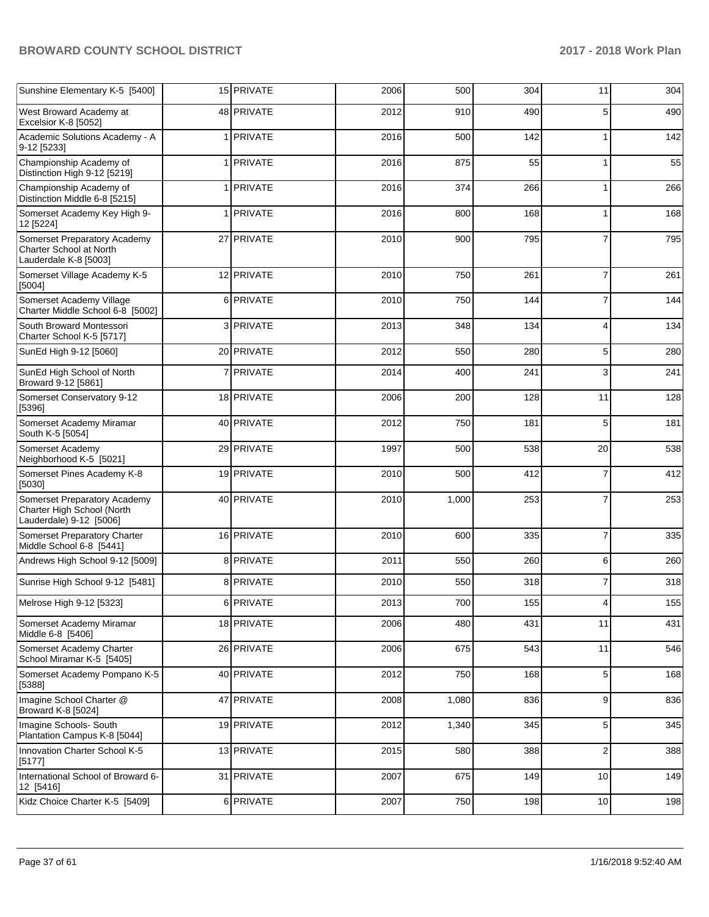| Sunshine Elementary K-5 [5400]                                                          | 15 PRIVATE       | 2006 | 500   | 304 | 11             | 304 |
|-----------------------------------------------------------------------------------------|------------------|------|-------|-----|----------------|-----|
| West Broward Academy at<br>Excelsior K-8 [5052]                                         | 48 PRIVATE       | 2012 | 910   | 490 | 5              | 490 |
| Academic Solutions Academy - A<br>9-12 [5233]                                           | 1 <b>PRIVATE</b> | 2016 | 500   | 142 | 1              | 142 |
| Championship Academy of<br>Distinction High 9-12 [5219]                                 | 1 <b>PRIVATE</b> | 2016 | 875   | 55  | 1              | 55  |
| Championship Academy of<br>Distinction Middle 6-8 [5215]                                | 1 PRIVATE        | 2016 | 374   | 266 |                | 266 |
| Somerset Academy Key High 9-<br>12 [5224]                                               | 1 <b>PRIVATE</b> | 2016 | 800   | 168 | 1              | 168 |
| Somerset Preparatory Academy<br><b>Charter School at North</b><br>Lauderdale K-8 [5003] | 27 PRIVATE       | 2010 | 900   | 795 | $\overline{7}$ | 795 |
| Somerset Village Academy K-5<br>[5004]                                                  | 12 PRIVATE       | 2010 | 750   | 261 | $\overline{7}$ | 261 |
| Somerset Academy Village<br>Charter Middle School 6-8 [5002]                            | 6 PRIVATE        | 2010 | 750   | 144 | 7              | 144 |
| South Broward Montessori<br>Charter School K-5 [5717]                                   | 3 PRIVATE        | 2013 | 348   | 134 | 4              | 134 |
| SunEd High 9-12 [5060]                                                                  | 20 PRIVATE       | 2012 | 550   | 280 | 5              | 280 |
| SunEd High School of North<br>Broward 9-12 [5861]                                       | 7 PRIVATE        | 2014 | 400   | 241 | 3              | 241 |
| Somerset Conservatory 9-12<br>[5396]                                                    | 18 PRIVATE       | 2006 | 200   | 128 | 11             | 128 |
| Somerset Academy Miramar<br>South K-5 [5054]                                            | 40 PRIVATE       | 2012 | 750   | 181 | 5              | 181 |
| Somerset Academy<br>Neighborhood K-5 [5021]                                             | 29 PRIVATE       | 1997 | 500   | 538 | 20             | 538 |
| Somerset Pines Academy K-8<br>[5030]                                                    | 19 PRIVATE       | 2010 | 500   | 412 | 7              | 412 |
| Somerset Preparatory Academy<br>Charter High School (North<br>Lauderdale) 9-12 [5006]   | 40 PRIVATE       | 2010 | 1,000 | 253 | $\overline{7}$ | 253 |
| Somerset Preparatory Charter<br>Middle School 6-8 [5441]                                | 16 PRIVATE       | 2010 | 600   | 335 | 7              | 335 |
| Andrews High School 9-12 [5009]                                                         | 8 PRIVATE        | 2011 | 550   | 260 | 6              | 260 |
| Sunrise High School 9-12 [5481]                                                         | 8 PRIVATE        | 2010 | 550   | 318 | $\overline{7}$ | 318 |
| Melrose High 9-12 [5323]                                                                | 6 PRIVATE        | 2013 | 700   | 155 |                | 155 |
| Somerset Academy Miramar<br>Middle 6-8 [5406]                                           | 18 PRIVATE       | 2006 | 480   | 431 | 11             | 431 |
| Somerset Academy Charter<br>School Miramar K-5 [5405]                                   | 26 PRIVATE       | 2006 | 675   | 543 | 11             | 546 |
| Somerset Academy Pompano K-5<br>[5388]                                                  | 40 PRIVATE       | 2012 | 750   | 168 | 5              | 168 |
| Imagine School Charter @<br>Broward K-8 [5024]                                          | 47 PRIVATE       | 2008 | 1,080 | 836 | 9              | 836 |
| Imagine Schools- South<br>Plantation Campus K-8 [5044]                                  | 19 PRIVATE       | 2012 | 1,340 | 345 | 5              | 345 |
| Innovation Charter School K-5<br>[5177]                                                 | 13 PRIVATE       | 2015 | 580   | 388 | 2              | 388 |
| International School of Broward 6-<br>12 [5416]                                         | 31 PRIVATE       | 2007 | 675   | 149 | 10             | 149 |
| Kidz Choice Charter K-5 [5409]                                                          | 6 PRIVATE        | 2007 | 750   | 198 | 10             | 198 |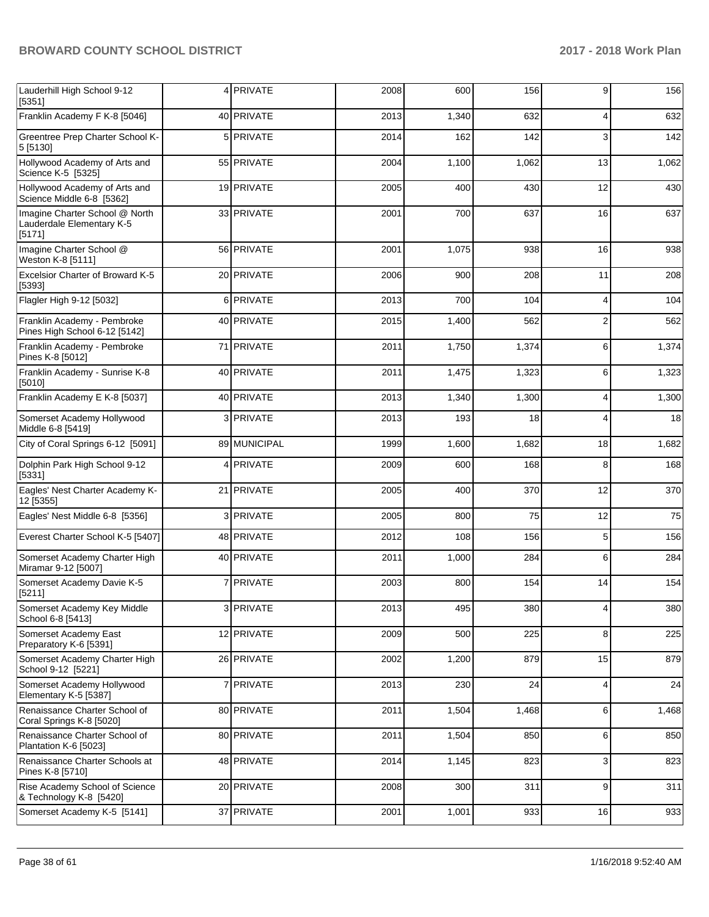| Lauderhill High School 9-12<br>[5351]                                 |   | 4 PRIVATE    | 2008 | 600   | 156   | 9  | 156   |
|-----------------------------------------------------------------------|---|--------------|------|-------|-------|----|-------|
| Franklin Academy F K-8 [5046]                                         |   | 40 PRIVATE   | 2013 | 1,340 | 632   | 4  | 632   |
| Greentree Prep Charter School K-<br>5 [5130]                          |   | 5 PRIVATE    | 2014 | 162   | 142   | 3  | 142   |
| Hollywood Academy of Arts and<br>Science K-5 [5325]                   |   | 55 PRIVATE   | 2004 | 1,100 | 1,062 | 13 | 1,062 |
| Hollywood Academy of Arts and<br>Science Middle 6-8 [5362]            |   | 19 PRIVATE   | 2005 | 400   | 430   | 12 | 430   |
| Imagine Charter School @ North<br>Lauderdale Elementary K-5<br>[5171] |   | 33 PRIVATE   | 2001 | 700   | 637   | 16 | 637   |
| Imagine Charter School @<br>Weston K-8 [5111]                         |   | 56 PRIVATE   | 2001 | 1,075 | 938   | 16 | 938   |
| Excelsior Charter of Broward K-5<br>[5393]                            |   | 20 PRIVATE   | 2006 | 900   | 208   | 11 | 208   |
| Flagler High 9-12 [5032]                                              | 6 | PRIVATE      | 2013 | 700   | 104   | 4  | 104   |
| Franklin Academy - Pembroke<br>Pines High School 6-12 [5142]          |   | 40 PRIVATE   | 2015 | 1,400 | 562   | 2  | 562   |
| Franklin Academy - Pembroke<br>Pines K-8 [5012]                       |   | 71 PRIVATE   | 2011 | 1,750 | 1,374 | 6  | 1,374 |
| Franklin Academy - Sunrise K-8<br>[5010]                              |   | 40 PRIVATE   | 2011 | 1,475 | 1,323 | 6  | 1,323 |
| Franklin Academy E K-8 [5037]                                         |   | 40 PRIVATE   | 2013 | 1,340 | 1,300 | 4  | 1,300 |
| Somerset Academy Hollywood<br>Middle 6-8 [5419]                       |   | 3 PRIVATE    | 2013 | 193   | 18    | 4  | 18    |
| City of Coral Springs 6-12 [5091]                                     |   | 89 MUNICIPAL | 1999 | 1,600 | 1,682 | 18 | 1,682 |
| Dolphin Park High School 9-12<br>[5331]                               |   | 4 PRIVATE    | 2009 | 600   | 168   | 8  | 168   |
| Eagles' Nest Charter Academy K-<br>12 [5355]                          |   | 21 PRIVATE   | 2005 | 400   | 370   | 12 | 370   |
| Eagles' Nest Middle 6-8 [5356]                                        | 3 | PRIVATE      | 2005 | 800   | 75    | 12 | 75    |
| Everest Charter School K-5 [5407]                                     |   | 48 PRIVATE   | 2012 | 108   | 156   | 5  | 156   |
| Somerset Academy Charter High<br>Miramar 9-12 [5007]                  |   | 40 PRIVATE   | 2011 | 1,000 | 284   | 6  | 284   |
| Somerset Academy Davie K-5<br>[5211]                                  |   | 7 PRIVATE    | 2003 | 800   | 154   | 14 | 154   |
| Somerset Academy Key Middle<br>School 6-8 [5413]                      |   | 3 PRIVATE    | 2013 | 495   | 380   | 4  | 380   |
| Somerset Academy East<br>Preparatory K-6 [5391]                       |   | 12 PRIVATE   | 2009 | 500   | 225   | 8  | 225   |
| Somerset Academy Charter High<br>School 9-12 [5221]                   |   | 26 PRIVATE   | 2002 | 1,200 | 879   | 15 | 879   |
| Somerset Academy Hollywood<br>Elementary K-5 [5387]                   |   | 7 PRIVATE    | 2013 | 230   | 24    | 4  | 24    |
| Renaissance Charter School of<br>Coral Springs K-8 [5020]             |   | 80 PRIVATE   | 2011 | 1,504 | 1,468 | 6  | 1,468 |
| Renaissance Charter School of<br>Plantation K-6 [5023]                |   | 80 PRIVATE   | 2011 | 1,504 | 850   | 6  | 850   |
| Renaissance Charter Schools at<br>Pines K-8 [5710]                    |   | 48 PRIVATE   | 2014 | 1,145 | 823   | 3  | 823   |
| Rise Academy School of Science<br>& Technology K-8 [5420]             |   | 20 PRIVATE   | 2008 | 300   | 311   | 9  | 311   |
| Somerset Academy K-5 [5141]                                           |   | 37 PRIVATE   | 2001 | 1,001 | 933   | 16 | 933   |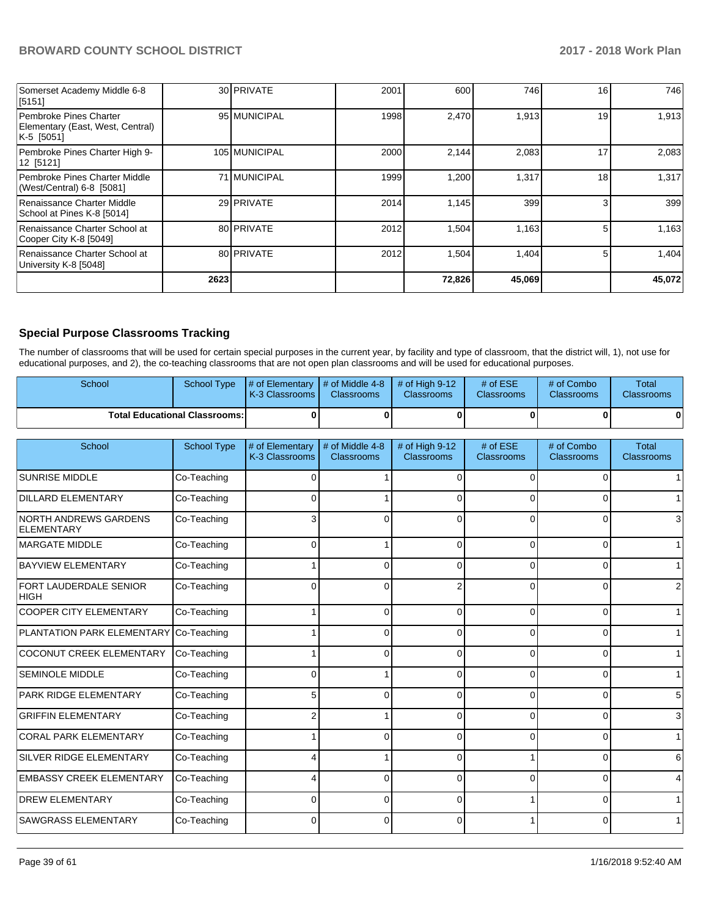| Somerset Academy Middle 6-8<br>[5151]                                    |      | 30 PRIVATE    | 2001 | 600    | 746    | 16 | 746    |
|--------------------------------------------------------------------------|------|---------------|------|--------|--------|----|--------|
| Pembroke Pines Charter<br>Elementary (East, West, Central)<br>K-5 [5051] |      | 95 MUNICIPAL  | 1998 | 2,470  | 1,913  | 19 | 1,913  |
| Pembroke Pines Charter High 9-<br>12 [5121]                              |      | 105 MUNICIPAL | 2000 | 2,144  | 2,083  | 17 | 2,083  |
| Pembroke Pines Charter Middle<br>(West/Central) 6-8 [5081]               |      | 71 MUNICIPAL  | 1999 | 1,200  | 1,317  | 18 | 1,317  |
| Renaissance Charter Middle<br>School at Pines K-8 [5014]                 |      | 29 PRIVATE    | 2014 | 1.145  | 399    |    | 399    |
| Renaissance Charter School at<br>Cooper City K-8 [5049]                  |      | 80 PRIVATE    | 2012 | 1,504  | 1,163  |    | 1,163  |
| Renaissance Charter School at<br>University K-8 [5048]                   |      | 80 PRIVATE    | 2012 | 1,504  | 1,404  |    | 1.404  |
|                                                                          | 2623 |               |      | 72,826 | 45,069 |    | 45,072 |

# **Special Purpose Classrooms Tracking**

The number of classrooms that will be used for certain special purposes in the current year, by facility and type of classroom, that the district will, 1), not use for educational purposes, and 2), the co-teaching classrooms that are not open plan classrooms and will be used for educational purposes.

| School |                                      | School Type $\frac{1}{4}$ of Elementary $\frac{1}{4}$ of Middle 4-8 $\frac{1}{4}$ of High 9-12<br><b>K-3 Classrooms I</b> | <b>Classrooms</b> | <b>Classrooms</b> | # of $ESE$<br><b>Classrooms</b> | # of Combo<br><b>Classrooms</b> | Total<br><b>Classrooms</b> |
|--------|--------------------------------------|---------------------------------------------------------------------------------------------------------------------------|-------------------|-------------------|---------------------------------|---------------------------------|----------------------------|
|        | <b>Total Educational Classrooms:</b> |                                                                                                                           |                   |                   |                                 |                                 |                            |

| School                                            | <b>School Type</b> | # of Elementary<br>K-3 Classrooms | # of Middle 4-8<br>Classrooms | # of High 9-12<br>Classrooms | # of ESE<br><b>Classrooms</b> | # of Combo<br>Classrooms | <b>Total</b><br><b>Classrooms</b> |
|---------------------------------------------------|--------------------|-----------------------------------|-------------------------------|------------------------------|-------------------------------|--------------------------|-----------------------------------|
| <b>SUNRISE MIDDLE</b>                             | Co-Teaching        | $\Omega$                          |                               | 0                            | $\Omega$                      |                          |                                   |
| <b>DILLARD ELEMENTARY</b>                         | Co-Teaching        | $\Omega$                          |                               | $\Omega$                     | 0                             |                          |                                   |
| <b>NORTH ANDREWS GARDENS</b><br><b>ELEMENTARY</b> | Co-Teaching        | 3                                 | 0                             | 0                            | $\Omega$                      |                          | 3                                 |
| <b>MARGATE MIDDLE</b>                             | Co-Teaching        | $\Omega$                          |                               | $\Omega$                     | $\Omega$                      | 0                        |                                   |
| <b>BAYVIEW ELEMENTARY</b>                         | Co-Teaching        |                                   | 0                             | 0                            | 0                             | 0                        |                                   |
| FORT LAUDERDALE SENIOR<br> HIGH                   | Co-Teaching        | $\Omega$                          | $\Omega$                      | 2                            | $\Omega$                      | $\Omega$                 |                                   |
| <b>COOPER CITY ELEMENTARY</b>                     | Co-Teaching        |                                   | $\Omega$                      | 0                            | $\Omega$                      | $\Omega$                 |                                   |
| PLANTATION PARK ELEMENTARY Co-Teaching            |                    |                                   | $\Omega$                      | C                            | $\Omega$                      |                          |                                   |
| <b>COCONUT CREEK ELEMENTARY</b>                   | Co-Teaching        |                                   | 0                             | C                            | <sup>0</sup>                  |                          |                                   |
| <b>SEMINOLE MIDDLE</b>                            | Co-Teaching        | $\Omega$                          |                               | $\Omega$                     | $\Omega$                      | $\Omega$                 |                                   |
| PARK RIDGE ELEMENTARY                             | Co-Teaching        | 5                                 | $\Omega$                      | $\Omega$                     | $\Omega$                      | $\Omega$                 | 5                                 |
| <b>GRIFFIN ELEMENTARY</b>                         | Co-Teaching        |                                   |                               | $\Omega$                     | $\Omega$                      | 0                        | 3                                 |
| <b>CORAL PARK ELEMENTARY</b>                      | Co-Teaching        |                                   | 0                             | $\Omega$                     | 0                             | $\Omega$                 |                                   |
| SILVER RIDGE ELEMENTARY                           | Co-Teaching        |                                   |                               | $\Omega$                     |                               | $\Omega$                 | 6                                 |
| <b>EMBASSY CREEK ELEMENTARY</b>                   | Co-Teaching        |                                   | $\Omega$                      | 0                            | $\Omega$                      | $\Omega$                 | 4                                 |
| <b>DREW ELEMENTARY</b>                            | Co-Teaching        | $\Omega$                          | $\Omega$                      | $\Omega$                     |                               | O                        |                                   |
| <b>SAWGRASS ELEMENTARY</b>                        | Co-Teaching        | 0                                 | 0                             | 0                            |                               | ŋ                        |                                   |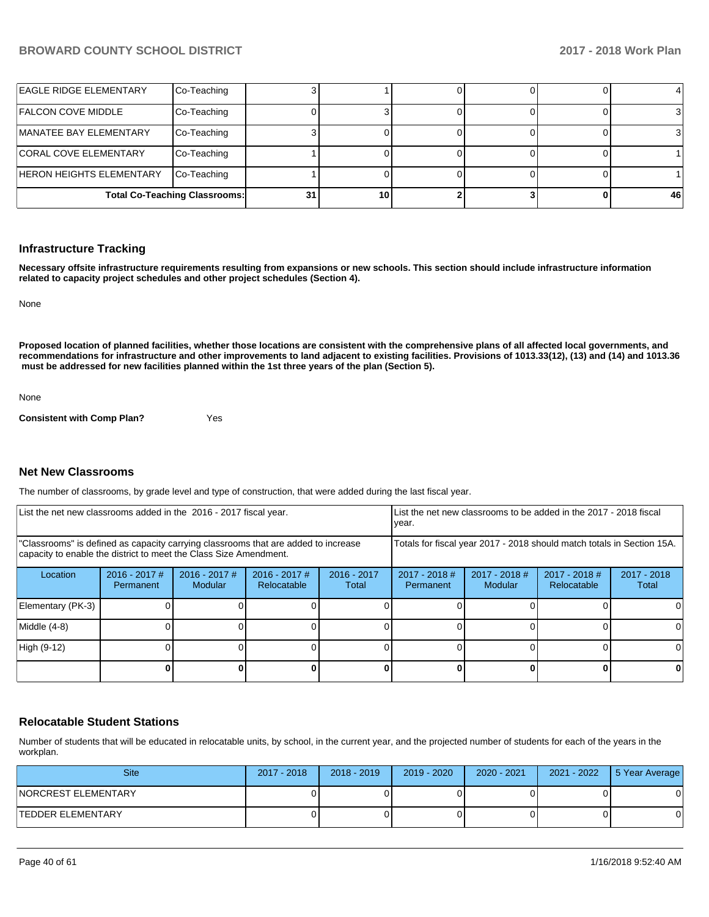| <b>LEAGLE RIDGE ELEMENTARY</b>  | Co-Teaching                          |    |    |  |    |
|---------------------------------|--------------------------------------|----|----|--|----|
| <b>FALCON COVE MIDDLE</b>       | Co-Teaching                          |    |    |  |    |
| <b>IMANATEE BAY ELEMENTARY</b>  | Co-Teaching                          |    |    |  |    |
| <b>CORAL COVE ELEMENTARY</b>    | Co-Teaching                          |    |    |  |    |
| <b>HERON HEIGHTS ELEMENTARY</b> | Co-Teaching                          |    |    |  |    |
|                                 | <b>Total Co-Teaching Classrooms:</b> | 31 | 10 |  | 46 |

#### **Infrastructure Tracking**

**Necessary offsite infrastructure requirements resulting from expansions or new schools. This section should include infrastructure information related to capacity project schedules and other project schedules (Section 4).** 

None

**Proposed location of planned facilities, whether those locations are consistent with the comprehensive plans of all affected local governments, and recommendations for infrastructure and other improvements to land adjacent to existing facilities. Provisions of 1013.33(12), (13) and (14) and 1013.36 must be addressed for new facilities planned within the 1st three years of the plan (Section 5).** 

None

**Consistent with Comp Plan?** Yes

#### **Net New Classrooms**

The number of classrooms, by grade level and type of construction, that were added during the last fiscal year.

| List the net new classrooms added in the 2016 - 2017 fiscal year.                                                                                       |                              |                            |                                |                                                                        | List the net new classrooms to be added in the 2017 - 2018 fiscal<br>year. |                          |                                |                      |
|---------------------------------------------------------------------------------------------------------------------------------------------------------|------------------------------|----------------------------|--------------------------------|------------------------------------------------------------------------|----------------------------------------------------------------------------|--------------------------|--------------------------------|----------------------|
| "Classrooms" is defined as capacity carrying classrooms that are added to increase<br>capacity to enable the district to meet the Class Size Amendment. |                              |                            |                                | Totals for fiscal year 2017 - 2018 should match totals in Section 15A. |                                                                            |                          |                                |                      |
| Location                                                                                                                                                | $2016 - 2017$ #<br>Permanent | $2016 - 2017$ #<br>Modular | $2016 - 2017$ #<br>Relocatable | $2016 - 2017$<br>Total                                                 | $2017 - 2018$ #<br><b>Permanent</b>                                        | 2017 - 2018 #<br>Modular | $2017 - 2018$ #<br>Relocatable | 2017 - 2018<br>Total |
| Elementary (PK-3)                                                                                                                                       |                              |                            |                                |                                                                        |                                                                            |                          |                                | 0                    |
| Middle (4-8)                                                                                                                                            |                              |                            |                                |                                                                        |                                                                            |                          |                                | $\Omega$             |
| High (9-12)                                                                                                                                             |                              |                            |                                |                                                                        |                                                                            |                          |                                | 0                    |
|                                                                                                                                                         |                              |                            |                                |                                                                        |                                                                            |                          |                                | 0                    |

#### **Relocatable Student Stations**

Number of students that will be educated in relocatable units, by school, in the current year, and the projected number of students for each of the years in the workplan.

| <b>Site</b>          | 2017 - 2018 | $2018 - 2019$ | $2019 - 2020$ | 2020 - 2021 | 2021 - 2022 | 5 Year Average |
|----------------------|-------------|---------------|---------------|-------------|-------------|----------------|
| INORCREST ELEMENTARY |             |               |               |             |             |                |
| ITEDDER ELEMENTARY   |             |               |               |             |             |                |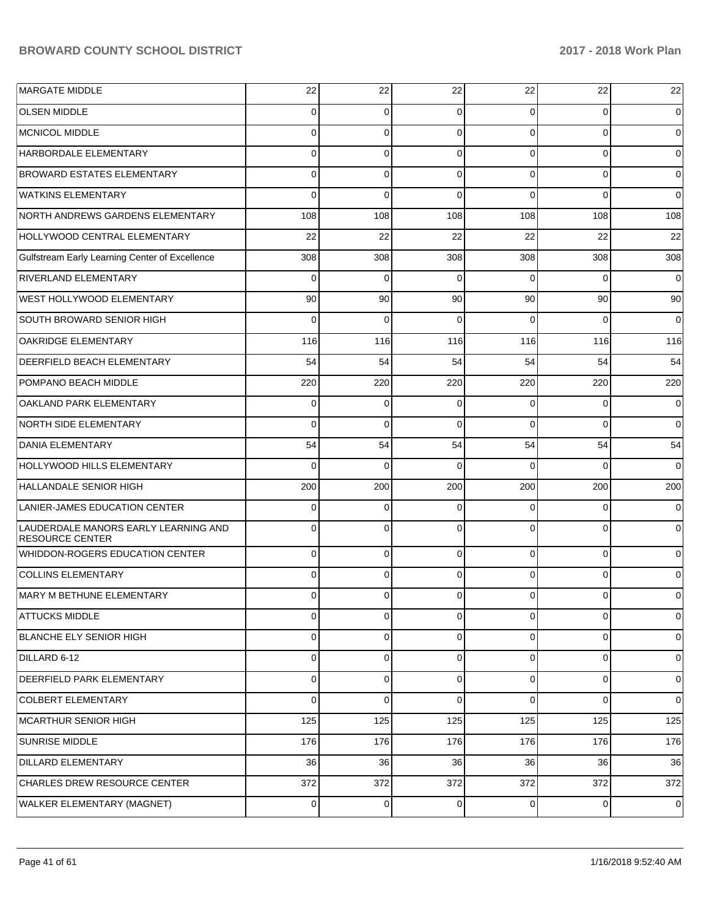| <b>MARGATE MIDDLE</b>                                          | 22       | 22       | 22       | 22             | 22          | 22          |
|----------------------------------------------------------------|----------|----------|----------|----------------|-------------|-------------|
| <b>OLSEN MIDDLE</b>                                            | 0        | 0        | $\Omega$ | $\Omega$       | $\Omega$    | $\Omega$    |
| <b>MCNICOL MIDDLE</b>                                          | 0        | 0        | $\Omega$ | $\Omega$       | $\Omega$    | $\Omega$    |
| HARBORDALE ELEMENTARY                                          | 0        | 0        | $\Omega$ | $\Omega$       | $\mathbf 0$ | 0           |
| <b>BROWARD ESTATES ELEMENTARY</b>                              | 0        | 0        | $\Omega$ | $\Omega$       | $\Omega$    | $\Omega$    |
| <b>WATKINS ELEMENTARY</b>                                      | 0        | $\Omega$ | $\Omega$ | $\Omega$       | $\Omega$    | $\Omega$    |
| NORTH ANDREWS GARDENS ELEMENTARY                               | 108      | 108      | 108      | 108            | 108         | 108         |
| HOLLYWOOD CENTRAL ELEMENTARY                                   | 22       | 22       | 22       | 22             | 22          | 22          |
| Gulfstream Early Learning Center of Excellence                 | 308      | 308      | 308      | 308            | 308         | 308         |
| RIVERLAND ELEMENTARY                                           | $\Omega$ | 0        | 0        | $\Omega$       | $\Omega$    | 0           |
| WEST HOLLYWOOD ELEMENTARY                                      | 90       | 90       | 90       | 90             | 90          | 90          |
| SOUTH BROWARD SENIOR HIGH                                      | $\Omega$ | 0        | $\Omega$ | $\Omega$       | $\Omega$    | 0           |
| <b>OAKRIDGE ELEMENTARY</b>                                     | 116      | 116      | 116      | 116            | 116         | 116         |
| DEERFIELD BEACH ELEMENTARY                                     | 54       | 54       | 54       | 54             | 54          | 54          |
| <b>POMPANO BEACH MIDDLE</b>                                    | 220      | 220      | 220      | 220            | 220         | 220         |
| OAKLAND PARK ELEMENTARY                                        | 0        | 0        | $\Omega$ | $\Omega$       | 0           | 0           |
| NORTH SIDE ELEMENTARY                                          | 0        | $\Omega$ | $\Omega$ | $\Omega$       | $\Omega$    | $\Omega$    |
| <b>DANIA ELEMENTARY</b>                                        | 54       | 54       | 54       | 54             | 54          | 54          |
| HOLLYWOOD HILLS ELEMENTARY                                     | 0        | $\Omega$ | $\Omega$ | $\Omega$       | $\Omega$    | $\Omega$    |
| HALLANDALE SENIOR HIGH                                         | 200      | 200      | 200      | 200            | 200         | 200         |
| LANIER-JAMES EDUCATION CENTER                                  | 0        | 0        | 0        | $\Omega$       | $\Omega$    | $\Omega$    |
| LAUDERDALE MANORS EARLY LEARNING AND<br><b>RESOURCE CENTER</b> | 0        | $\Omega$ | $\Omega$ | $\Omega$       | $\Omega$    | $\Omega$    |
| <b>WHIDDON-ROGERS EDUCATION CENTER</b>                         | 0        | 0        | $\Omega$ | $\Omega$       | 0           | 0           |
| <b>COLLINS ELEMENTARY</b>                                      | 0        | 0        | $\Omega$ | $\Omega$       | 0           | 0           |
| MARY M BETHUNE ELEMENTARY                                      | 0        | 0        | 0        | $\overline{0}$ | 0           | 0           |
| <b>ATTUCKS MIDDLE</b>                                          | 0        | 0        | 0        | $\overline{0}$ | 0           | $\mathbf 0$ |
| BLANCHE ELY SENIOR HIGH                                        | 0        | 0        | 0        | $\overline{0}$ | 0           | 0           |
| DILLARD 6-12                                                   | 0        | 0        | $\Omega$ | $\overline{0}$ | 0           | 0           |
| DEERFIELD PARK ELEMENTARY                                      | 0        | 0        | $\Omega$ | $\overline{0}$ | 0           | 0           |
| <b>COLBERT ELEMENTARY</b>                                      | 0        | 0        | $\Omega$ | $\Omega$       | 0           | $\mathbf 0$ |
| MCARTHUR SENIOR HIGH                                           | 125      | 125      | 125      | 125            | 125         | 125         |
| <b>SUNRISE MIDDLE</b>                                          | 176      | 176      | 176      | 176            | 176         | 176         |
| DILLARD ELEMENTARY                                             | 36       | 36       | 36       | 36             | 36          | 36          |
| CHARLES DREW RESOURCE CENTER                                   | 372      | 372      | 372      | 372            | 372         | 372         |
| WALKER ELEMENTARY (MAGNET)                                     | 0        | 0        | 0        | $\mathbf 0$    | 0           | $\mathbf 0$ |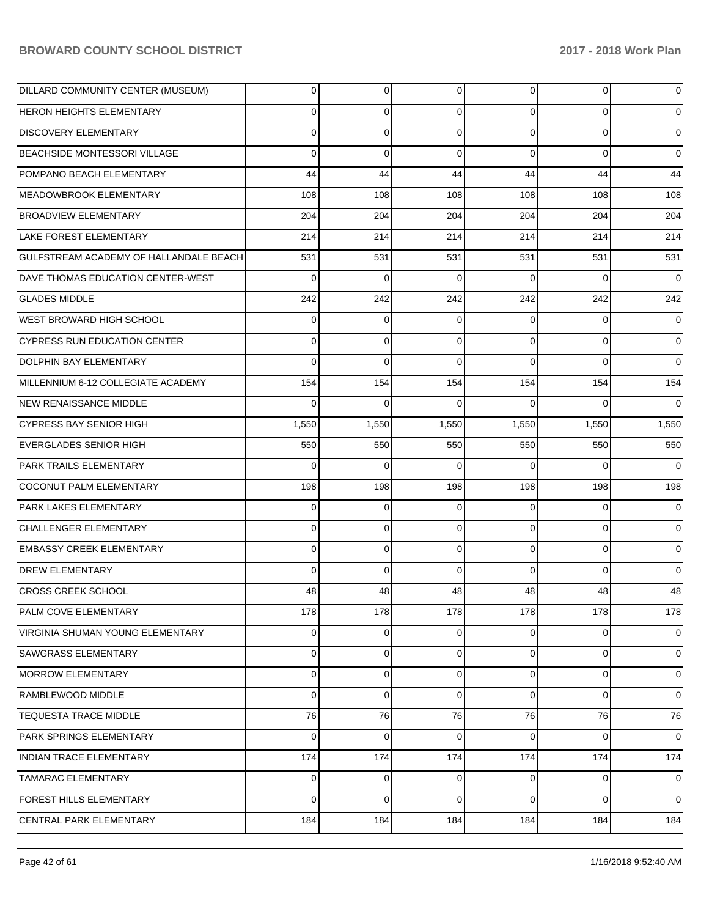| DILLARD COMMUNITY CENTER (MUSEUM)      | 0        | 0     | $\Omega$    | 0        | $\overline{0}$ | $\mathbf 0$    |
|----------------------------------------|----------|-------|-------------|----------|----------------|----------------|
| <b>HERON HEIGHTS ELEMENTARY</b>        | 0        | 0     | $\Omega$    | 0        | $\overline{0}$ | $\overline{0}$ |
| <b>DISCOVERY ELEMENTARY</b>            | $\Omega$ | 0     | $\Omega$    | $\Omega$ | $\overline{0}$ | $\mathbf 0$    |
| <b>BEACHSIDE MONTESSORI VILLAGE</b>    | 0        | 0     | $\Omega$    | $\Omega$ | $\overline{0}$ | $\overline{0}$ |
| POMPANO BEACH ELEMENTARY               | 44       | 44    | 44          | 44       | 44             | 44             |
| MEADOWBROOK ELEMENTARY                 | 108      | 108   | 108         | 108      | 108            | 108            |
| <b>BROADVIEW ELEMENTARY</b>            | 204      | 204   | 204         | 204      | 204            | 204            |
| <b>LAKE FOREST ELEMENTARY</b>          | 214      | 214   | 214         | 214      | 214            | 214            |
| GULFSTREAM ACADEMY OF HALLANDALE BEACH | 531      | 531   | 531         | 531      | 531            | 531            |
| DAVE THOMAS EDUCATION CENTER-WEST      | 0        | 0     | $\Omega$    | 0        | $\overline{0}$ | $\overline{0}$ |
| <b>GLADES MIDDLE</b>                   | 242      | 242   | 242         | 242      | 242            | 242            |
| WEST BROWARD HIGH SCHOOL               | 0        | 0     | $\Omega$    | 0        | $\overline{0}$ | $\overline{0}$ |
| <b>CYPRESS RUN EDUCATION CENTER</b>    | $\Omega$ | 0     | $\Omega$    | $\Omega$ | $\overline{0}$ | $\overline{0}$ |
| <b>DOLPHIN BAY ELEMENTARY</b>          | $\Omega$ | 0     | $\Omega$    | $\Omega$ | $\Omega$       | $\overline{0}$ |
| MILLENNIUM 6-12 COLLEGIATE ACADEMY     | 154      | 154   | 154         | 154      | 154            | 154            |
| <b>NEW RENAISSANCE MIDDLE</b>          | $\Omega$ | 0     | $\Omega$    | 0        | $\Omega$       | $\overline{0}$ |
| <b>CYPRESS BAY SENIOR HIGH</b>         | 1,550    | 1,550 | 1,550       | 1,550    | 1,550          | 1,550          |
| <b>EVERGLADES SENIOR HIGH</b>          | 550      | 550   | 550         | 550      | 550            | 550            |
| <b>PARK TRAILS ELEMENTARY</b>          | 0        | 0     | $\Omega$    | 0        | $\Omega$       | $\overline{0}$ |
| COCONUT PALM ELEMENTARY                | 198      | 198   | 198         | 198      | 198            | 198            |
| <b>PARK LAKES ELEMENTARY</b>           | 0        | 0     | $\Omega$    | 0        | $\overline{0}$ | $\overline{0}$ |
| CHALLENGER ELEMENTARY                  | 0        | 0     | $\Omega$    | 0        | $\overline{0}$ | $\overline{0}$ |
| <b>EMBASSY CREEK ELEMENTARY</b>        | 0        | 0     | $\Omega$    | $\Omega$ | $\overline{0}$ | $\overline{0}$ |
| DREW ELEMENTARY                        | $\Omega$ | 0     | $\Omega$    | 0        | $\overline{0}$ | $\overline{0}$ |
| CROSS CREEK SCHOOL                     | 48       | 48    | 48          | 48       | 48             | 48             |
| PALM COVE ELEMENTARY                   | 178      | 178   | 178         | 178      | 178            | 178            |
| VIRGINIA SHUMAN YOUNG ELEMENTARY       | 0        | 0     | 0           | 0        | $\overline{0}$ | $\overline{0}$ |
| <b>SAWGRASS ELEMENTARY</b>             | 0        | 0     | $\Omega$    | 0        | $\overline{0}$ | $\mathbf 0$    |
| <b>MORROW ELEMENTARY</b>               | 0        | 0     | $\mathbf 0$ | 0        | $\overline{0}$ | $\overline{0}$ |
| RAMBLEWOOD MIDDLE                      | 0        | 0     | $\Omega$    | 0        | $\overline{0}$ | $\overline{0}$ |
| <b>TEQUESTA TRACE MIDDLE</b>           | 76       | 76    | 76          | 76       | 76             | 76             |
| PARK SPRINGS ELEMENTARY                | 0        | 0     | $\Omega$    | $\Omega$ | $\overline{0}$ | $\overline{0}$ |
| <b>INDIAN TRACE ELEMENTARY</b>         | 174      | 174   | 174         | 174      | 174            | 174            |
| <b>TAMARAC ELEMENTARY</b>              | 0        | 0     | $\Omega$    | 0        | $\overline{0}$ | $\mathbf 0$    |
| <b>FOREST HILLS ELEMENTARY</b>         | $\Omega$ | 0     | $\Omega$    | 0        | $\overline{0}$ | $\overline{0}$ |
| CENTRAL PARK ELEMENTARY                | 184      | 184   | 184         | 184      | 184            | 184            |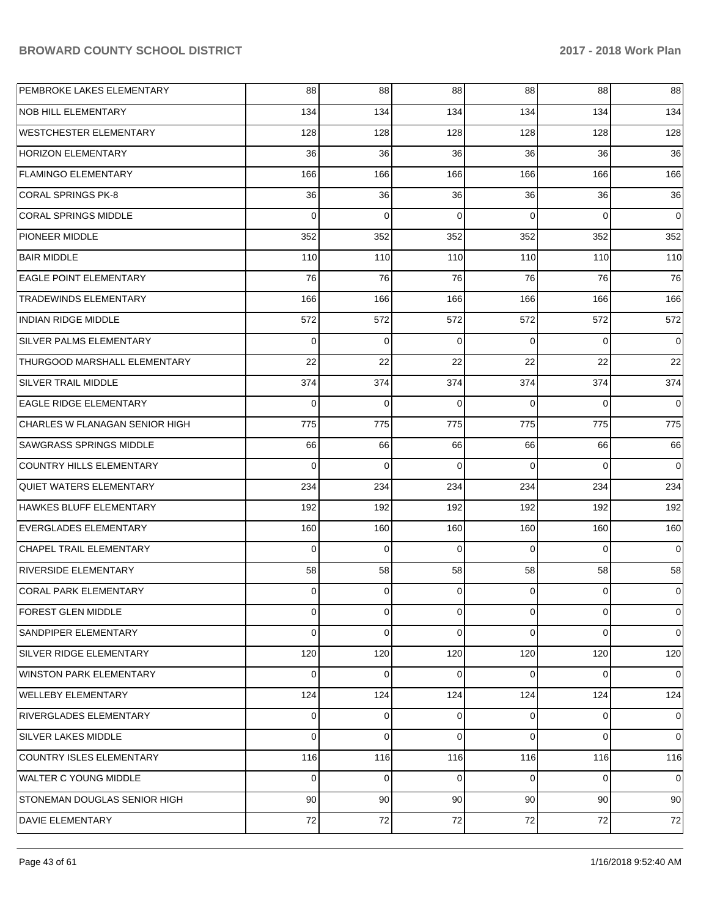| PEMBROKE LAKES ELEMENTARY       | 88             | 88              | 88              | 88             | 88             | 88             |
|---------------------------------|----------------|-----------------|-----------------|----------------|----------------|----------------|
| <b>NOB HILL ELEMENTARY</b>      | 134            | 134             | 134             | 134            | 134            | 134            |
| <b>WESTCHESTER ELEMENTARY</b>   | 128            | 128             | 128             | 128            | 128            | 128            |
| HORIZON ELEMENTARY              | 36             | 36              | 36              | 36             | 36             | 36             |
| <b>FLAMINGO ELEMENTARY</b>      | 166            | 166             | 166             | 166            | 166            | 166            |
| <b>CORAL SPRINGS PK-8</b>       | 36             | 36              | 36              | 36             | 36             | 36             |
| <b>CORAL SPRINGS MIDDLE</b>     | $\Omega$       | $\Omega$        | $\Omega$        | $\Omega$       | $\Omega$       | $\Omega$       |
| PIONEER MIDDLE                  | 352            | 352             | 352             | 352            | 352            | 352            |
| <b>BAIR MIDDLE</b>              | 110            | 110             | 110             | 110            | 110            | 110            |
| <b>EAGLE POINT ELEMENTARY</b>   | 76             | 76              | 76              | 76             | 76             | 76             |
| <b>TRADEWINDS ELEMENTARY</b>    | 166            | 166             | 166             | 166            | 166            | 166            |
| <b>INDIAN RIDGE MIDDLE</b>      | 572            | 572             | 572             | 572            | 572            | 572            |
| SILVER PALMS ELEMENTARY         | $\Omega$       | $\Omega$        | $\Omega$        | $\Omega$       | $\Omega$       | $\Omega$       |
| THURGOOD MARSHALL ELEMENTARY    | 22             | 22              | 22              | 22             | 22             | 22             |
| <b>SILVER TRAIL MIDDLE</b>      | 374            | 374             | 374             | 374            | 374            | 374            |
| <b>EAGLE RIDGE ELEMENTARY</b>   | $\Omega$       | $\Omega$        | $\Omega$        | $\Omega$       | $\Omega$       | $\mathbf 0$    |
| CHARLES W FLANAGAN SENIOR HIGH  | 775            | 775             | 775             | 775            | 775            | 775            |
| <b>SAWGRASS SPRINGS MIDDLE</b>  | 66             | 66              | 66              | 66             | 66             | 66             |
| <b>COUNTRY HILLS ELEMENTARY</b> | $\Omega$       | $\Omega$        | $\Omega$        | $\Omega$       | $\Omega$       | $\Omega$       |
| <b>QUIET WATERS ELEMENTARY</b>  | 234            | 234             | 234             | 234            | 234            | 234            |
| <b>HAWKES BLUFF ELEMENTARY</b>  | 192            | 192             | 192             | 192            | 192            | 192            |
| <b>EVERGLADES ELEMENTARY</b>    | 160            | 160             | 160             | 160            | 160            | 160            |
| <b>CHAPEL TRAIL ELEMENTARY</b>  | 0              | $\Omega$        | $\Omega$        | $\Omega$       | $\Omega$       | $\Omega$       |
| <b>RIVERSIDE ELEMENTARY</b>     | 58             | 58              | 58              | 58             | 58             | 58             |
| <b>CORAL PARK ELEMENTARY</b>    | 0              | $\overline{0}$  | $\Omega$        | $\Omega$       | $\Omega$       | 0              |
| <b>FOREST GLEN MIDDLE</b>       | $\mathbf 0$    | $\overline{0}$  | 0               | $\overline{0}$ | $\mathbf 0$    | 0              |
| SANDPIPER ELEMENTARY            | $\mathbf 0$    | $\overline{0}$  | $\Omega$        | $\Omega$       | $\Omega$       | $\overline{0}$ |
| SILVER RIDGE ELEMENTARY         | 120            | 120             | 120             | 120            | 120            | 120            |
| WINSTON PARK ELEMENTARY         | $\overline{0}$ | $\overline{0}$  | $\Omega$        | $\Omega$       | $\Omega$       | $\Omega$       |
| <b>WELLEBY ELEMENTARY</b>       | 124            | 124             | 124             | 124            | 124            | 124            |
| <b>RIVERGLADES ELEMENTARY</b>   | $\overline{0}$ | $\overline{0}$  | $\Omega$        | $\Omega$       | $\overline{0}$ | 0              |
| <b>SILVER LAKES MIDDLE</b>      | $\mathbf 0$    | $\Omega$        | $\Omega$        | $\Omega$       | $\Omega$       | $\Omega$       |
| <b>COUNTRY ISLES ELEMENTARY</b> | 116            | 116             | 116             | 116            | 116            | 116            |
| WALTER C YOUNG MIDDLE           | 0              | $\overline{0}$  | 0               | $\Omega$       | $\Omega$       | $\overline{0}$ |
| STONEMAN DOUGLAS SENIOR HIGH    | 90             | 90 <sup>1</sup> | 90 <sub>1</sub> | 90             | 90             | 90             |
| DAVIE ELEMENTARY                | 72             | 72              | 72              | 72             | 72             | 72             |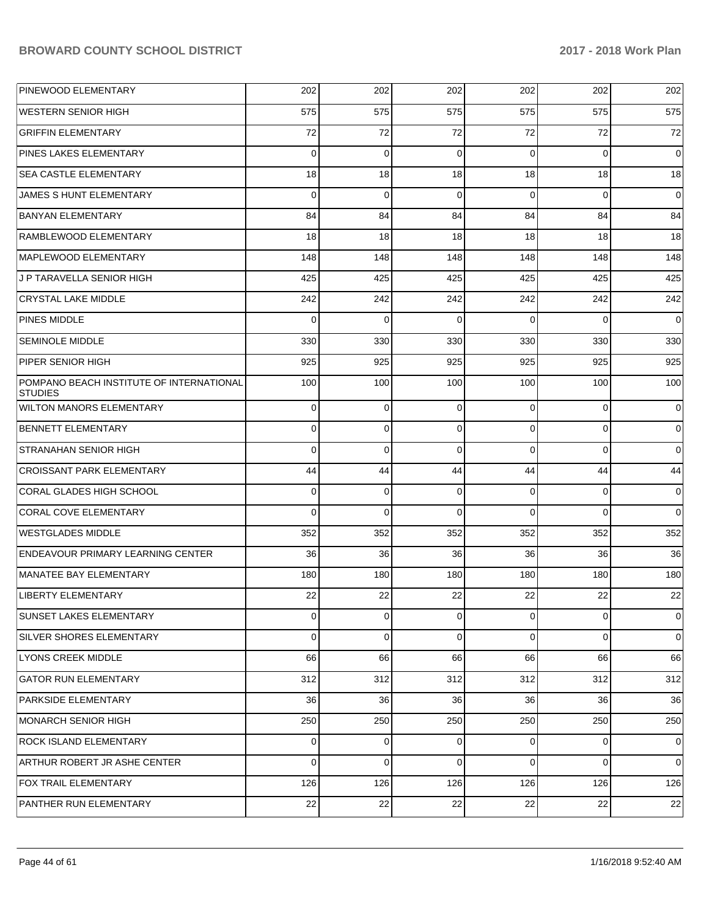| <b>PINEWOOD ELEMENTARY</b>                                 | 202         | 202         | 202      | 202      | 202         | 202         |
|------------------------------------------------------------|-------------|-------------|----------|----------|-------------|-------------|
| WESTERN SENIOR HIGH                                        | 575         | 575         | 575      | 575      | 575         | 575         |
| <b>GRIFFIN ELEMENTARY</b>                                  | 72          | 72          | 72       | 72       | 72          | 72          |
| PINES LAKES ELEMENTARY                                     | $\Omega$    | $\mathbf 0$ | 0        | $\Omega$ | 0           | 0           |
| <b>SEA CASTLE ELEMENTARY</b>                               | 18          | 18          | 18       | 18       | 18          | 18          |
| JAMES S HUNT ELEMENTARY                                    | $\Omega$    | $\mathbf 0$ | 0        | $\Omega$ | 0           | 0           |
| <b>BANYAN ELEMENTARY</b>                                   | 84          | 84          | 84       | 84       | 84          | 84          |
| RAMBLEWOOD ELEMENTARY                                      | 18          | 18          | 18       | 18       | 18          | 18          |
| MAPLEWOOD ELEMENTARY                                       | 148         | 148         | 148      | 148      | 148         | 148         |
| J P TARAVELLA SENIOR HIGH                                  | 425         | 425         | 425      | 425      | 425         | 425         |
| <b>CRYSTAL LAKE MIDDLE</b>                                 | 242         | 242         | 242      | 242      | 242         | 242         |
| <b>PINES MIDDLE</b>                                        | $\Omega$    | $\mathbf 0$ | $\Omega$ | $\Omega$ | $\Omega$    | $\mathbf 0$ |
| <b>SEMINOLE MIDDLE</b>                                     | 330         | 330         | 330      | 330      | 330         | 330         |
| PIPER SENIOR HIGH                                          | 925         | 925         | 925      | 925      | 925         | 925         |
| POMPANO BEACH INSTITUTE OF INTERNATIONAL<br><b>STUDIES</b> | 100         | 100         | 100      | 100      | 100         | 100         |
| <b>WILTON MANORS ELEMENTARY</b>                            | 0           | $\mathbf 0$ | $\Omega$ | 0        | 0           | 0           |
| BENNETT ELEMENTARY                                         | 0           | $\mathbf 0$ | 0        | 0        | 0           | 0           |
| <b>STRANAHAN SENIOR HIGH</b>                               | $\Omega$    | $\Omega$    | $\Omega$ | $\Omega$ | $\Omega$    | $\mathbf 0$ |
| <b>CROISSANT PARK ELEMENTARY</b>                           | 44          | 44          | 44       | 44       | 44          | 44          |
| CORAL GLADES HIGH SCHOOL                                   | 0           | $\mathbf 0$ | $\Omega$ | 0        | 0           | 0           |
| <b>CORAL COVE ELEMENTARY</b>                               | $\Omega$    | $\mathbf 0$ | $\Omega$ | $\Omega$ | $\Omega$    | $\mathbf 0$ |
| <b>WESTGLADES MIDDLE</b>                                   | 352         | 352         | 352      | 352      | 352         | 352         |
| <b>ENDEAVOUR PRIMARY LEARNING CENTER</b>                   | 36          | 36          | 36       | 36       | 36          | 36          |
| MANATEE BAY ELEMENTARY                                     | 180         | 180         | 180      | 180      | 180         | 180         |
| LIBERTY ELEMENTARY                                         | 22          | 22          | 22       | 22       | 22          | 22          |
| SUNSET LAKES ELEMENTARY                                    | 0           | 0           | $\Omega$ | $\Omega$ | 0           | $\mathbf 0$ |
| SILVER SHORES ELEMENTARY                                   | 0           | $\Omega$    | $\Omega$ | 0        | $\mathbf 0$ | $\mathbf 0$ |
| LYONS CREEK MIDDLE                                         | 66          | 66          | 66       | 66       | 66          | 66          |
| <b>GATOR RUN ELEMENTARY</b>                                | 312         | 312         | 312      | 312      | 312         | 312         |
| <b>PARKSIDE ELEMENTARY</b>                                 | 36          | 36          | 36       | 36       | 36          | 36          |
| MONARCH SENIOR HIGH                                        | 250         | 250         | 250      | 250      | 250         | 250         |
| <b>ROCK ISLAND ELEMENTARY</b>                              | $\mathbf 0$ | $\mathbf 0$ | $\Omega$ | 0        | 0           | $\mathbf 0$ |
| ARTHUR ROBERT JR ASHE CENTER                               | $\Omega$    | $\Omega$    | $\Omega$ | $\Omega$ | 0           | $\mathbf 0$ |
| FOX TRAIL ELEMENTARY                                       | 126         | 126         | 126      | 126      | 126         | 126         |
| PANTHER RUN ELEMENTARY                                     | 22          | 22          | 22       | 22       | 22          | 22          |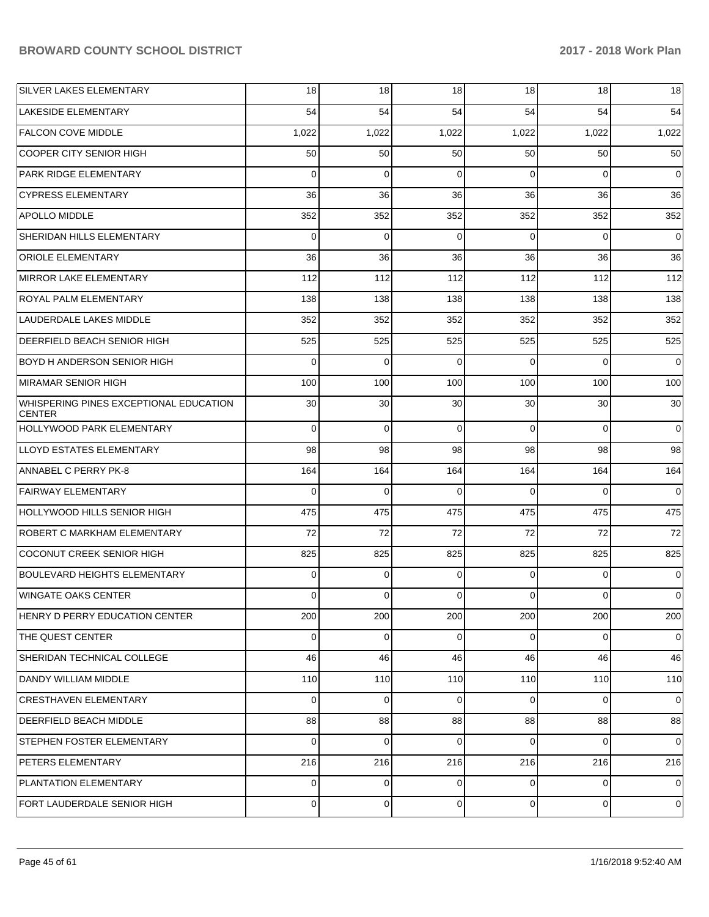| <b>SILVER LAKES ELEMENTARY</b>                          | 18          | 18             | 18          | 18             | 18       | 18          |
|---------------------------------------------------------|-------------|----------------|-------------|----------------|----------|-------------|
| <b>LAKESIDE ELEMENTARY</b>                              | 54          | 54             | 54          | 54             | 54       | 54          |
| <b>FALCON COVE MIDDLE</b>                               | 1,022       | 1,022          | 1,022       | 1,022          | 1,022    | 1,022       |
| COOPER CITY SENIOR HIGH                                 | 50          | 50             | 50          | 50             | 50       | 50          |
| <b>PARK RIDGE ELEMENTARY</b>                            | 0           | 0              | 0           | $\Omega$       | 0        | $\Omega$    |
| <b>CYPRESS ELEMENTARY</b>                               | 36          | 36             | 36          | 36             | 36       | 36          |
| <b>APOLLO MIDDLE</b>                                    | 352         | 352            | 352         | 352            | 352      | 352         |
| SHERIDAN HILLS ELEMENTARY                               | 0           | 0              | 0           | $\Omega$       | 0        | 0           |
| <b>ORIOLE ELEMENTARY</b>                                | 36          | 36             | 36          | 36             | 36       | 36          |
| MIRROR LAKE ELEMENTARY                                  | 112         | 112            | 112         | 112            | 112      | 112         |
| <b>ROYAL PALM ELEMENTARY</b>                            | 138         | 138            | 138         | 138            | 138      | 138         |
| LAUDERDALE LAKES MIDDLE                                 | 352         | 352            | 352         | 352            | 352      | 352         |
| <b>DEERFIELD BEACH SENIOR HIGH</b>                      | 525         | 525            | 525         | 525            | 525      | 525         |
| <b>BOYD H ANDERSON SENIOR HIGH</b>                      | 0           | 0              | 0           | $\Omega$       | 0        | $\mathbf 0$ |
| MIRAMAR SENIOR HIGH                                     | 100         | 100            | 100         | 100            | 100      | 100         |
| WHISPERING PINES EXCEPTIONAL EDUCATION<br><b>CENTER</b> | 30          | 30             | 30          | 30             | 30       | 30          |
| HOLLYWOOD PARK ELEMENTARY                               | $\mathbf 0$ | $\mathbf 0$    | $\Omega$    | $\Omega$       | $\Omega$ | $\mathbf 0$ |
| LLOYD ESTATES ELEMENTARY                                | 98          | 98             | 98          | 98             | 98       | 98          |
| ANNABEL C PERRY PK-8                                    | 164         | 164            | 164         | 164            | 164      | 164         |
| <b>FAIRWAY ELEMENTARY</b>                               | $\Omega$    | $\Omega$       | $\Omega$    | $\Omega$       | $\Omega$ | $\Omega$    |
| HOLLYWOOD HILLS SENIOR HIGH                             | 475         | 475            | 475         | 475            | 475      | 475         |
| ROBERT C MARKHAM ELEMENTARY                             | 72          | 72             | 72          | 72             | 72       | 72          |
| COCONUT CREEK SENIOR HIGH                               | 825         | 825            | 825         | 825            | 825      | 825         |
| BOULEVARD HEIGHTS ELEMENTARY                            | 0           | 0              | $\Omega$    | $\Omega$       | 0        | 0           |
| WINGATE OAKS CENTER                                     | 0           | $\overline{0}$ | 0           | $\overline{0}$ | 0        | 0           |
| HENRY D PERRY EDUCATION CENTER                          | 200         | 200            | 200         | 200            | 200      | 200         |
| THE QUEST CENTER                                        | $\mathbf 0$ | $\overline{0}$ | 0           | $\overline{0}$ | 0        | $\mathbf 0$ |
| SHERIDAN TECHNICAL COLLEGE                              | 46          | 46             | 46          | 46             | 46       | 46          |
| DANDY WILLIAM MIDDLE                                    | 110         | 110            | 110         | 110            | 110      | 110         |
| <b>CRESTHAVEN ELEMENTARY</b>                            | 0           | $\mathbf 0$    | $\Omega$    | $\Omega$       | $\Omega$ | $\mathbf 0$ |
| <b>DEERFIELD BEACH MIDDLE</b>                           | 88          | 88             | 88          | 88             | 88       | 88          |
| <b>STEPHEN FOSTER ELEMENTARY</b>                        | 0           | $\mathbf 0$    | $\Omega$    | $\Omega$       | 0        | $\mathbf 0$ |
| <b>PETERS ELEMENTARY</b>                                | 216         | 216            | 216         | 216            | 216      | 216         |
| PLANTATION ELEMENTARY                                   | $\mathbf 0$ | $\overline{0}$ | $\Omega$    | $\Omega$       | $\Omega$ | 0           |
| FORT LAUDERDALE SENIOR HIGH                             | 0           | $\overline{0}$ | $\mathbf 0$ | $\overline{0}$ | 0        | 0           |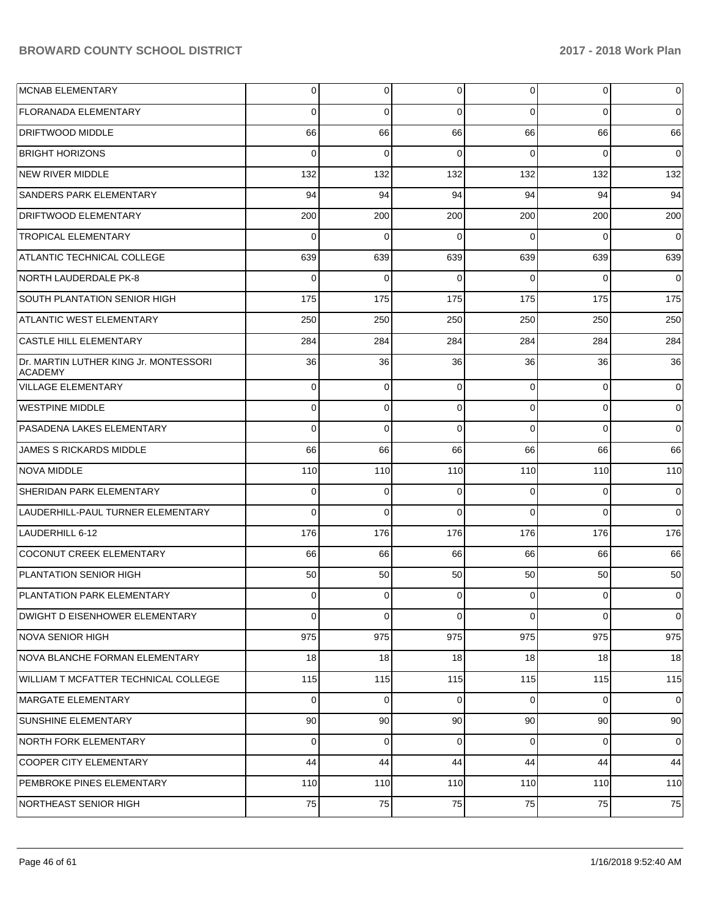| <b>MCNAB ELEMENTARY</b>                                 | 0           | $\overline{0}$ | 0               | $\Omega$       | $\mathbf 0$ | 0           |
|---------------------------------------------------------|-------------|----------------|-----------------|----------------|-------------|-------------|
| <b>FLORANADA ELEMENTARY</b>                             | 0           | 0              | $\Omega$        | 0              | $\Omega$    | 0           |
| <b>DRIFTWOOD MIDDLE</b>                                 | 66          | 66             | 66              | 66             | 66          | 66          |
| <b>BRIGHT HORIZONS</b>                                  | $\Omega$    | $\mathbf 0$    | 0               | $\Omega$       | $\Omega$    | $\mathbf 0$ |
| <b>NEW RIVER MIDDLE</b>                                 | 132         | 132            | 132             | 132            | 132         | 132         |
| SANDERS PARK ELEMENTARY                                 | 94          | 94             | 94              | 94             | 94          | 94          |
| <b>DRIFTWOOD ELEMENTARY</b>                             | 200         | 200            | 200             | 200            | 200         | 200         |
| <b>TROPICAL ELEMENTARY</b>                              | $\Omega$    | 0              | 0               | $\Omega$       | $\Omega$    | 0           |
| ATLANTIC TECHNICAL COLLEGE                              | 639         | 639            | 639             | 639            | 639         | 639         |
| <b>NORTH LAUDERDALE PK-8</b>                            | $\Omega$    | $\mathbf 0$    | 0               | $\Omega$       | $\Omega$    | $\mathbf 0$ |
| <b>SOUTH PLANTATION SENIOR HIGH</b>                     | 175         | 175            | 175             | 175            | 175         | 175         |
| <b>ATLANTIC WEST ELEMENTARY</b>                         | 250         | 250            | 250             | 250            | 250         | 250         |
| <b>CASTLE HILL ELEMENTARY</b>                           | 284         | 284            | 284             | 284            | 284         | 284         |
| Dr. MARTIN LUTHER KING Jr. MONTESSORI<br><b>ACADEMY</b> | 36          | 36             | 36              | 36             | 36          | 36          |
| VILLAGE ELEMENTARY                                      | 0           | 0              | $\Omega$        | $\Omega$       | 0           | 0           |
| <b>WESTPINE MIDDLE</b>                                  | 0           | $\mathbf 0$    | $\Omega$        | 0              | $\Omega$    | $\mathbf 0$ |
| PASADENA LAKES ELEMENTARY                               | $\Omega$    | $\mathbf 0$    | $\Omega$        | 0              | $\Omega$    | $\mathbf 0$ |
| <b>JAMES S RICKARDS MIDDLE</b>                          | 66          | 66             | 66              | 66             | 66          | 66          |
| NOVA MIDDLE                                             | 110         | 110            | 110             | 110            | 110         | 110         |
| SHERIDAN PARK ELEMENTARY                                | 0           | $\mathbf 0$    | $\Omega$        | 0              | $\Omega$    | $\mathbf 0$ |
| LAUDERHILL-PAUL TURNER ELEMENTARY                       | $\Omega$    | $\mathbf 0$    | $\Omega$        | 0              | $\Omega$    | $\mathbf 0$ |
| LAUDERHILL 6-12                                         | 176         | 176            | 176             | 176            | 176         | 176         |
| COCONUT CREEK ELEMENTARY                                | 66          | 66             | 66              | 66             | 66          | 66          |
| <b>PLANTATION SENIOR HIGH</b>                           | 50          | 50             | 50              | 50             | 50          | 50          |
| PLANTATION PARK ELEMENTARY                              | 0           | 0              | 0               | $\overline{0}$ | 0           | 0           |
| <b>DWIGHT D EISENHOWER ELEMENTARY</b>                   | $\Omega$    | $\mathbf 0$    | $\Omega$        | $\Omega$       | $\Omega$    | $\mathbf 0$ |
| NOVA SENIOR HIGH                                        | 975         | 975            | 975             | 975            | 975         | 975         |
| NOVA BLANCHE FORMAN ELEMENTARY                          | 18          | 18             | 18 <sup>1</sup> | 18             | 18          | 18          |
| WILLIAM T MCFATTER TECHNICAL COLLEGE                    | 115         | 115            | 115             | 115            | 115         | 115         |
| <b>MARGATE ELEMENTARY</b>                               | $\mathbf 0$ | $\overline{0}$ | $\Omega$        | $\Omega$       | $\mathbf 0$ | $\Omega$    |
| SUNSHINE ELEMENTARY                                     | 90          | 90             | 90              | 90             | 90          | 90          |
| NORTH FORK ELEMENTARY                                   | $\mathbf 0$ | $\overline{0}$ | $\Omega$        | $\Omega$       | 0           | 0           |
| <b>COOPER CITY ELEMENTARY</b>                           | 44          | 44             | 44              | 44             | 44          | 44          |
| PEMBROKE PINES ELEMENTARY                               | 110         | 110            | 110             | 110            | 110         | 110         |
| NORTHEAST SENIOR HIGH                                   | 75          | 75             | 75              | 75             | 75          | 75          |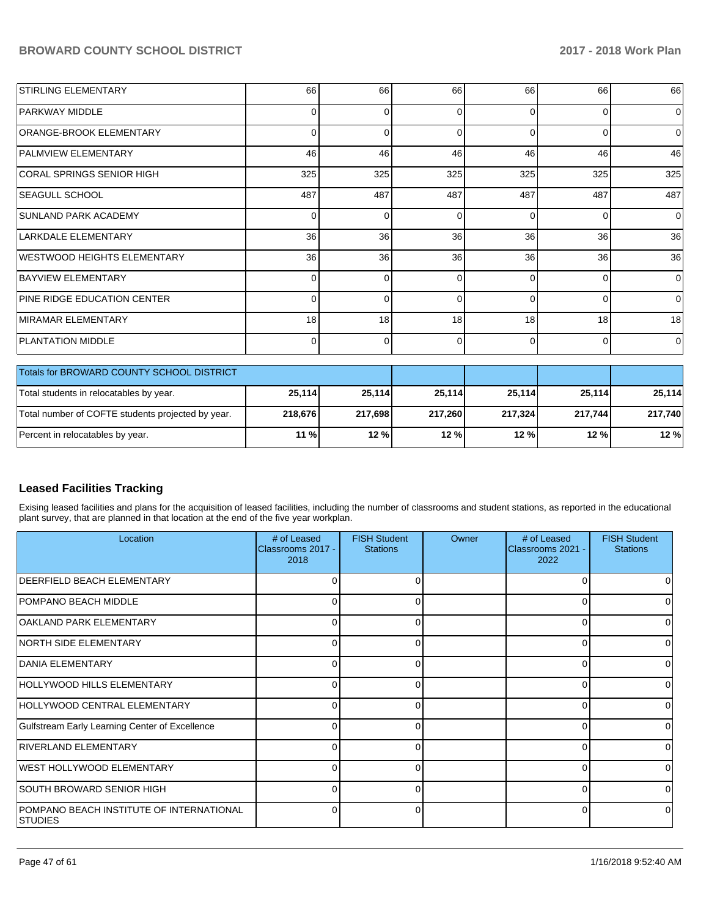| <b>STIRLING ELEMENTARY</b>         | 66              | 66  | 66       | 66       | 66       | 66             |
|------------------------------------|-----------------|-----|----------|----------|----------|----------------|
| PARKWAY MIDDLE                     | $\mathbf 0$     | U   | $\Omega$ | $\Omega$ | $\Omega$ | $\Omega$       |
| ORANGE-BROOK ELEMENTARY            | $\Omega$        |     | $\Omega$ | $\Omega$ | O        | $\Omega$       |
| <b>PALMVIEW ELEMENTARY</b>         | 46              | 46  | 46       | 46       | 46       | 46             |
| CORAL SPRINGS SENIOR HIGH          | 325             | 325 | 325      | 325      | 325      | 325            |
| <b>SEAGULL SCHOOL</b>              | 487             | 487 | 487      | 487      | 487      | 487            |
| SUNLAND PARK ACADEMY               | 0               |     | $\Omega$ | $\Omega$ | $\Omega$ | $\overline{0}$ |
| LARKDALE ELEMENTARY                | 36              | 36  | 36       | 36       | 36       | 36             |
| WESTWOOD HEIGHTS ELEMENTARY        | 36 <sup>1</sup> | 36  | 36       | 36       | 36       | 36             |
| BAYVIEW ELEMENTARY                 | $\Omega$        |     | $\Omega$ | $\Omega$ | $\Omega$ | $\Omega$       |
| <b>PINE RIDGE EDUCATION CENTER</b> | $\Omega$        |     | $\Omega$ | $\Omega$ | $\Omega$ | $\overline{0}$ |
| <b>IMIRAMAR ELEMENTARY</b>         | 18              | 18  | 18       | 18       | 18       | 18             |
| <b>PLANTATION MIDDLE</b>           | $\Omega$        |     | 0        | $\Omega$ | $\Omega$ | $\Omega$       |
|                                    |                 |     |          |          |          |                |

| <b>Totals for BROWARD COUNTY SCHOOL DISTRICT</b>  |         |         |         |         |         |         |
|---------------------------------------------------|---------|---------|---------|---------|---------|---------|
| Total students in relocatables by year.           | 25,114  | 25.114  | 25,114  | 25,114  | 25.114  | 25,114  |
| Total number of COFTE students projected by year. | 218.676 | 217.698 | 217.260 | 217.324 | 217.744 | 217.740 |
| Percent in relocatables by year.                  | 11 %    | 12%     | 12%     | 12%     | 12 %    | 12%     |

#### **Leased Facilities Tracking**

Exising leased facilities and plans for the acquisition of leased facilities, including the number of classrooms and student stations, as reported in the educational plant survey, that are planned in that location at the end of the five year workplan.

| Location                                                    | # of Leased<br>Classrooms 2017 -<br>2018 | <b>FISH Student</b><br><b>Stations</b> | Owner | # of Leased<br>Classrooms 2021 -<br>2022 | <b>FISH Student</b><br><b>Stations</b> |
|-------------------------------------------------------------|------------------------------------------|----------------------------------------|-------|------------------------------------------|----------------------------------------|
| <b>IDEERFIELD BEACH ELEMENTARY</b>                          | 0                                        | 0                                      |       |                                          |                                        |
| <b>POMPANO BEACH MIDDLE</b>                                 |                                          | 0                                      |       |                                          |                                        |
| OAKLAND PARK ELEMENTARY                                     |                                          | n                                      |       |                                          |                                        |
| NORTH SIDE ELEMENTARY                                       | 0                                        | 0                                      |       | ∩                                        |                                        |
| <b>DANIA ELEMENTARY</b>                                     | 0                                        |                                        |       | U                                        |                                        |
| HOLLYWOOD HILLS ELEMENTARY                                  | <sup>0</sup>                             | O                                      |       | ∩                                        |                                        |
| HOLLYWOOD CENTRAL ELEMENTARY                                | 0                                        | 0                                      |       | $\Omega$                                 | 0                                      |
| Gulfstream Early Learning Center of Excellence              |                                          |                                        |       |                                          |                                        |
| RIVERLAND ELEMENTARY                                        | 0                                        | $\Omega$                               |       | U                                        |                                        |
| <b>WEST HOLLYWOOD ELEMENTARY</b>                            | 0                                        |                                        |       | U                                        |                                        |
| SOUTH BROWARD SENIOR HIGH                                   | <sup>0</sup>                             | $\Omega$                               |       | ∩                                        |                                        |
| POMPANO BEACH INSTITUTE OF INTERNATIONAL<br><b>ISTUDIES</b> | 0                                        | 0                                      |       | $\Omega$                                 | 0                                      |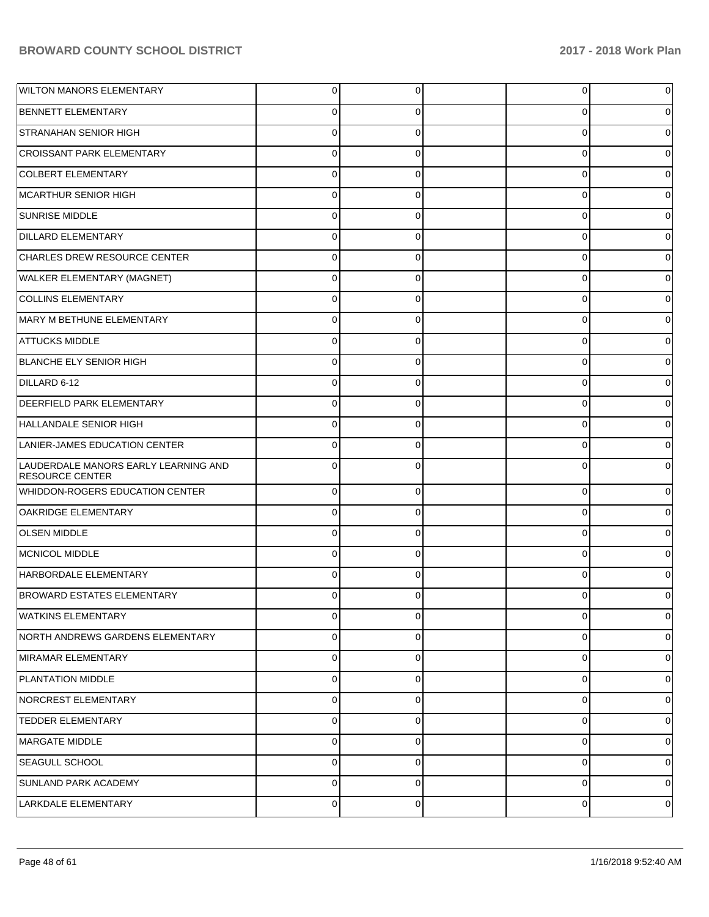| <b>WILTON MANORS ELEMENTARY</b>                                | $\overline{0}$ | 0           | 0           | 0           |
|----------------------------------------------------------------|----------------|-------------|-------------|-------------|
| <b>BENNETT ELEMENTARY</b>                                      | 0              | 0           | 0           | 0           |
| <b>STRANAHAN SENIOR HIGH</b>                                   | $\mathbf 0$    | $\Omega$    | $\Omega$    | 0           |
| <b>CROISSANT PARK ELEMENTARY</b>                               | $\mathbf 0$    | 0           | 0           | 0           |
| <b>COLBERT ELEMENTARY</b>                                      | $\mathbf 0$    | $\Omega$    | 0           | 0           |
| MCARTHUR SENIOR HIGH                                           | $\mathbf 0$    | 0           | 0           | 0           |
| SUNRISE MIDDLE                                                 | $\Omega$       | $\Omega$    | 0           |             |
| <b>DILLARD ELEMENTARY</b>                                      | $\mathbf 0$    | 0           | 0           | 0           |
| CHARLES DREW RESOURCE CENTER                                   | $\mathbf 0$    | $\Omega$    | 0           | 0           |
| WALKER ELEMENTARY (MAGNET)                                     | $\mathbf 0$    | 0           | 0           | 0           |
| <b>COLLINS ELEMENTARY</b>                                      | $\Omega$       | $\Omega$    | 0           |             |
| MARY M BETHUNE ELEMENTARY                                      | $\mathbf 0$    | 0           | 0           | 0           |
| <b>ATTUCKS MIDDLE</b>                                          | $\mathbf 0$    | $\Omega$    | 0           | 0           |
| <b>BLANCHE ELY SENIOR HIGH</b>                                 | $\mathbf 0$    | 0           | 0           | 0           |
| DILLARD 6-12                                                   | $\Omega$       | $\Omega$    | 0           |             |
| <b>DEERFIELD PARK ELEMENTARY</b>                               | $\mathbf 0$    | 0           | 0           | 0           |
| HALLANDALE SENIOR HIGH                                         | $\mathbf 0$    | $\Omega$    | $\Omega$    | 0           |
| LANIER-JAMES EDUCATION CENTER                                  | $\mathbf 0$    | $\Omega$    | 0           | 0           |
| LAUDERDALE MANORS EARLY LEARNING AND<br><b>RESOURCE CENTER</b> | $\Omega$       | $\Omega$    | $\Omega$    |             |
| WHIDDON-ROGERS EDUCATION CENTER                                | $\overline{0}$ | $\Omega$    | $\mathbf 0$ |             |
| OAKRIDGE ELEMENTARY                                            | $\Omega$       | $\Omega$    | 0           |             |
| <b>OLSEN MIDDLE</b>                                            | $\Omega$       | $\Omega$    | $\Omega$    |             |
| MCNICOL MIDDLE                                                 | $\Omega$       | $\Omega$    | 0           |             |
| HARBORDALE ELEMENTARY                                          | $\Omega$       | $\Omega$    | $\Omega$    |             |
| <b>BROWARD ESTATES ELEMENTARY</b>                              | $\Omega$       | 0           | 0           | o           |
| <b>WATKINS ELEMENTARY</b>                                      | $\mathbf 0$    | $\mathbf 0$ | 0           | $\mathbf 0$ |
| NORTH ANDREWS GARDENS ELEMENTARY                               | $\overline{0}$ | $\mathbf 0$ | $\mathbf 0$ | 0           |
| MIRAMAR ELEMENTARY                                             | $\overline{0}$ | $\mathbf 0$ | $\mathbf 0$ | 0           |
| PLANTATION MIDDLE                                              | $\overline{0}$ | $\mathbf 0$ | $\mathbf 0$ | 0           |
| NORCREST ELEMENTARY                                            | $\overline{0}$ | $\mathbf 0$ | $\mathbf 0$ | $\Omega$    |
| <b>TEDDER ELEMENTARY</b>                                       | $\overline{0}$ | $\mathbf 0$ | $\mathbf 0$ | 0           |
| MARGATE MIDDLE                                                 | $\overline{0}$ | $\mathbf 0$ | $\mathbf 0$ | 0           |
| SEAGULL SCHOOL                                                 | $\overline{0}$ | $\mathbf 0$ | $\mathbf 0$ | 0           |
| SUNLAND PARK ACADEMY                                           | $\overline{0}$ | $\mathbf 0$ | $\mathbf 0$ | 0           |
| LARKDALE ELEMENTARY                                            | $\mathbf 0$    | $\mathbf 0$ | 0           | 0           |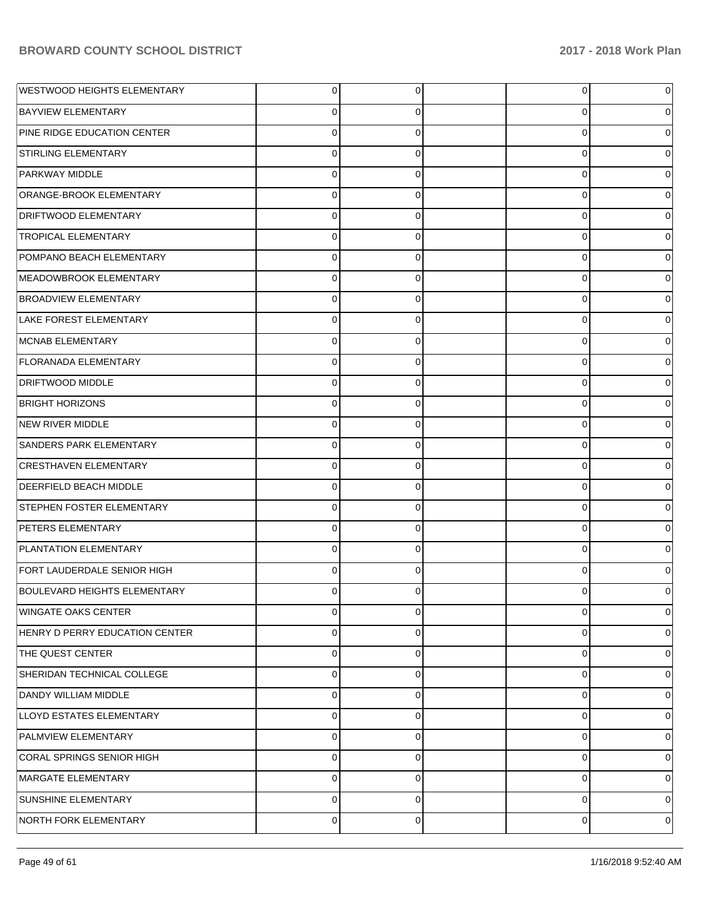| <b>WESTWOOD HEIGHTS ELEMENTARY</b>  | $\overline{0}$ | 0        | 0        | 0 |
|-------------------------------------|----------------|----------|----------|---|
| <b>BAYVIEW ELEMENTARY</b>           | 0              | 0        | 0        | 0 |
| PINE RIDGE EDUCATION CENTER         | $\overline{0}$ | $\Omega$ | 0        | 0 |
| <b>STIRLING ELEMENTARY</b>          | $\overline{0}$ | 0        | 0        | 0 |
| PARKWAY MIDDLE                      | $\overline{0}$ | $\Omega$ | 0        | 0 |
| ORANGE-BROOK ELEMENTARY             | $\overline{0}$ | 0        | 0        | 0 |
| DRIFTWOOD ELEMENTARY                | $\mathbf 0$    | $\Omega$ | $\Omega$ | 0 |
| <b>TROPICAL ELEMENTARY</b>          | $\overline{0}$ | 0        | 0        | 0 |
| POMPANO BEACH ELEMENTARY            | $\overline{0}$ | $\Omega$ | 0        | 0 |
| MEADOWBROOK ELEMENTARY              | $\overline{0}$ | 0        | 0        | 0 |
| <b>BROADVIEW ELEMENTARY</b>         | $\mathbf 0$    | $\Omega$ | $\Omega$ | 0 |
| LAKE FOREST ELEMENTARY              | $\overline{0}$ | 0        | 0        | 0 |
| MCNAB ELEMENTARY                    | $\overline{0}$ | $\Omega$ | 0        | 0 |
| <b>FLORANADA ELEMENTARY</b>         | $\overline{0}$ | 0        | 0        | 0 |
| <b>DRIFTWOOD MIDDLE</b>             | $\mathbf 0$    | $\Omega$ | $\Omega$ | 0 |
| <b>BRIGHT HORIZONS</b>              | $\mathbf 0$    | 0        | 0        | 0 |
| NEW RIVER MIDDLE                    | $\overline{0}$ | $\Omega$ | 0        | 0 |
| <b>SANDERS PARK ELEMENTARY</b>      | $\overline{0}$ | 0        | 0        | 0 |
| <b>CRESTHAVEN ELEMENTARY</b>        | $\mathbf 0$    | $\Omega$ | $\Omega$ | 0 |
| <b>DEERFIELD BEACH MIDDLE</b>       | $\mathbf 0$    | 0        | 0        | 0 |
| <b>STEPHEN FOSTER ELEMENTARY</b>    | $\overline{0}$ | $\Omega$ | $\Omega$ | 0 |
| PETERS ELEMENTARY                   | $\overline{0}$ | 0        | 0        | 0 |
| PLANTATION ELEMENTARY               | $\Omega$       | $\Omega$ | $\Omega$ | 0 |
| FORT LAUDERDALE SENIOR HIGH         | $\Omega$       | $\Omega$ | $\Omega$ | 0 |
| <b>BOULEVARD HEIGHTS ELEMENTARY</b> | 0              | 0        | 0        |   |
| WINGATE OAKS CENTER                 | $\overline{0}$ | 0        | 0        | 0 |
| HENRY D PERRY EDUCATION CENTER      | $\mathbf 0$    | $\Omega$ | 0        | 0 |
| THE QUEST CENTER                    | $\mathbf 0$    | $\Omega$ | 0        | 0 |
| SHERIDAN TECHNICAL COLLEGE          | $\mathbf 0$    | $\Omega$ | 0        | 0 |
| DANDY WILLIAM MIDDLE                | $\mathbf 0$    | $\Omega$ | 0        | 0 |
| LLOYD ESTATES ELEMENTARY            | $\mathbf 0$    | $\Omega$ | 0        | 0 |
| PALMVIEW ELEMENTARY                 | $\mathbf 0$    | $\Omega$ | 0        | 0 |
| CORAL SPRINGS SENIOR HIGH           | $\mathbf 0$    | $\Omega$ | 0        | 0 |
| MARGATE ELEMENTARY                  | $\mathbf 0$    | $\Omega$ | 0        | 0 |
| SUNSHINE ELEMENTARY                 | $\mathbf 0$    | $\Omega$ | 0        | 0 |
| NORTH FORK ELEMENTARY               | $\overline{0}$ | 0        | 0        | 0 |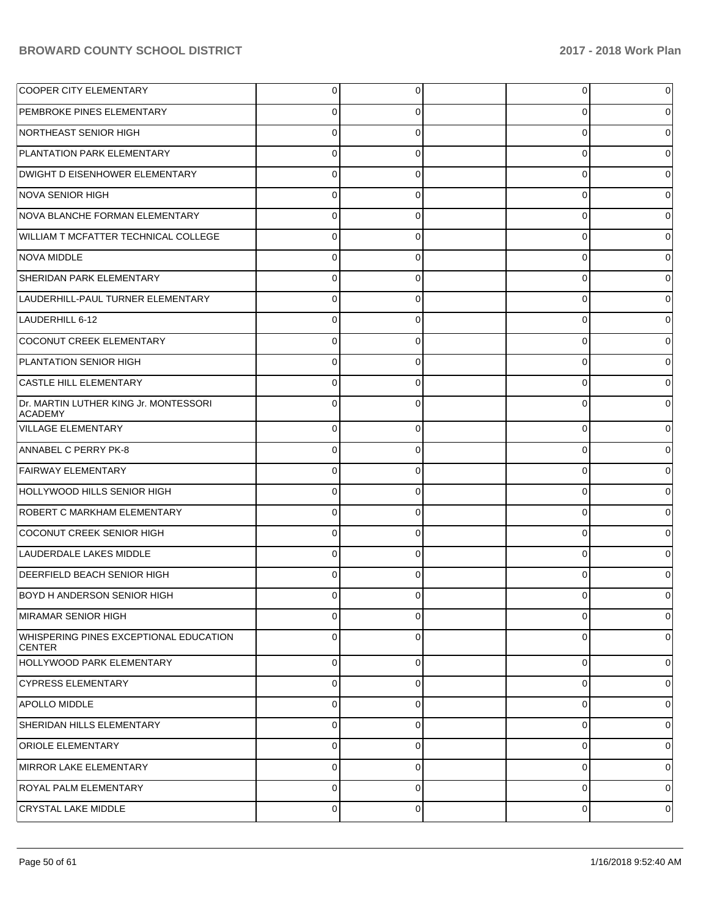| <b>COOPER CITY ELEMENTARY</b>                           | $\overline{0}$ | 0           | $\overline{0}$ | 0 |
|---------------------------------------------------------|----------------|-------------|----------------|---|
| <b>PEMBROKE PINES ELEMENTARY</b>                        | 0              | 0           | 0              |   |
| NORTHEAST SENIOR HIGH                                   | $\Omega$       | 0           | 0              |   |
| PLANTATION PARK ELEMENTARY                              | $\Omega$       | $\Omega$    | 0              | 0 |
| DWIGHT D EISENHOWER ELEMENTARY                          | $\Omega$       | 0           | 0              |   |
| NOVA SENIOR HIGH                                        | $\Omega$       | 0           | 0              |   |
| NOVA BLANCHE FORMAN ELEMENTARY                          | $\Omega$       | 0           | 0              |   |
| WILLIAM T MCFATTER TECHNICAL COLLEGE                    | $\Omega$       | $\Omega$    | 0              |   |
| <b>NOVA MIDDLE</b>                                      | $\Omega$       | 0           | 0              |   |
| SHERIDAN PARK ELEMENTARY                                | $\Omega$       | $\Omega$    | 0              |   |
| LAUDERHILL-PAUL TURNER ELEMENTARY                       | $\Omega$       | 0           | 0              |   |
| LAUDERHILL 6-12                                         | $\Omega$       | $\Omega$    | 0              |   |
| COCONUT CREEK ELEMENTARY                                | $\Omega$       | 0           | 0              |   |
| PLANTATION SENIOR HIGH                                  | $\Omega$       | $\Omega$    | 0              | 0 |
| <b>CASTLE HILL ELEMENTARY</b>                           | 0              | 0           | 0              |   |
| Dr. MARTIN LUTHER KING Jr. MONTESSORI<br><b>ACADEMY</b> | $\Omega$       | 0           | $\Omega$       |   |
| <b>VILLAGE ELEMENTARY</b>                               | $\Omega$       | 0           | 0              |   |
| ANNABEL C PERRY PK-8                                    | $\Omega$       | 0           | 0              |   |
| <b>FAIRWAY ELEMENTARY</b>                               | $\Omega$       | 0           | 0              |   |
| HOLLYWOOD HILLS SENIOR HIGH                             | $\Omega$       | 0           | $\Omega$       |   |
| <b>ROBERT C MARKHAM ELEMENTARY</b>                      | $\Omega$       | 0           | 0              |   |
| COCONUT CREEK SENIOR HIGH                               | $\Omega$       | 0           | 0              |   |
| LAUDERDALE LAKES MIDDLE                                 | $\Omega$       | 0           | 0              |   |
| <b>DEERFIELD BEACH SENIOR HIGH</b>                      | $\Omega$       | 0           | $\Omega$       |   |
| <b>BOYD H ANDERSON SENIOR HIGH</b>                      | 0              | 0           | 0              | 0 |
| MIRAMAR SENIOR HIGH                                     | 0              | 0           | 0              | 0 |
| WHISPERING PINES EXCEPTIONAL EDUCATION<br><b>CENTER</b> | 0              | $\mathbf 0$ | 0              | 0 |
| HOLLYWOOD PARK ELEMENTARY                               | 0              | 0           | 0              | 0 |
| <b>CYPRESS ELEMENTARY</b>                               | $\mathbf 0$    | $\Omega$    | 0              | 0 |
| <b>APOLLO MIDDLE</b>                                    | $\mathbf 0$    | 0           | 0              | 0 |
| SHERIDAN HILLS ELEMENTARY                               | 0              | 0           | 0              | 0 |
| <b>ORIOLE ELEMENTARY</b>                                | 0              | 0           | 0              | 0 |
| MIRROR LAKE ELEMENTARY                                  | $\mathbf 0$    | $\Omega$    | 0              | 0 |
| <b>ROYAL PALM ELEMENTARY</b>                            | $\mathbf 0$    | 0           | 0              | 0 |
| <b>CRYSTAL LAKE MIDDLE</b>                              | 0              | 0           | 0              | 0 |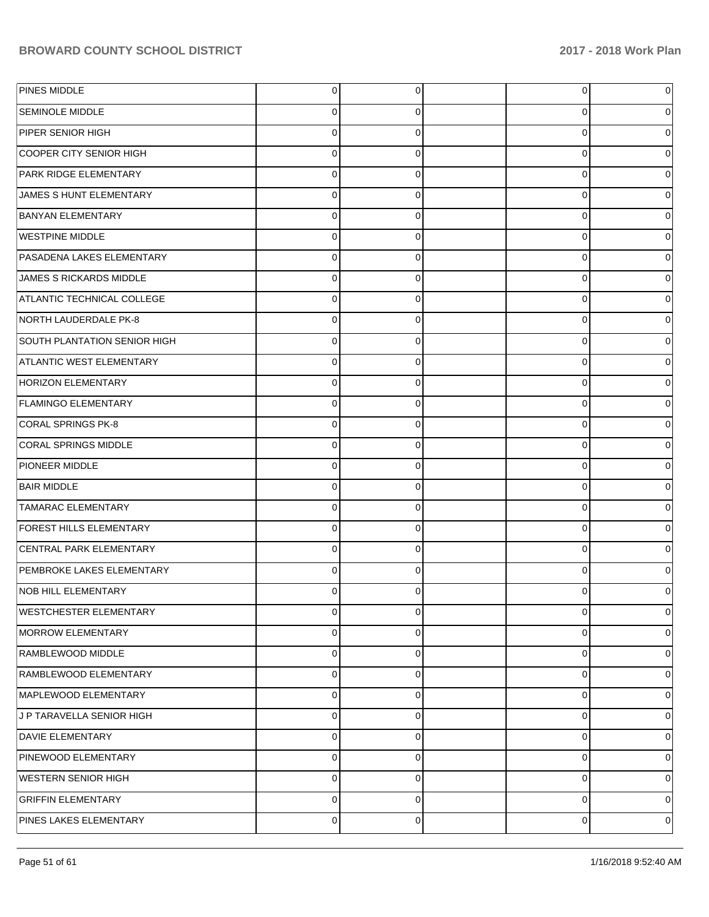| PINES MIDDLE                        | $\overline{0}$ | 0        | $\overline{0}$ |   |
|-------------------------------------|----------------|----------|----------------|---|
| <b>SEMINOLE MIDDLE</b>              | $\mathbf 0$    | 0        | 0              |   |
| PIPER SENIOR HIGH                   | $\mathbf 0$    | $\Omega$ | 0              |   |
| COOPER CITY SENIOR HIGH             | $\mathbf 0$    | 0        | 0              |   |
| <b>PARK RIDGE ELEMENTARY</b>        | $\mathbf 0$    | $\Omega$ | 0              |   |
| JAMES S HUNT ELEMENTARY             | $\mathbf 0$    | 0        | 0              |   |
| <b>BANYAN ELEMENTARY</b>            | $\mathbf 0$    | 0        | 0              |   |
| <b>WESTPINE MIDDLE</b>              | $\mathbf 0$    | 0        | 0              |   |
| PASADENA LAKES ELEMENTARY           | $\mathbf 0$    | 0        | 0              |   |
| <b>JAMES S RICKARDS MIDDLE</b>      | $\mathbf 0$    | 0        | 0              |   |
| ATLANTIC TECHNICAL COLLEGE          | $\mathbf 0$    | 0        | 0              |   |
| NORTH LAUDERDALE PK-8               | $\mathbf 0$    | 0        | 0              |   |
| <b>SOUTH PLANTATION SENIOR HIGH</b> | $\mathbf 0$    | 0        | 0              |   |
| <b>ATLANTIC WEST ELEMENTARY</b>     | $\mathbf 0$    | 0        | 0              |   |
| <b>HORIZON ELEMENTARY</b>           | $\mathbf 0$    | 0        | 0              |   |
| <b>FLAMINGO ELEMENTARY</b>          | $\mathbf 0$    | 0        | 0              |   |
| CORAL SPRINGS PK-8                  | $\mathbf 0$    | 0        | 0              |   |
| CORAL SPRINGS MIDDLE                | $\mathbf 0$    | 0        | 0              |   |
| PIONEER MIDDLE                      | $\mathbf 0$    | 0        | 0              |   |
| <b>BAIR MIDDLE</b>                  | $\mathbf 0$    | 0        | 0              |   |
| <b>TAMARAC ELEMENTARY</b>           | $\mathbf 0$    | 0        | 0              |   |
| <b>FOREST HILLS ELEMENTARY</b>      | $\mathbf 0$    | 0        | 0              |   |
| <b>CENTRAL PARK ELEMENTARY</b>      | $\mathbf 0$    | 0        | 0              |   |
| PEMBROKE LAKES ELEMENTARY           | $\mathbf 0$    | 0        | 0              |   |
| <b>NOB HILL ELEMENTARY</b>          | $\Omega$       | 0        | 0              |   |
| <b>WESTCHESTER ELEMENTARY</b>       | $\mathbf 0$    | 0        | 0              | 0 |
| MORROW ELEMENTARY                   | 0              | 0        | 0              | 0 |
| RAMBLEWOOD MIDDLE                   | $\pmb{0}$      | 0        | 0              | 0 |
| RAMBLEWOOD ELEMENTARY               | $\pmb{0}$      | 0        | 0              | 0 |
| MAPLEWOOD ELEMENTARY                | $\pmb{0}$      | 0        | 0              | 0 |
| J P TARAVELLA SENIOR HIGH           | $\pmb{0}$      | 0        | 0              | 0 |
| <b>DAVIE ELEMENTARY</b>             | $\pmb{0}$      | 0        | 0              | 0 |
| PINEWOOD ELEMENTARY                 | $\pmb{0}$      | 0        | 0              | 0 |
| <b>WESTERN SENIOR HIGH</b>          | $\pmb{0}$      | 0        | 0              | 0 |
| <b>GRIFFIN ELEMENTARY</b>           | $\pmb{0}$      | 0        | 0              | 0 |
| PINES LAKES ELEMENTARY              | $\mathbf 0$    | 0        | 0              | 0 |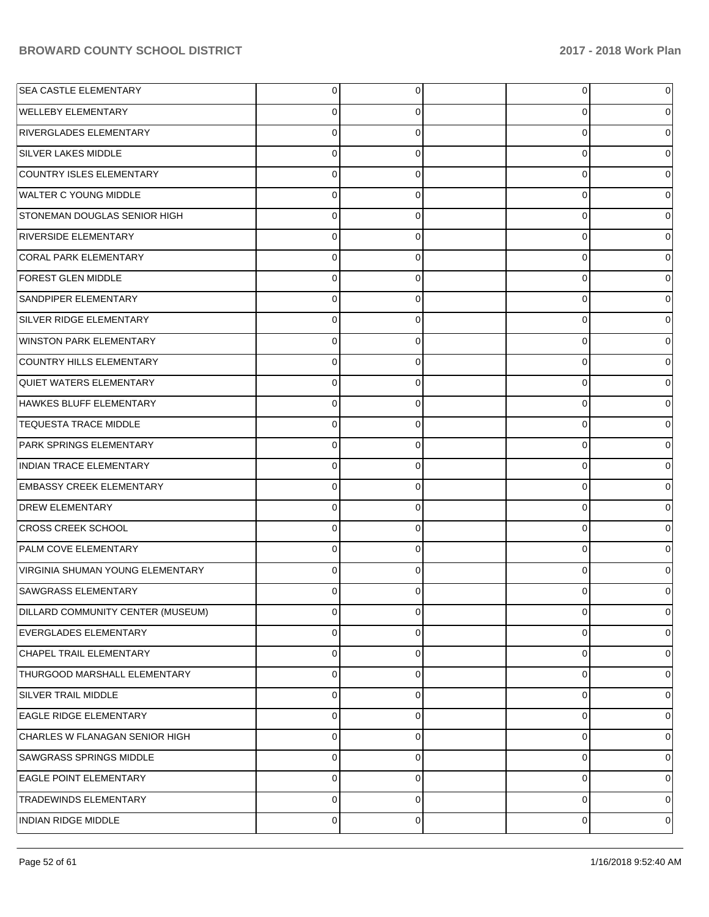| <b>SEA CASTLE ELEMENTARY</b>      | 0 | 0           | 0           | 0        |
|-----------------------------------|---|-------------|-------------|----------|
| <b>WELLEBY ELEMENTARY</b>         | 0 | 0           | 0           | 0        |
| RIVERGLADES ELEMENTARY            | 0 | 0           | 0           | 0        |
| <b>SILVER LAKES MIDDLE</b>        | 0 | 0           | 0           | 0        |
| COUNTRY ISLES ELEMENTARY          | 0 | 0           | 0           | $\Omega$ |
| <b>WALTER C YOUNG MIDDLE</b>      | 0 | 0           | 0           | 0        |
| STONEMAN DOUGLAS SENIOR HIGH      | 0 | 0           | 0           | 0        |
| <b>RIVERSIDE ELEMENTARY</b>       | 0 | 0           | 0           | 0        |
| CORAL PARK ELEMENTARY             | 0 | 0           | 0           | 0        |
| <b>FOREST GLEN MIDDLE</b>         | 0 | 0           | 0           | 0        |
| <b>SANDPIPER ELEMENTARY</b>       | 0 | 0           | 0           | $\Omega$ |
| SILVER RIDGE ELEMENTARY           | 0 | 0           | 0           | 0        |
| <b>WINSTON PARK ELEMENTARY</b>    | 0 | 0           | 0           | 0        |
| COUNTRY HILLS ELEMENTARY          | 0 | 0           | 0           | 0        |
| <b>QUIET WATERS ELEMENTARY</b>    | 0 | 0           | 0           | $\Omega$ |
| HAWKES BLUFF ELEMENTARY           | 0 | 0           | 0           | 0        |
| <b>TEQUESTA TRACE MIDDLE</b>      | 0 | 0           | 0           | $\Omega$ |
| <b>PARK SPRINGS ELEMENTARY</b>    | 0 | 0           | 0           | 0        |
| <b>INDIAN TRACE ELEMENTARY</b>    | 0 | 0           | $\mathbf 0$ | 0        |
| <b>EMBASSY CREEK ELEMENTARY</b>   | 0 | 0           | 0           | 0        |
| <b>DREW ELEMENTARY</b>            | 0 | 0           | 0           | $\Omega$ |
| <b>CROSS CREEK SCHOOL</b>         | 0 | 0           | 0           | 0        |
| <b>PALM COVE ELEMENTARY</b>       | 0 | $\mathbf 0$ | 0           | 0        |
| VIRGINIA SHUMAN YOUNG ELEMENTARY  | 0 | 0           | 0           | 0        |
| <b>SAWGRASS ELEMENTARY</b>        |   | 0           | 0           |          |
| DILLARD COMMUNITY CENTER (MUSEUM) | 0 | 0           | 0           | 0        |
| EVERGLADES ELEMENTARY             | 0 | 0           | 0           | 0        |
| CHAPEL TRAIL ELEMENTARY           | 0 | $\mathbf 0$ | 0           | 0        |
| THURGOOD MARSHALL ELEMENTARY      | 0 | 0           | 0           | 0        |
| SILVER TRAIL MIDDLE               | 0 | $\mathbf 0$ | 0           | 0        |
| <b>EAGLE RIDGE ELEMENTARY</b>     | 0 | 0           | 0           | 0        |
| CHARLES W FLANAGAN SENIOR HIGH    | 0 | $\mathbf 0$ | 0           | 0        |
| <b>SAWGRASS SPRINGS MIDDLE</b>    | 0 | 0           | 0           | 0        |
| <b>EAGLE POINT ELEMENTARY</b>     | 0 | 0           | 0           | 0        |
| <b>TRADEWINDS ELEMENTARY</b>      | 0 | 0           | 0           | 0        |
| INDIAN RIDGE MIDDLE               | 0 | 0           | 0           | 0        |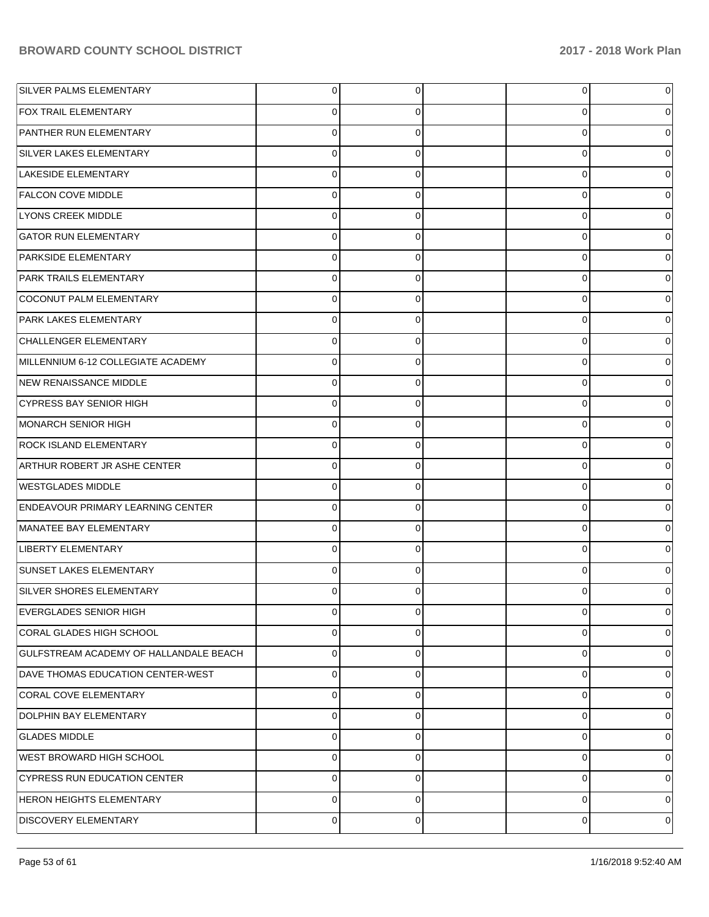| SILVER PALMS ELEMENTARY                  | $\overline{0}$ | $\overline{0}$ | 0 | 0 |
|------------------------------------------|----------------|----------------|---|---|
| <b>FOX TRAIL ELEMENTARY</b>              | 0              | 0              | 0 | 0 |
| PANTHER RUN ELEMENTARY                   | $\mathbf 0$    | 0              | 0 | 0 |
| SILVER LAKES ELEMENTARY                  | $\Omega$       | 0              | 0 | 0 |
| LAKESIDE ELEMENTARY                      | $\mathbf 0$    | 0              | 0 | 0 |
| <b>FALCON COVE MIDDLE</b>                | 0              | 0              | 0 | 0 |
| <b>LYONS CREEK MIDDLE</b>                | 0              | 0              | 0 | 0 |
| <b>GATOR RUN ELEMENTARY</b>              | $\Omega$       | 0              | 0 | 0 |
| PARKSIDE ELEMENTARY                      | 0              | 0              | 0 | 0 |
| PARK TRAILS ELEMENTARY                   | 0              | 0              | 0 | 0 |
| COCONUT PALM ELEMENTARY                  | 0              | 0              | 0 | 0 |
| PARK LAKES ELEMENTARY                    | 0              | 0              | 0 | 0 |
| CHALLENGER ELEMENTARY                    | 0              | 0              | 0 | 0 |
| MILLENNIUM 6-12 COLLEGIATE ACADEMY       | $\Omega$       | 0              | 0 | 0 |
| NEW RENAISSANCE MIDDLE                   | 0              | 0              | 0 | 0 |
| <b>CYPRESS BAY SENIOR HIGH</b>           | 0              | 0              | 0 | 0 |
| MONARCH SENIOR HIGH                      | 0              | 0              | 0 | 0 |
| <b>ROCK ISLAND ELEMENTARY</b>            | $\Omega$       | 0              | 0 | 0 |
| ARTHUR ROBERT JR ASHE CENTER             | 0              | 0              | 0 | 0 |
| <b>WESTGLADES MIDDLE</b>                 | $\Omega$       | 0              | 0 | 0 |
| <b>ENDEAVOUR PRIMARY LEARNING CENTER</b> | 0              | 0              | 0 | 0 |
| MANATEE BAY ELEMENTARY                   | 0              | 0              | 0 | 0 |
| <b>LIBERTY ELEMENTARY</b>                | 0              | 0              | 0 | 0 |
| <b>SUNSET LAKES ELEMENTARY</b>           | $\Omega$       | 0              | 0 | 0 |
| <b>SILVER SHORES ELEMENTARY</b>          |                | 0              | 0 | 0 |
| <b>EVERGLADES SENIOR HIGH</b>            | $\overline{0}$ | $\overline{0}$ | 0 | 0 |
| CORAL GLADES HIGH SCHOOL                 | 0              | 0              | 0 | 0 |
| GULFSTREAM ACADEMY OF HALLANDALE BEACH   | 0              | 0              | 0 | 0 |
| DAVE THOMAS EDUCATION CENTER-WEST        | $\mathbf 0$    | 0              | 0 | 0 |
| CORAL COVE ELEMENTARY                    | 0              | 0              | 0 | 0 |
| DOLPHIN BAY ELEMENTARY                   | 0              | 0              | 0 | 0 |
| <b>GLADES MIDDLE</b>                     | 0              | 0              | 0 | 0 |
| WEST BROWARD HIGH SCHOOL                 | 0              | 0              | 0 | 0 |
| <b>CYPRESS RUN EDUCATION CENTER</b>      | 0              | 0              | 0 | 0 |
| <b>HERON HEIGHTS ELEMENTARY</b>          | 0              | 0              | 0 | 0 |
| <b>DISCOVERY ELEMENTARY</b>              | 0              | 0              | 0 | 0 |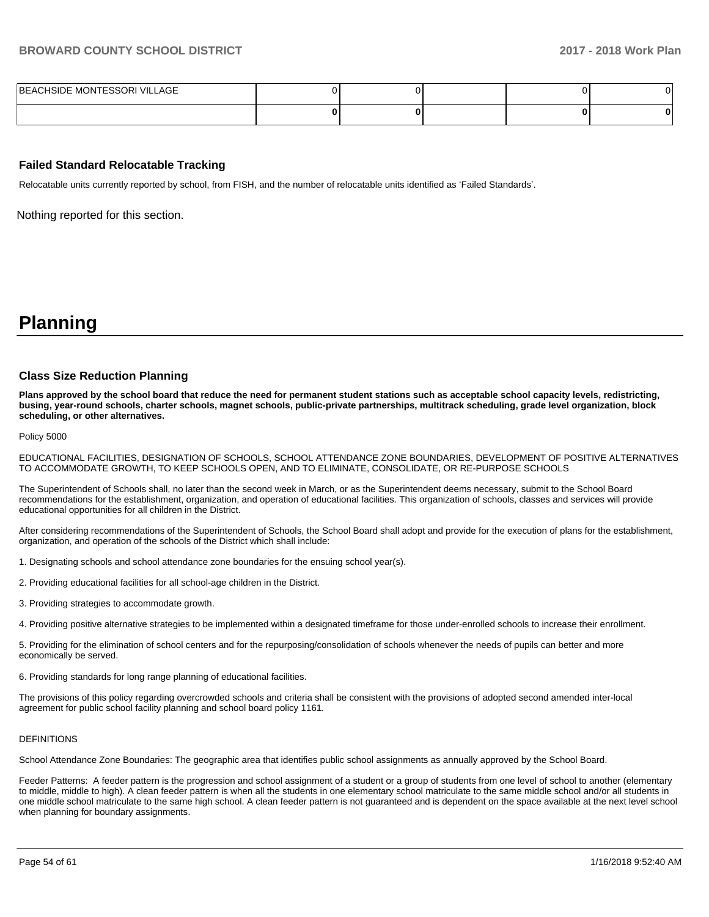| BEACHSIDE MONTESSORI VILLAGE |  |  |  |
|------------------------------|--|--|--|
|                              |  |  |  |

#### **Failed Standard Relocatable Tracking**

Relocatable units currently reported by school, from FISH, and the number of relocatable units identified as 'Failed Standards'.

Nothing reported for this section.

# **Planning**

#### **Class Size Reduction Planning**

**Plans approved by the school board that reduce the need for permanent student stations such as acceptable school capacity levels, redistricting, busing, year-round schools, charter schools, magnet schools, public-private partnerships, multitrack scheduling, grade level organization, block scheduling, or other alternatives.**

Policy 5000

EDUCATIONAL FACILITIES, DESIGNATION OF SCHOOLS, SCHOOL ATTENDANCE ZONE BOUNDARIES, DEVELOPMENT OF POSITIVE ALTERNATIVES TO ACCOMMODATE GROWTH, TO KEEP SCHOOLS OPEN, AND TO ELIMINATE, CONSOLIDATE, OR RE-PURPOSE SCHOOLS

The Superintendent of Schools shall, no later than the second week in March, or as the Superintendent deems necessary, submit to the School Board recommendations for the establishment, organization, and operation of educational facilities. This organization of schools, classes and services will provide educational opportunities for all children in the District.

After considering recommendations of the Superintendent of Schools, the School Board shall adopt and provide for the execution of plans for the establishment, organization, and operation of the schools of the District which shall include:

- 1. Designating schools and school attendance zone boundaries for the ensuing school year(s).
- 2. Providing educational facilities for all school-age children in the District.
- 3. Providing strategies to accommodate growth.
- 4. Providing positive alternative strategies to be implemented within a designated timeframe for those under-enrolled schools to increase their enrollment.

5. Providing for the elimination of school centers and for the repurposing/consolidation of schools whenever the needs of pupils can better and more economically be served.

6. Providing standards for long range planning of educational facilities.

The provisions of this policy regarding overcrowded schools and criteria shall be consistent with the provisions of adopted second amended inter-local agreement for public school facility planning and school board policy 1161.

#### DEFINITIONS

School Attendance Zone Boundaries: The geographic area that identifies public school assignments as annually approved by the School Board.

Feeder Patterns: A feeder pattern is the progression and school assignment of a student or a group of students from one level of school to another (elementary to middle, middle to high). A clean feeder pattern is when all the students in one elementary school matriculate to the same middle school and/or all students in one middle school matriculate to the same high school. A clean feeder pattern is not guaranteed and is dependent on the space available at the next level school when planning for boundary assignments.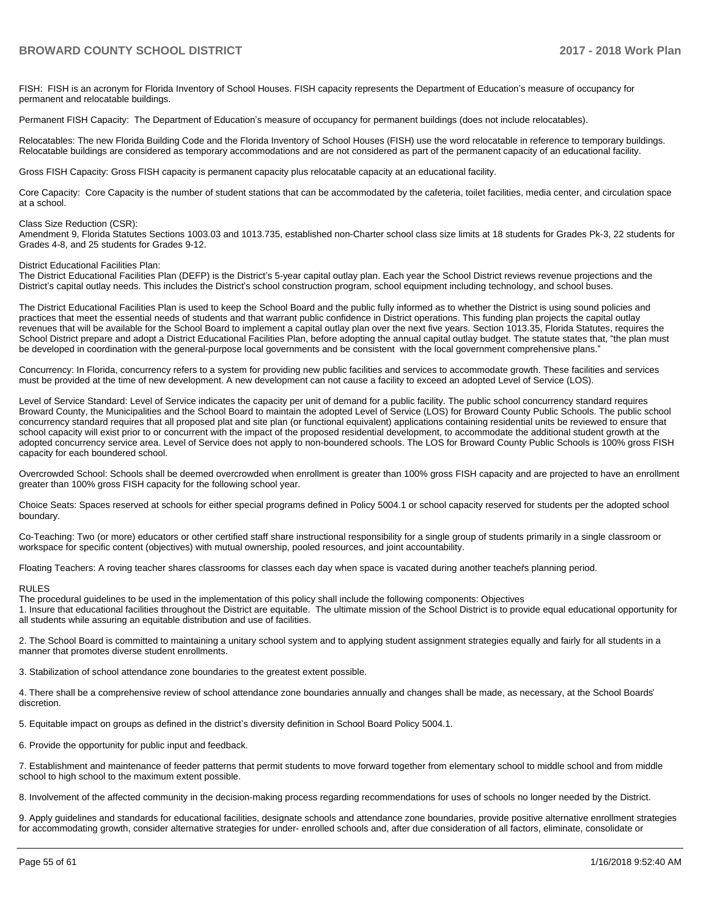FISH: FISH is an acronym for Florida Inventory of School Houses. FISH capacity represents the Department of Education's measure of occupancy for permanent and relocatable buildings.

Permanent FISH Capacity: The Department of Education's measure of occupancy for permanent buildings (does not include relocatables).

Relocatables: The new Florida Building Code and the Florida Inventory of School Houses (FISH) use the word relocatable in reference to temporary buildings. Relocatable buildings are considered as temporary accommodations and are not considered as part of the permanent capacity of an educational facility.

Gross FISH Capacity: Gross FISH capacity is permanent capacity plus relocatable capacity at an educational facility.

Core Capacity: Core Capacity is the number of student stations that can be accommodated by the cafeteria, toilet facilities, media center, and circulation space at a school.

#### Class Size Reduction (CSR):

Amendment 9, Florida Statutes Sections 1003.03 and 1013.735, established non-Charter school class size limits at 18 students for Grades Pk-3, 22 students for Grades 4-8, and 25 students for Grades 9-12.

#### District Educational Facilities Plan:

The District Educational Facilities Plan (DEFP) is the District's 5-year capital outlay plan. Each year the School District reviews revenue projections and the District's capital outlay needs. This includes the District's school construction program, school equipment including technology, and school buses.

The District Educational Facilities Plan is used to keep the School Board and the public fully informed as to whether the District is using sound policies and practices that meet the essential needs of students and that warrant public confidence in District operations. This funding plan projects the capital outlay revenues that will be available for the School Board to implement a capital outlay plan over the next five years. Section 1013.35, Florida Statutes, requires the School District prepare and adopt a District Educational Facilities Plan, before adopting the annual capital outlay budget. The statute states that, "the plan must be developed in coordination with the general-purpose local governments and be consistent with the local government comprehensive plans."

Concurrency: In Florida, concurrency refers to a system for providing new public facilities and services to accommodate growth. These facilities and services must be provided at the time of new development. A new development can not cause a facility to exceed an adopted Level of Service (LOS).

Level of Service Standard: Level of Service indicates the capacity per unit of demand for a public facility. The public school concurrency standard requires Broward County, the Municipalities and the School Board to maintain the adopted Level of Service (LOS) for Broward County Public Schools. The public school concurrency standard requires that all proposed plat and site plan (or functional equivalent) applications containing residential units be reviewed to ensure that school capacity will exist prior to or concurrent with the impact of the proposed residential development, to accommodate the additional student growth at the adopted concurrency service area. Level of Service does not apply to non-boundered schools. The LOS for Broward County Public Schools is 100% gross FISH capacity for each boundered school.

Overcrowded School: Schools shall be deemed overcrowded when enrollment is greater than 100% gross FISH capacity and are projected to have an enrollment greater than 100% gross FISH capacity for the following school year.

Choice Seats: Spaces reserved at schools for either special programs defined in Policy 5004.1 or school capacity reserved for students per the adopted school boundary.

Co-Teaching: Two (or more) educators or other certified staff share instructional responsibility for a single group of students primarily in a single classroom or workspace for specific content (objectives) with mutual ownership, pooled resources, and joint accountability.

Floating Teachers: A roving teacher shares classrooms for classes each day when space is vacated during another teachers planning period.

#### RULES

The procedural guidelines to be used in the implementation of this policy shall include the following components: Objectives

1. Insure that educational facilities throughout the District are equitable. The ultimate mission of the School District is to provide equal educational opportunity for all students while assuring an equitable distribution and use of facilities.

2. The School Board is committed to maintaining a unitary school system and to applying student assignment strategies equally and fairly for all students in a manner that promotes diverse student enrollments.

3. Stabilization of school attendance zone boundaries to the greatest extent possible.

4. There shall be a comprehensive review of school attendance zone boundaries annually and changes shall be made, as necessary, at the School Boards' discretion.

5. Equitable impact on groups as defined in the district's diversity definition in School Board Policy 5004.1.

6. Provide the opportunity for public input and feedback.

7. Establishment and maintenance of feeder patterns that permit students to move forward together from elementary school to middle school and from middle school to high school to the maximum extent possible.

8. Involvement of the affected community in the decision-making process regarding recommendations for uses of schools no longer needed by the District.

9. Apply guidelines and standards for educational facilities, designate schools and attendance zone boundaries, provide positive alternative enrollment strategies for accommodating growth, consider alternative strategies for under- enrolled schools and, after due consideration of all factors, eliminate, consolidate or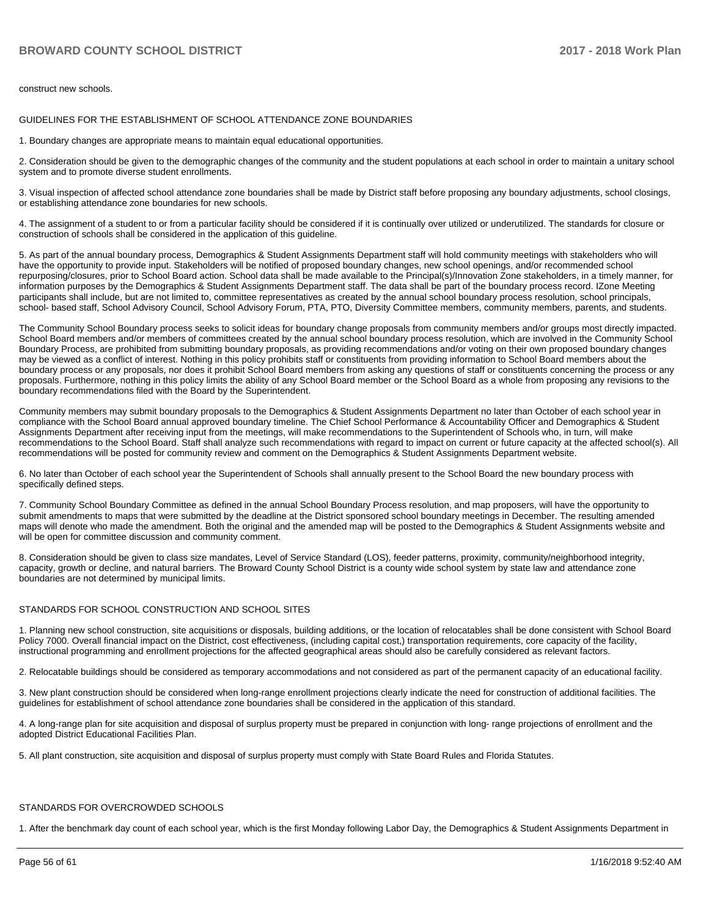construct new schools.

GUIDELINES FOR THE ESTABLISHMENT OF SCHOOL ATTENDANCE ZONE BOUNDARIES

1. Boundary changes are appropriate means to maintain equal educational opportunities.

2. Consideration should be given to the demographic changes of the community and the student populations at each school in order to maintain a unitary school system and to promote diverse student enrollments.

3. Visual inspection of affected school attendance zone boundaries shall be made by District staff before proposing any boundary adjustments, school closings, or establishing attendance zone boundaries for new schools.

4. The assignment of a student to or from a particular facility should be considered if it is continually over utilized or underutilized. The standards for closure or construction of schools shall be considered in the application of this guideline.

5. As part of the annual boundary process, Demographics & Student Assignments Department staff will hold community meetings with stakeholders who will have the opportunity to provide input. Stakeholders will be notified of proposed boundary changes, new school openings, and/or recommended school repurposing/closures, prior to School Board action. School data shall be made available to the Principal(s)/Innovation Zone stakeholders, in a timely manner, for information purposes by the Demographics & Student Assignments Department staff. The data shall be part of the boundary process record. IZone Meeting participants shall include, but are not limited to, committee representatives as created by the annual school boundary process resolution, school principals, school- based staff, School Advisory Council, School Advisory Forum, PTA, PTO, Diversity Committee members, community members, parents, and students.

The Community School Boundary process seeks to solicit ideas for boundary change proposals from community members and/or groups most directly impacted. School Board members and/or members of committees created by the annual school boundary process resolution, which are involved in the Community School Boundary Process, are prohibited from submitting boundary proposals, as providing recommendations and/or voting on their own proposed boundary changes may be viewed as a conflict of interest. Nothing in this policy prohibits staff or constituents from providing information to School Board members about the boundary process or any proposals, nor does it prohibit School Board members from asking any questions of staff or constituents concerning the process or any proposals. Furthermore, nothing in this policy limits the ability of any School Board member or the School Board as a whole from proposing any revisions to the boundary recommendations filed with the Board by the Superintendent.

Community members may submit boundary proposals to the Demographics & Student Assignments Department no later than October of each school year in compliance with the School Board annual approved boundary timeline. The Chief School Performance & Accountability Officer and Demographics & Student Assignments Department after receiving input from the meetings, will make recommendations to the Superintendent of Schools who, in turn, will make recommendations to the School Board. Staff shall analyze such recommendations with regard to impact on current or future capacity at the affected school(s). All recommendations will be posted for community review and comment on the Demographics & Student Assignments Department website.

6. No later than October of each school year the Superintendent of Schools shall annually present to the School Board the new boundary process with specifically defined steps.

7. Community School Boundary Committee as defined in the annual School Boundary Process resolution, and map proposers, will have the opportunity to submit amendments to maps that were submitted by the deadline at the District sponsored school boundary meetings in December. The resulting amended maps will denote who made the amendment. Both the original and the amended map will be posted to the Demographics & Student Assignments website and will be open for committee discussion and community comment.

8. Consideration should be given to class size mandates, Level of Service Standard (LOS), feeder patterns, proximity, community/neighborhood integrity, capacity, growth or decline, and natural barriers. The Broward County School District is a county wide school system by state law and attendance zone boundaries are not determined by municipal limits.

#### STANDARDS FOR SCHOOL CONSTRUCTION AND SCHOOL SITES

1. Planning new school construction, site acquisitions or disposals, building additions, or the location of relocatables shall be done consistent with School Board Policy 7000. Overall financial impact on the District, cost effectiveness, (including capital cost,) transportation requirements, core capacity of the facility, instructional programming and enrollment projections for the affected geographical areas should also be carefully considered as relevant factors.

2. Relocatable buildings should be considered as temporary accommodations and not considered as part of the permanent capacity of an educational facility.

3. New plant construction should be considered when long-range enrollment projections clearly indicate the need for construction of additional facilities. The guidelines for establishment of school attendance zone boundaries shall be considered in the application of this standard.

4. A long-range plan for site acquisition and disposal of surplus property must be prepared in conjunction with long- range projections of enrollment and the adopted District Educational Facilities Plan.

5. All plant construction, site acquisition and disposal of surplus property must comply with State Board Rules and Florida Statutes.

#### STANDARDS FOR OVERCROWDED SCHOOLS

1. After the benchmark day count of each school year, which is the first Monday following Labor Day, the Demographics & Student Assignments Department in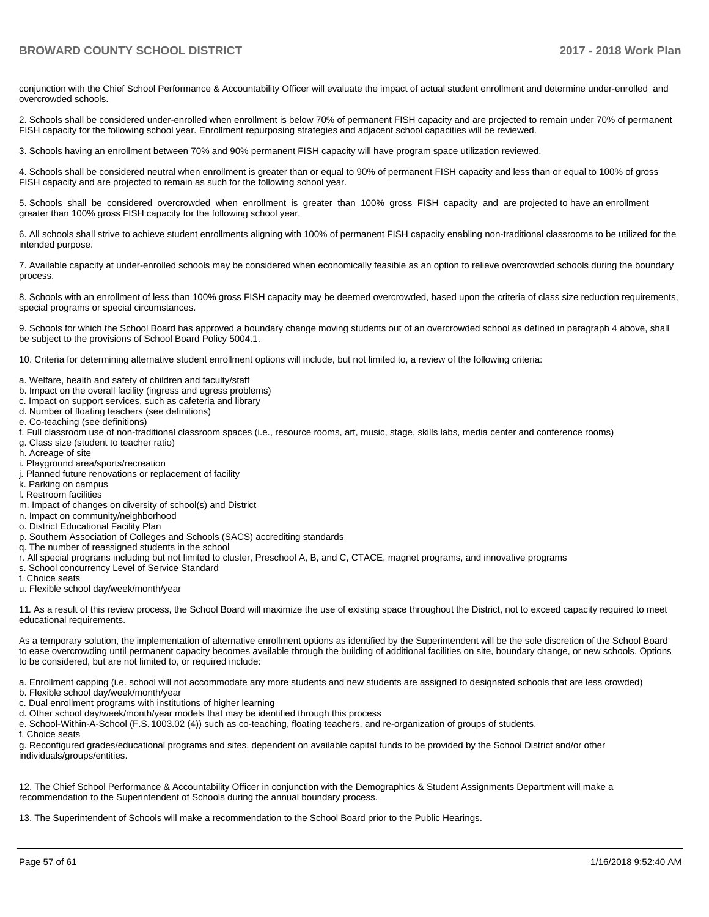conjunction with the Chief School Performance & Accountability Officer will evaluate the impact of actual student enrollment and determine under-enrolled and overcrowded schools.

2. Schools shall be considered under-enrolled when enrollment is below 70% of permanent FISH capacity and are projected to remain under 70% of permanent FISH capacity for the following school year. Enrollment repurposing strategies and adjacent school capacities will be reviewed.

3. Schools having an enrollment between 70% and 90% permanent FISH capacity will have program space utilization reviewed.

4. Schools shall be considered neutral when enrollment is greater than or equal to 90% of permanent FISH capacity and less than or equal to 100% of gross FISH capacity and are projected to remain as such for the following school year.

5. Schools shall be considered overcrowded when enrollment is greater than 100% gross FISH capacity and are projected to have an enrollment greater than 100% gross FISH capacity for the following school year.

6. All schools shall strive to achieve student enrollments aligning with 100% of permanent FISH capacity enabling non-traditional classrooms to be utilized for the intended purpose.

7. Available capacity at under-enrolled schools may be considered when economically feasible as an option to relieve overcrowded schools during the boundary process.

8. Schools with an enrollment of less than 100% gross FISH capacity may be deemed overcrowded, based upon the criteria of class size reduction requirements, special programs or special circumstances.

9. Schools for which the School Board has approved a boundary change moving students out of an overcrowded school as defined in paragraph 4 above, shall be subject to the provisions of School Board Policy 5004.1.

10. Criteria for determining alternative student enrollment options will include, but not limited to, a review of the following criteria:

- a. Welfare, health and safety of children and faculty/staff
- b. Impact on the overall facility (ingress and egress problems)
- c. Impact on support services, such as cafeteria and library
- d. Number of floating teachers (see definitions)
- e. Co-teaching (see definitions)
- f. Full classroom use of non-traditional classroom spaces (i.e., resource rooms, art, music, stage, skills labs, media center and conference rooms)
- g. Class size (student to teacher ratio)
- h. Acreage of site
- i. Playground area/sports/recreation
- j. Planned future renovations or replacement of facility
- k. Parking on campus
- l. Restroom facilities
- m. Impact of changes on diversity of school(s) and District
- n. Impact on community/neighborhood
- o. District Educational Facility Plan
- p. Southern Association of Colleges and Schools (SACS) accrediting standards
- q. The number of reassigned students in the school
- r. All special programs including but not limited to cluster, Preschool A, B, and C, CTACE, magnet programs, and innovative programs
- s. School concurrency Level of Service Standard
- t. Choice seats
- u. Flexible school day/week/month/year

11. As a result of this review process, the School Board will maximize the use of existing space throughout the District, not to exceed capacity required to meet educational requirements.

As a temporary solution, the implementation of alternative enrollment options as identified by the Superintendent will be the sole discretion of the School Board to ease overcrowding until permanent capacity becomes available through the building of additional facilities on site, boundary change, or new schools. Options to be considered, but are not limited to, or required include:

a. Enrollment capping (i.e. school will not accommodate any more students and new students are assigned to designated schools that are less crowded)

- b. Flexible school day/week/month/year
- c. Dual enrollment programs with institutions of higher learning
- d. Other school day/week/month/year models that may be identified through this process
- e. School-Within-A-School (F.S. 1003.02 (4)) such as co-teaching, floating teachers, and re-organization of groups of students.
- f. Choice seats

g. Reconfigured grades/educational programs and sites, dependent on available capital funds to be provided by the School District and/or other individuals/groups/entities.

12. The Chief School Performance & Accountability Officer in conjunction with the Demographics & Student Assignments Department will make a recommendation to the Superintendent of Schools during the annual boundary process.

13. The Superintendent of Schools will make a recommendation to the School Board prior to the Public Hearings.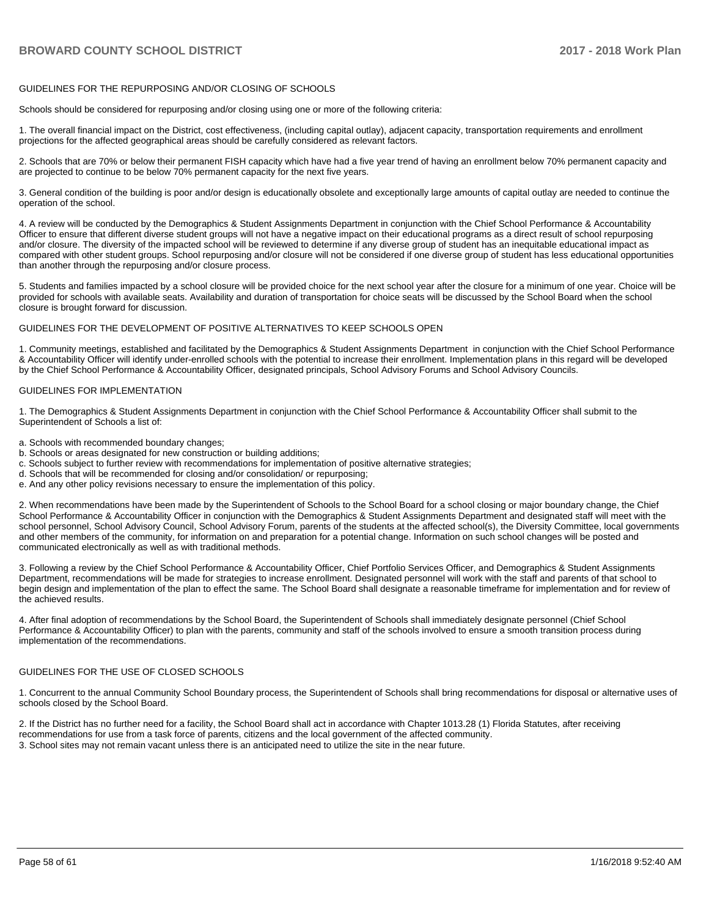#### GUIDELINES FOR THE REPURPOSING AND/OR CLOSING OF SCHOOLS

Schools should be considered for repurposing and/or closing using one or more of the following criteria:

1. The overall financial impact on the District, cost effectiveness, (including capital outlay), adjacent capacity, transportation requirements and enrollment projections for the affected geographical areas should be carefully considered as relevant factors.

2. Schools that are 70% or below their permanent FISH capacity which have had a five year trend of having an enrollment below 70% permanent capacity and are projected to continue to be below 70% permanent capacity for the next five years.

3. General condition of the building is poor and/or design is educationally obsolete and exceptionally large amounts of capital outlay are needed to continue the operation of the school.

4. A review will be conducted by the Demographics & Student Assignments Department in conjunction with the Chief School Performance & Accountability Officer to ensure that different diverse student groups will not have a negative impact on their educational programs as a direct result of school repurposing and/or closure. The diversity of the impacted school will be reviewed to determine if any diverse group of student has an inequitable educational impact as compared with other student groups. School repurposing and/or closure will not be considered if one diverse group of student has less educational opportunities than another through the repurposing and/or closure process.

5. Students and families impacted by a school closure will be provided choice for the next school year after the closure for a minimum of one year. Choice will be provided for schools with available seats. Availability and duration of transportation for choice seats will be discussed by the School Board when the school closure is brought forward for discussion.

#### GUIDELINES FOR THE DEVELOPMENT OF POSITIVE ALTERNATIVES TO KEEP SCHOOLS OPEN

1. Community meetings, established and facilitated by the Demographics & Student Assignments Department in conjunction with the Chief School Performance & Accountability Officer will identify under-enrolled schools with the potential to increase their enrollment. Implementation plans in this regard will be developed by the Chief School Performance & Accountability Officer, designated principals, School Advisory Forums and School Advisory Councils.

#### GUIDELINES FOR IMPLEMENTATION

1. The Demographics & Student Assignments Department in conjunction with the Chief School Performance & Accountability Officer shall submit to the Superintendent of Schools a list of:

- a. Schools with recommended boundary changes;
- b. Schools or areas designated for new construction or building additions;
- c. Schools subject to further review with recommendations for implementation of positive alternative strategies;
- d. Schools that will be recommended for closing and/or consolidation/ or repurposing;
- e. And any other policy revisions necessary to ensure the implementation of this policy.

2. When recommendations have been made by the Superintendent of Schools to the School Board for a school closing or major boundary change, the Chief School Performance & Accountability Officer in conjunction with the Demographics & Student Assignments Department and designated staff will meet with the school personnel, School Advisory Council, School Advisory Forum, parents of the students at the affected school(s), the Diversity Committee, local governments and other members of the community, for information on and preparation for a potential change. Information on such school changes will be posted and communicated electronically as well as with traditional methods.

3. Following a review by the Chief School Performance & Accountability Officer, Chief Portfolio Services Officer, and Demographics & Student Assignments Department, recommendations will be made for strategies to increase enrollment. Designated personnel will work with the staff and parents of that school to begin design and implementation of the plan to effect the same. The School Board shall designate a reasonable timeframe for implementation and for review of the achieved results.

4. After final adoption of recommendations by the School Board, the Superintendent of Schools shall immediately designate personnel (Chief School Performance & Accountability Officer) to plan with the parents, community and staff of the schools involved to ensure a smooth transition process during implementation of the recommendations.

#### GUIDELINES FOR THE USE OF CLOSED SCHOOLS

1. Concurrent to the annual Community School Boundary process, the Superintendent of Schools shall bring recommendations for disposal or alternative uses of schools closed by the School Board.

2. If the District has no further need for a facility, the School Board shall act in accordance with Chapter 1013.28 (1) Florida Statutes, after receiving recommendations for use from a task force of parents, citizens and the local government of the affected community. 3. School sites may not remain vacant unless there is an anticipated need to utilize the site in the near future.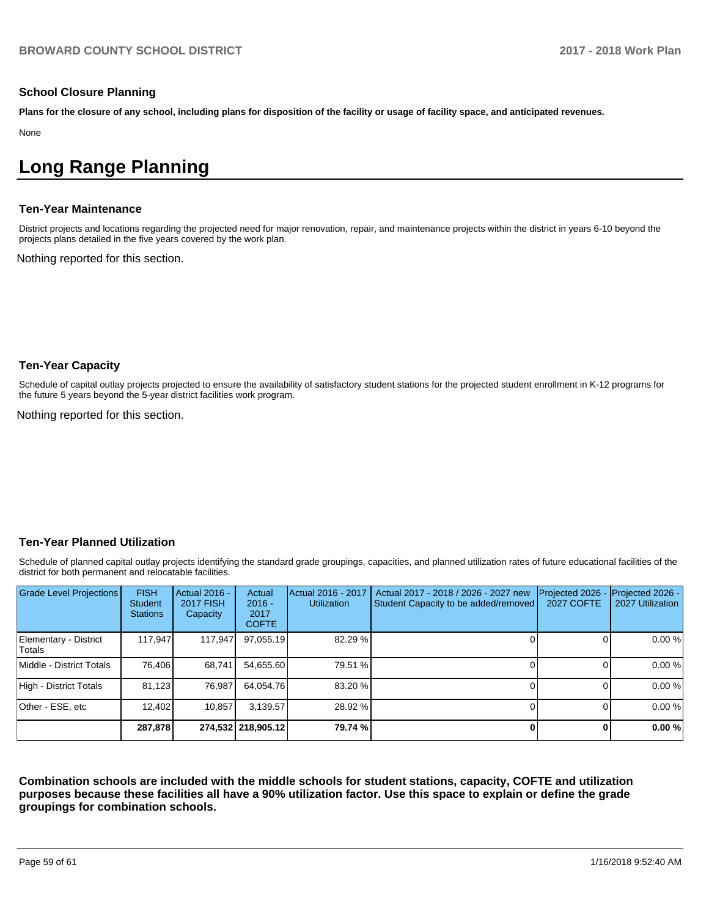#### **School Closure Planning**

**Plans for the closure of any school, including plans for disposition of the facility or usage of facility space, and anticipated revenues.** 

None

# **Long Range Planning**

#### **Ten-Year Maintenance**

District projects and locations regarding the projected need for major renovation, repair, and maintenance projects within the district in years 6-10 beyond the projects plans detailed in the five years covered by the work plan.

Nothing reported for this section.

#### **Ten-Year Capacity**

Schedule of capital outlay projects projected to ensure the availability of satisfactory student stations for the projected student enrollment in K-12 programs for the future 5 years beyond the 5-year district facilities work program.

Nothing reported for this section.

#### **Ten-Year Planned Utilization**

Schedule of planned capital outlay projects identifying the standard grade groupings, capacities, and planned utilization rates of future educational facilities of the district for both permanent and relocatable facilities.

| Grade Level Projections         | <b>FISH</b><br><b>Student</b><br><b>Stations</b> | <b>Actual 2016 -</b><br><b>2017 FISH</b><br>Capacity | Actual<br>$2016 -$<br>2017<br><b>COFTE</b> | Actual 2016 - 2017<br><b>Utilization</b> | Actual 2017 - 2018 / 2026 - 2027 new<br>Student Capacity to be added/removed | Projected 2026<br><b>2027 COFTE</b> | Projected 2026 -<br>2027 Utilization |
|---------------------------------|--------------------------------------------------|------------------------------------------------------|--------------------------------------------|------------------------------------------|------------------------------------------------------------------------------|-------------------------------------|--------------------------------------|
| Elementary - District<br>Totals | 117.947                                          | 117,947                                              | 97,055.19                                  | 82.29 %                                  |                                                                              | ΩI                                  | 0.00%                                |
| Middle - District Totals        | 76.406                                           | 68.741                                               | 54.655.60                                  | 79.51 %                                  |                                                                              |                                     | 0.00%                                |
| High - District Totals          | 81.123                                           | 76.987                                               | 64.054.76                                  | 83.20 %                                  |                                                                              |                                     | 0.00%                                |
| Other - ESE, etc                | 12.402                                           | 10.857                                               | 3.139.57                                   | 28.92 %                                  |                                                                              |                                     | 0.00%                                |
|                                 | 287,878                                          |                                                      | 274,532 218,905.12                         | 79.74 %                                  |                                                                              | 0                                   | 0.00%                                |

**Combination schools are included with the middle schools for student stations, capacity, COFTE and utilization purposes because these facilities all have a 90% utilization factor. Use this space to explain or define the grade groupings for combination schools.**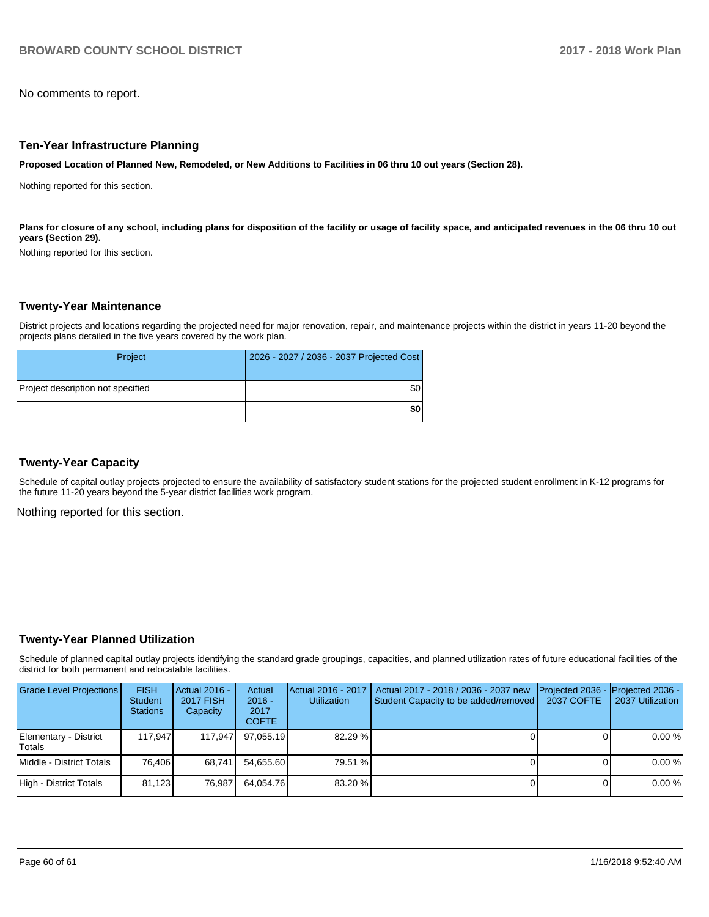No comments to report.

#### **Ten-Year Infrastructure Planning**

**Proposed Location of Planned New, Remodeled, or New Additions to Facilities in 06 thru 10 out years (Section 28).**

Nothing reported for this section.

Plans for closure of any school, including plans for disposition of the facility or usage of facility space, and anticipated revenues in the 06 thru 10 out **years (Section 29).**

Nothing reported for this section.

#### **Twenty-Year Maintenance**

District projects and locations regarding the projected need for major renovation, repair, and maintenance projects within the district in years 11-20 beyond the projects plans detailed in the five years covered by the work plan.

| Project                           | 2026 - 2027 / 2036 - 2037 Projected Cost |
|-----------------------------------|------------------------------------------|
| Project description not specified | \$0                                      |
|                                   | \$0                                      |

#### **Twenty-Year Capacity**

Schedule of capital outlay projects projected to ensure the availability of satisfactory student stations for the projected student enrollment in K-12 programs for the future 11-20 years beyond the 5-year district facilities work program.

Nothing reported for this section.

#### **Twenty-Year Planned Utilization**

Schedule of planned capital outlay projects identifying the standard grade groupings, capacities, and planned utilization rates of future educational facilities of the district for both permanent and relocatable facilities.

| <b>Grade Level Projections</b>         | <b>FISH</b><br><b>Student</b><br><b>Stations</b> | $ $ Actual 2016 -<br><b>2017 FISH</b><br>Capacity | Actual<br>$2016 -$<br>2017<br><b>COFTE</b> | Actual 2016 - 2017<br><b>Utilization</b> | Actual 2017 - 2018 / 2036 - 2037 new<br>Student Capacity to be added/removed | 2037 COFTE | Projected 2036 - Projected 2036 -<br>2037 Utilization |
|----------------------------------------|--------------------------------------------------|---------------------------------------------------|--------------------------------------------|------------------------------------------|------------------------------------------------------------------------------|------------|-------------------------------------------------------|
| Elementary - District<br><b>Totals</b> | 117.947                                          | 117.947                                           | 97.055.19                                  | 82.29%                                   |                                                                              |            | 0.00%                                                 |
| Middle - District Totals               | 76.406                                           | 68.741                                            | 54.655.60                                  | 79.51 %                                  |                                                                              |            | 0.00%                                                 |
| High - District Totals                 | 81.123                                           | 76.987                                            | 64.054.76                                  | 83.20 %                                  |                                                                              |            | 0.00%                                                 |